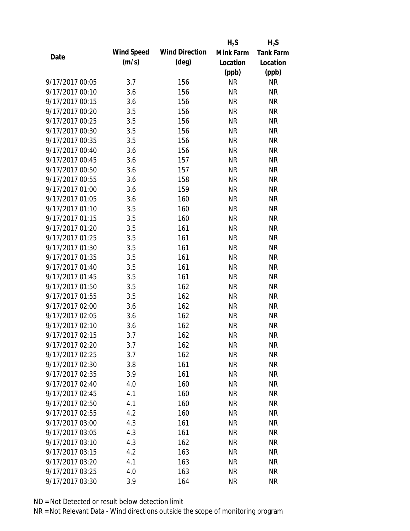|                 |            |                       | $H_2S$    | $H_2S$           |
|-----------------|------------|-----------------------|-----------|------------------|
| Date            | Wind Speed | <b>Wind Direction</b> | Mink Farm | <b>Tank Farm</b> |
|                 | (m/s)      | $(\text{deg})$        | Location  | Location         |
|                 |            |                       | (ppb)     | (ppb)            |
| 9/17/2017 00:05 | 3.7        | 156                   | <b>NR</b> | NR               |
| 9/17/2017 00:10 | 3.6        | 156                   | <b>NR</b> | <b>NR</b>        |
| 9/17/2017 00:15 | 3.6        | 156                   | <b>NR</b> | <b>NR</b>        |
| 9/17/2017 00:20 | 3.5        | 156                   | <b>NR</b> | <b>NR</b>        |
| 9/17/2017 00:25 | 3.5        | 156                   | <b>NR</b> | <b>NR</b>        |
| 9/17/2017 00:30 | 3.5        | 156                   | <b>NR</b> | <b>NR</b>        |
| 9/17/2017 00:35 | 3.5        | 156                   | <b>NR</b> | <b>NR</b>        |
| 9/17/2017 00:40 | 3.6        | 156                   | <b>NR</b> | <b>NR</b>        |
| 9/17/2017 00:45 | 3.6        | 157                   | <b>NR</b> | <b>NR</b>        |
| 9/17/2017 00:50 | 3.6        | 157                   | <b>NR</b> | <b>NR</b>        |
| 9/17/2017 00:55 | 3.6        | 158                   | <b>NR</b> | <b>NR</b>        |
| 9/17/2017 01:00 | 3.6        | 159                   | <b>NR</b> | <b>NR</b>        |
| 9/17/2017 01:05 | 3.6        | 160                   | <b>NR</b> | <b>NR</b>        |
| 9/17/2017 01:10 | 3.5        | 160                   | <b>NR</b> | <b>NR</b>        |
| 9/17/2017 01:15 | 3.5        | 160                   | <b>NR</b> | <b>NR</b>        |
| 9/17/2017 01:20 | 3.5        | 161                   | <b>NR</b> | <b>NR</b>        |
| 9/17/2017 01:25 | 3.5        | 161                   | <b>NR</b> | <b>NR</b>        |
| 9/17/2017 01:30 | 3.5        | 161                   | <b>NR</b> | <b>NR</b>        |
| 9/17/2017 01:35 | 3.5        | 161                   | <b>NR</b> | <b>NR</b>        |
| 9/17/2017 01:40 | 3.5        | 161                   | <b>NR</b> | <b>NR</b>        |
| 9/17/2017 01:45 | 3.5        | 161                   | <b>NR</b> | <b>NR</b>        |
| 9/17/2017 01:50 | 3.5        | 162                   | <b>NR</b> | <b>NR</b>        |
| 9/17/2017 01:55 | 3.5        | 162                   | <b>NR</b> | <b>NR</b>        |
| 9/17/2017 02:00 | 3.6        | 162                   | <b>NR</b> | <b>NR</b>        |
| 9/17/2017 02:05 | 3.6        | 162                   | <b>NR</b> | <b>NR</b>        |
| 9/17/2017 02:10 | 3.6        | 162                   | <b>NR</b> | <b>NR</b>        |
| 9/17/2017 02:15 | 3.7        | 162                   | <b>NR</b> | <b>NR</b>        |
| 9/17/2017 02:20 | 3.7        | 162                   | <b>NR</b> | NR               |
| 9/17/2017 02:25 | 3.7        | 162                   | <b>NR</b> | <b>NR</b>        |
| 9/17/2017 02:30 | 3.8        | 161                   | <b>NR</b> | <b>NR</b>        |
| 9/17/2017 02:35 | 3.9        | 161                   | <b>NR</b> | <b>NR</b>        |
| 9/17/2017 02:40 | 4.0        | 160                   | <b>NR</b> | NR               |
| 9/17/2017 02:45 | 4.1        | 160                   | <b>NR</b> | <b>NR</b>        |
| 9/17/2017 02:50 | 4.1        | 160                   | <b>NR</b> | <b>NR</b>        |
| 9/17/2017 02:55 | 4.2        | 160                   | <b>NR</b> | <b>NR</b>        |
| 9/17/2017 03:00 | 4.3        | 161                   | <b>NR</b> | <b>NR</b>        |
| 9/17/2017 03:05 | 4.3        | 161                   | <b>NR</b> | <b>NR</b>        |
| 9/17/2017 03:10 | 4.3        | 162                   | NR        | <b>NR</b>        |
| 9/17/2017 03:15 | 4.2        | 163                   | <b>NR</b> | <b>NR</b>        |
| 9/17/2017 03:20 | 4.1        | 163                   | NR        | <b>NR</b>        |
| 9/17/2017 03:25 | 4.0        | 163                   | <b>NR</b> | <b>NR</b>        |
| 9/17/2017 03:30 | 3.9        | 164                   | <b>NR</b> | <b>NR</b>        |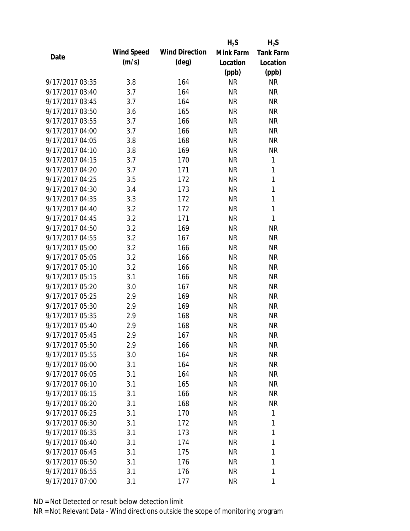|                 |            |                       | $H_2S$    | $H_2S$           |
|-----------------|------------|-----------------------|-----------|------------------|
| Date            | Wind Speed | <b>Wind Direction</b> | Mink Farm | <b>Tank Farm</b> |
|                 | (m/s)      | $(\text{deg})$        | Location  | Location         |
|                 |            |                       | (ppb)     | (ppb)            |
| 9/17/2017 03:35 | 3.8        | 164                   | <b>NR</b> | <b>NR</b>        |
| 9/17/2017 03:40 | 3.7        | 164                   | <b>NR</b> | <b>NR</b>        |
| 9/17/2017 03:45 | 3.7        | 164                   | <b>NR</b> | <b>NR</b>        |
| 9/17/2017 03:50 | 3.6        | 165                   | <b>NR</b> | <b>NR</b>        |
| 9/17/2017 03:55 | 3.7        | 166                   | <b>NR</b> | <b>NR</b>        |
| 9/17/2017 04:00 | 3.7        | 166                   | <b>NR</b> | <b>NR</b>        |
| 9/17/2017 04:05 | 3.8        | 168                   | NR        | <b>NR</b>        |
| 9/17/2017 04:10 | 3.8        | 169                   | <b>NR</b> | <b>NR</b>        |
| 9/17/2017 04:15 | 3.7        | 170                   | <b>NR</b> | 1                |
| 9/17/2017 04:20 | 3.7        | 171                   | <b>NR</b> | 1                |
| 9/17/2017 04:25 | 3.5        | 172                   | <b>NR</b> | $\mathbf{1}$     |
| 9/17/2017 04:30 | 3.4        | 173                   | <b>NR</b> | $\mathbf{1}$     |
| 9/17/2017 04:35 | 3.3        | 172                   | <b>NR</b> | $\mathbf{1}$     |
| 9/17/2017 04:40 | 3.2        | 172                   | <b>NR</b> | 1                |
| 9/17/2017 04:45 | 3.2        | 171                   | <b>NR</b> | 1                |
| 9/17/2017 04:50 | 3.2        | 169                   | <b>NR</b> | <b>NR</b>        |
| 9/17/2017 04:55 | 3.2        | 167                   | <b>NR</b> | <b>NR</b>        |
| 9/17/2017 05:00 | 3.2        | 166                   | <b>NR</b> | <b>NR</b>        |
| 9/17/2017 05:05 | 3.2        | 166                   | <b>NR</b> | <b>NR</b>        |
| 9/17/2017 05:10 | 3.2        | 166                   | <b>NR</b> | <b>NR</b>        |
| 9/17/2017 05:15 | 3.1        | 166                   | <b>NR</b> | <b>NR</b>        |
| 9/17/2017 05:20 | 3.0        | 167                   | <b>NR</b> | <b>NR</b>        |
| 9/17/2017 05:25 | 2.9        | 169                   | <b>NR</b> | <b>NR</b>        |
| 9/17/2017 05:30 | 2.9        | 169                   | <b>NR</b> | <b>NR</b>        |
| 9/17/2017 05:35 | 2.9        | 168                   | <b>NR</b> | <b>NR</b>        |
| 9/17/2017 05:40 | 2.9        | 168                   | <b>NR</b> | <b>NR</b>        |
| 9/17/2017 05:45 | 2.9        | 167                   | <b>NR</b> | <b>NR</b>        |
| 9/17/2017 05:50 | 2.9        | 166                   | NR        | NR               |
| 9/17/2017 05:55 | 3.0        | 164                   | NR        | <b>NR</b>        |
| 9/17/2017 06:00 | 3.1        | 164                   | NR        | <b>NR</b>        |
| 9/17/2017 06:05 | 3.1        | 164                   | NR        | <b>NR</b>        |
| 9/17/2017 06:10 | 3.1        | 165                   | NR        | <b>NR</b>        |
| 9/17/2017 06:15 | 3.1        | 166                   | NR        | <b>NR</b>        |
| 9/17/2017 06:20 | 3.1        | 168                   | NR        | <b>NR</b>        |
| 9/17/2017 06:25 | 3.1        | 170                   | NR        | 1                |
| 9/17/2017 06:30 | 3.1        | 172                   | NR        | 1                |
| 9/17/2017 06:35 | 3.1        | 173                   | NR        | 1                |
| 9/17/2017 06:40 | 3.1        | 174                   | NR        | 1                |
| 9/17/2017 06:45 | 3.1        | 175                   | NR.       | 1                |
| 9/17/2017 06:50 | 3.1        | 176                   | NR        | 1                |
| 9/17/2017 06:55 | 3.1        | 176                   | <b>NR</b> | 1                |
| 9/17/2017 07:00 | 3.1        | 177                   | <b>NR</b> | 1                |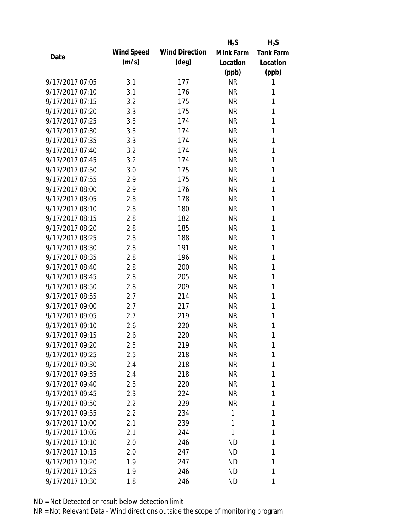|                 |            |                       | $H_2S$    | $H_2S$           |
|-----------------|------------|-----------------------|-----------|------------------|
| Date            | Wind Speed | <b>Wind Direction</b> | Mink Farm | <b>Tank Farm</b> |
|                 | (m/s)      | $(\text{deg})$        | Location  | Location         |
|                 |            |                       | (ppb)     | (ppb)            |
| 9/17/2017 07:05 | 3.1        | 177                   | <b>NR</b> | 1                |
| 9/17/2017 07:10 | 3.1        | 176                   | <b>NR</b> | 1                |
| 9/17/2017 07:15 | 3.2        | 175                   | <b>NR</b> | 1                |
| 9/17/2017 07:20 | 3.3        | 175                   | <b>NR</b> | 1                |
| 9/17/2017 07:25 | 3.3        | 174                   | <b>NR</b> | 1                |
| 9/17/2017 07:30 | 3.3        | 174                   | <b>NR</b> | 1                |
| 9/17/2017 07:35 | 3.3        | 174                   | <b>NR</b> | 1                |
| 9/17/2017 07:40 | 3.2        | 174                   | <b>NR</b> | 1                |
| 9/17/2017 07:45 | 3.2        | 174                   | <b>NR</b> | 1                |
| 9/17/2017 07:50 | 3.0        | 175                   | <b>NR</b> | 1                |
| 9/17/2017 07:55 | 2.9        | 175                   | <b>NR</b> | 1                |
| 9/17/2017 08:00 | 2.9        | 176                   | <b>NR</b> | 1                |
| 9/17/2017 08:05 | 2.8        | 178                   | <b>NR</b> | 1                |
| 9/17/2017 08:10 | 2.8        | 180                   | <b>NR</b> | 1                |
| 9/17/2017 08:15 | 2.8        | 182                   | <b>NR</b> | 1                |
| 9/17/2017 08:20 | 2.8        | 185                   | <b>NR</b> | 1                |
| 9/17/2017 08:25 | 2.8        | 188                   | <b>NR</b> | 1                |
| 9/17/2017 08:30 | 2.8        | 191                   | <b>NR</b> | 1                |
| 9/17/2017 08:35 | 2.8        | 196                   | <b>NR</b> | 1                |
| 9/17/2017 08:40 | 2.8        | 200                   | <b>NR</b> | 1                |
| 9/17/2017 08:45 | 2.8        | 205                   | <b>NR</b> | 1                |
| 9/17/2017 08:50 | 2.8        | 209                   | <b>NR</b> | 1                |
| 9/17/2017 08:55 | 2.7        | 214                   | <b>NR</b> | 1                |
| 9/17/2017 09:00 | 2.7        | 217                   | <b>NR</b> | 1                |
| 9/17/2017 09:05 | 2.7        | 219                   | <b>NR</b> | 1                |
| 9/17/2017 09:10 | 2.6        | 220                   | <b>NR</b> | 1                |
| 9/17/2017 09:15 | 2.6        | 220                   | <b>NR</b> | 1                |
| 9/17/2017 09:20 | 2.5        | 219                   | <b>NR</b> | 1                |
| 9/17/2017 09:25 | 2.5        | 218                   | <b>NR</b> | 1                |
| 9/17/2017 09:30 | 2.4        | 218                   | <b>NR</b> | 1                |
| 9/17/2017 09:35 | 2.4        | 218                   | NR        | 1                |
| 9/17/2017 09:40 | 2.3        | 220                   | <b>NR</b> | 1                |
| 9/17/2017 09:45 | 2.3        | 224                   | NR        | 1                |
| 9/17/2017 09:50 | 2.2        | 229                   | <b>NR</b> | 1                |
| 9/17/2017 09:55 | $2.2\,$    | 234                   | 1         | 1                |
| 9/17/2017 10:00 | 2.1        | 239                   | 1         | 1                |
| 9/17/2017 10:05 | 2.1        | 244                   | 1         | 1                |
| 9/17/2017 10:10 | 2.0        | 246                   | <b>ND</b> | 1                |
| 9/17/2017 10:15 | 2.0        | 247                   | <b>ND</b> | 1                |
| 9/17/2017 10:20 | 1.9        | 247                   | ND.       | 1                |
| 9/17/2017 10:25 | 1.9        | 246                   | <b>ND</b> | 1                |
| 9/17/2017 10:30 | 1.8        | 246                   | <b>ND</b> | 1                |
|                 |            |                       |           |                  |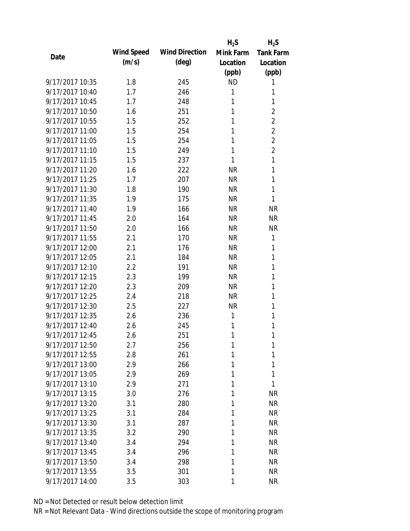|                 |            |                       | $H_2S$    | $H_2S$           |
|-----------------|------------|-----------------------|-----------|------------------|
| Date            | Wind Speed | <b>Wind Direction</b> | Mink Farm | <b>Tank Farm</b> |
|                 | (m/s)      | $(\text{deg})$        | Location  | Location         |
|                 |            |                       | (ppb)     | (ppb)            |
| 9/17/2017 10:35 | 1.8        | 245                   | <b>ND</b> | 1                |
| 9/17/2017 10:40 | 1.7        | 246                   | 1         | 1                |
| 9/17/2017 10:45 | 1.7        | 248                   | 1         | 1                |
| 9/17/2017 10:50 | 1.6        | 251                   | 1         | $\overline{2}$   |
| 9/17/2017 10:55 | 1.5        | 252                   | 1         | $\overline{2}$   |
| 9/17/2017 11:00 | 1.5        | 254                   | 1         | $\overline{2}$   |
| 9/17/2017 11:05 | 1.5        | 254                   | 1         | $\overline{2}$   |
| 9/17/2017 11:10 | 1.5        | 249                   | 1         | $\overline{2}$   |
| 9/17/2017 11:15 | 1.5        | 237                   | 1         | 1                |
| 9/17/2017 11:20 | 1.6        | 222                   | <b>NR</b> | 1                |
| 9/17/2017 11:25 | 1.7        | 207                   | <b>NR</b> | 1                |
| 9/17/2017 11:30 | 1.8        | 190                   | <b>NR</b> | 1                |
| 9/17/2017 11:35 | 1.9        | 175                   | <b>NR</b> | 1                |
| 9/17/2017 11:40 | 1.9        | 166                   | <b>NR</b> | <b>NR</b>        |
| 9/17/2017 11:45 | 2.0        | 164                   | <b>NR</b> | <b>NR</b>        |
| 9/17/2017 11:50 | 2.0        | 166                   | <b>NR</b> | <b>NR</b>        |
| 9/17/2017 11:55 | 2.1        | 170                   | <b>NR</b> | 1                |
| 9/17/2017 12:00 | 2.1        | 176                   | <b>NR</b> | 1                |
| 9/17/2017 12:05 | 2.1        | 184                   | <b>NR</b> | 1                |
| 9/17/2017 12:10 | 2.2        | 191                   | <b>NR</b> | 1                |
| 9/17/2017 12:15 | 2.3        | 199                   | <b>NR</b> | 1                |
| 9/17/2017 12:20 | 2.3        | 209                   | <b>NR</b> | 1                |
| 9/17/2017 12:25 | 2.4        | 218                   | <b>NR</b> | 1                |
| 9/17/2017 12:30 | 2.5        | 227                   | <b>NR</b> | 1                |
| 9/17/2017 12:35 | 2.6        | 236                   | 1         | 1                |
| 9/17/2017 12:40 | 2.6        | 245                   | 1         | 1                |
| 9/17/2017 12:45 | 2.6        | 251                   | 1         | 1                |
| 9/17/2017 12:50 | 2.7        | 256                   | 1         | 1                |
| 9/17/2017 12:55 | 2.8        | 261                   | 1         | 1                |
| 9/17/2017 13:00 | 2.9        | 266                   | 1         | 1                |
| 9/17/2017 13:05 | 2.9        | 269                   | 1         | 1                |
| 9/17/2017 13:10 | 2.9        | 271                   | 1         | 1                |
| 9/17/2017 13:15 | 3.0        | 276                   | 1         | <b>NR</b>        |
| 9/17/2017 13:20 | 3.1        | 280                   | 1         | <b>NR</b>        |
| 9/17/2017 13:25 | 3.1        | 284                   | 1         | <b>NR</b>        |
| 9/17/2017 13:30 | 3.1        | 287                   | 1         | <b>NR</b>        |
| 9/17/2017 13:35 | 3.2        | 290                   | 1         | <b>NR</b>        |
| 9/17/2017 13:40 | 3.4        | 294                   | 1         | <b>NR</b>        |
| 9/17/2017 13:45 | 3.4        | 296                   | 1         | <b>NR</b>        |
| 9/17/2017 13:50 | 3.4        | 298                   | 1         | <b>NR</b>        |
| 9/17/2017 13:55 | 3.5        | 301                   | 1         | <b>NR</b>        |
| 9/17/2017 14:00 | 3.5        | 303                   | 1         | <b>NR</b>        |
|                 |            |                       |           |                  |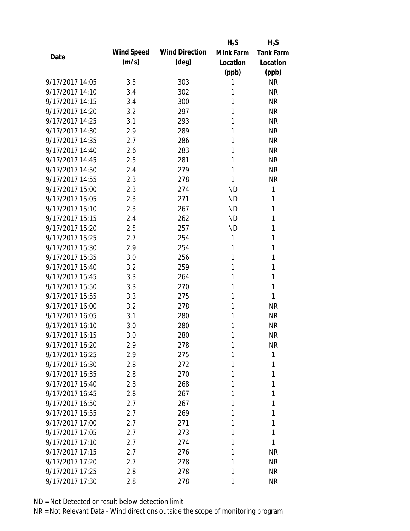|                 |            |                       | $H_2S$    | $H_2S$           |
|-----------------|------------|-----------------------|-----------|------------------|
| Date            | Wind Speed | <b>Wind Direction</b> | Mink Farm | <b>Tank Farm</b> |
|                 | (m/s)      | $(\text{deg})$        | Location  | Location         |
|                 |            |                       | (ppb)     | (ppb)            |
| 9/17/2017 14:05 | 3.5        | 303                   | 1         | <b>NR</b>        |
| 9/17/2017 14:10 | 3.4        | 302                   | 1         | <b>NR</b>        |
| 9/17/2017 14:15 | 3.4        | 300                   | 1         | <b>NR</b>        |
| 9/17/2017 14:20 | 3.2        | 297                   | 1         | <b>NR</b>        |
| 9/17/2017 14:25 | 3.1        | 293                   | 1         | <b>NR</b>        |
| 9/17/2017 14:30 | 2.9        | 289                   | 1         | <b>NR</b>        |
| 9/17/2017 14:35 | 2.7        | 286                   | 1         | <b>NR</b>        |
| 9/17/2017 14:40 | 2.6        | 283                   | 1         | <b>NR</b>        |
| 9/17/2017 14:45 | 2.5        | 281                   | 1         | <b>NR</b>        |
| 9/17/2017 14:50 | 2.4        | 279                   | 1         | <b>NR</b>        |
| 9/17/2017 14:55 | 2.3        | 278                   | 1         | <b>NR</b>        |
| 9/17/2017 15:00 | 2.3        | 274                   | <b>ND</b> | 1                |
| 9/17/2017 15:05 | 2.3        | 271                   | <b>ND</b> | 1                |
| 9/17/2017 15:10 | 2.3        | 267                   | <b>ND</b> | 1                |
| 9/17/2017 15:15 | 2.4        | 262                   | <b>ND</b> | 1                |
| 9/17/2017 15:20 | 2.5        | 257                   | <b>ND</b> | 1                |
| 9/17/2017 15:25 | 2.7        | 254                   | 1         | 1                |
| 9/17/2017 15:30 | 2.9        | 254                   | 1         | 1                |
| 9/17/2017 15:35 | 3.0        | 256                   | 1         | 1                |
| 9/17/2017 15:40 | 3.2        | 259                   | 1         | 1                |
| 9/17/2017 15:45 | 3.3        | 264                   | 1         | 1                |
| 9/17/2017 15:50 | 3.3        | 270                   | 1         | 1                |
| 9/17/2017 15:55 | 3.3        | 275                   | 1         | 1                |
| 9/17/2017 16:00 | 3.2        | 278                   | 1         | <b>NR</b>        |
| 9/17/2017 16:05 | 3.1        | 280                   | 1         | <b>NR</b>        |
| 9/17/2017 16:10 | 3.0        | 280                   | 1         | <b>NR</b>        |
| 9/17/2017 16:15 | 3.0        | 280                   | 1         | <b>NR</b>        |
| 9/17/2017 16:20 | 2.9        | 278                   | 1         | NR               |
| 9/17/2017 16:25 | 2.9        | 275                   | 1         | 1                |
| 9/17/2017 16:30 | 2.8        | 272                   | 1         | 1                |
| 9/17/2017 16:35 | 2.8        | 270                   | 1         | 1                |
| 9/17/2017 16:40 | 2.8        | 268                   | 1         | 1                |
| 9/17/2017 16:45 | 2.8        | 267                   | 1         | 1                |
| 9/17/2017 16:50 | 2.7        | 267                   | 1         | 1                |
| 9/17/2017 16:55 | 2.7        | 269                   | 1         | 1                |
| 9/17/2017 17:00 | 2.7        | 271                   | 1         | 1                |
| 9/17/2017 17:05 | 2.7        | 273                   | 1         | 1                |
| 9/17/2017 17:10 | 2.7        | 274                   | 1         | 1                |
| 9/17/2017 17:15 | 2.7        | 276                   | 1         | <b>NR</b>        |
| 9/17/2017 17:20 | 2.7        | 278                   | 1         | <b>NR</b>        |
| 9/17/2017 17:25 | 2.8        | 278                   | 1         | <b>NR</b>        |
| 9/17/2017 17:30 | 2.8        | 278                   | 1         | <b>NR</b>        |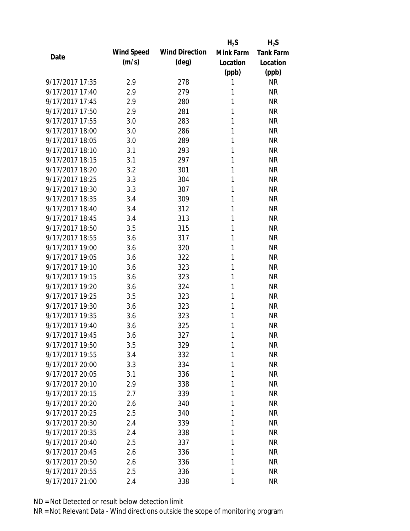|                 |            |                       | $H_2S$    | $H_2S$           |
|-----------------|------------|-----------------------|-----------|------------------|
| Date            | Wind Speed | <b>Wind Direction</b> | Mink Farm | <b>Tank Farm</b> |
|                 | (m/s)      | $(\text{deg})$        | Location  | Location         |
|                 |            |                       | (ppb)     | (ppb)            |
| 9/17/2017 17:35 | 2.9        | 278                   | 1         | <b>NR</b>        |
| 9/17/2017 17:40 | 2.9        | 279                   | 1         | <b>NR</b>        |
| 9/17/2017 17:45 | 2.9        | 280                   | 1         | <b>NR</b>        |
| 9/17/2017 17:50 | 2.9        | 281                   | 1         | <b>NR</b>        |
| 9/17/2017 17:55 | 3.0        | 283                   | 1         | <b>NR</b>        |
| 9/17/2017 18:00 | 3.0        | 286                   | 1         | <b>NR</b>        |
| 9/17/2017 18:05 | 3.0        | 289                   | 1         | <b>NR</b>        |
| 9/17/2017 18:10 | 3.1        | 293                   | 1         | <b>NR</b>        |
| 9/17/2017 18:15 | 3.1        | 297                   | 1         | <b>NR</b>        |
| 9/17/2017 18:20 | 3.2        | 301                   | 1         | <b>NR</b>        |
| 9/17/2017 18:25 | 3.3        | 304                   | 1         | <b>NR</b>        |
| 9/17/2017 18:30 | 3.3        | 307                   | 1         | <b>NR</b>        |
| 9/17/2017 18:35 | 3.4        | 309                   | 1         | <b>NR</b>        |
| 9/17/2017 18:40 | 3.4        | 312                   | 1         | <b>NR</b>        |
| 9/17/2017 18:45 | 3.4        | 313                   | 1         | <b>NR</b>        |
| 9/17/2017 18:50 | 3.5        | 315                   | 1         | <b>NR</b>        |
| 9/17/2017 18:55 | 3.6        | 317                   | 1         | <b>NR</b>        |
| 9/17/2017 19:00 | 3.6        | 320                   | 1         | <b>NR</b>        |
| 9/17/2017 19:05 | 3.6        | 322                   | 1         | <b>NR</b>        |
| 9/17/2017 19:10 | 3.6        | 323                   | 1         | <b>NR</b>        |
| 9/17/2017 19:15 | 3.6        | 323                   | 1         | <b>NR</b>        |
| 9/17/2017 19:20 | 3.6        | 324                   | 1         | <b>NR</b>        |
| 9/17/2017 19:25 | 3.5        | 323                   | 1         | <b>NR</b>        |
| 9/17/2017 19:30 | 3.6        | 323                   | 1         | <b>NR</b>        |
| 9/17/2017 19:35 | 3.6        | 323                   | 1         | <b>NR</b>        |
| 9/17/2017 19:40 | 3.6        | 325                   | 1         | <b>NR</b>        |
| 9/17/2017 19:45 | 3.6        | 327                   | 1         | <b>NR</b>        |
| 9/17/2017 19:50 | 3.5        | 329                   | 1         | NR               |
| 9/17/2017 19:55 | 3.4        | 332                   | 1         | <b>NR</b>        |
| 9/17/2017 20:00 | 3.3        | 334                   | 1         | <b>NR</b>        |
| 9/17/2017 20:05 | 3.1        | 336                   | 1         | <b>NR</b>        |
| 9/17/2017 20:10 | 2.9        | 338                   | 1         | NR               |
| 9/17/2017 20:15 | 2.7        | 339                   | 1         | <b>NR</b>        |
| 9/17/2017 20:20 | 2.6        | 340                   | 1         | <b>NR</b>        |
| 9/17/2017 20:25 | 2.5        | 340                   | 1         | <b>NR</b>        |
| 9/17/2017 20:30 | 2.4        | 339                   | 1         | <b>NR</b>        |
| 9/17/2017 20:35 | 2.4        | 338                   | 1         | <b>NR</b>        |
| 9/17/2017 20:40 | 2.5        | 337                   | 1         | <b>NR</b>        |
| 9/17/2017 20:45 | 2.6        | 336                   | 1         | <b>NR</b>        |
| 9/17/2017 20:50 | 2.6        | 336                   | 1         | <b>NR</b>        |
| 9/17/2017 20:55 | 2.5        | 336                   | 1         | <b>NR</b>        |
| 9/17/2017 21:00 | 2.4        | 338                   | 1         | <b>NR</b>        |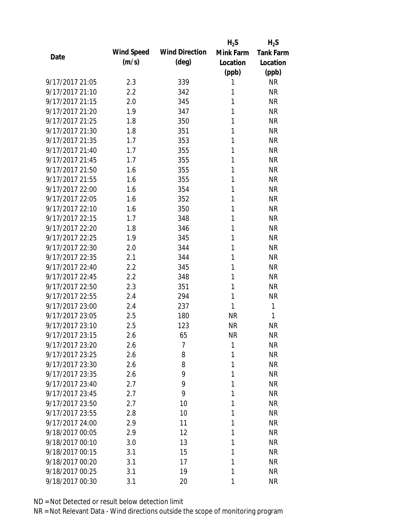|                 |            |                       | $H_2S$    | $H_2S$           |
|-----------------|------------|-----------------------|-----------|------------------|
| Date            | Wind Speed | <b>Wind Direction</b> | Mink Farm | <b>Tank Farm</b> |
|                 | (m/s)      | $(\text{deg})$        | Location  | Location         |
|                 |            |                       | (ppb)     | (ppb)            |
| 9/17/2017 21:05 | 2.3        | 339                   | 1         | <b>NR</b>        |
| 9/17/2017 21:10 | 2.2        | 342                   | 1         | <b>NR</b>        |
| 9/17/2017 21:15 | 2.0        | 345                   | 1         | <b>NR</b>        |
| 9/17/2017 21:20 | 1.9        | 347                   | 1         | <b>NR</b>        |
| 9/17/2017 21:25 | 1.8        | 350                   | 1         | <b>NR</b>        |
| 9/17/2017 21:30 | 1.8        | 351                   | 1         | <b>NR</b>        |
| 9/17/2017 21:35 | 1.7        | 353                   | 1         | <b>NR</b>        |
| 9/17/2017 21:40 | 1.7        | 355                   | 1         | <b>NR</b>        |
| 9/17/2017 21:45 | 1.7        | 355                   | 1         | <b>NR</b>        |
| 9/17/2017 21:50 | 1.6        | 355                   | 1         | <b>NR</b>        |
| 9/17/2017 21:55 | 1.6        | 355                   | 1         | <b>NR</b>        |
| 9/17/2017 22:00 | 1.6        | 354                   | 1         | <b>NR</b>        |
| 9/17/2017 22:05 | 1.6        | 352                   | 1         | <b>NR</b>        |
| 9/17/2017 22:10 | 1.6        | 350                   | 1         | <b>NR</b>        |
| 9/17/2017 22:15 | 1.7        | 348                   | 1         | <b>NR</b>        |
| 9/17/2017 22:20 | 1.8        | 346                   | 1         | <b>NR</b>        |
| 9/17/2017 22:25 | 1.9        | 345                   | 1         | <b>NR</b>        |
| 9/17/2017 22:30 | 2.0        | 344                   | 1         | <b>NR</b>        |
| 9/17/2017 22:35 | 2.1        | 344                   | 1         | <b>NR</b>        |
| 9/17/2017 22:40 | 2.2        | 345                   | 1         | <b>NR</b>        |
| 9/17/2017 22:45 | 2.2        | 348                   | 1         | <b>NR</b>        |
| 9/17/2017 22:50 | 2.3        | 351                   | 1         | <b>NR</b>        |
| 9/17/2017 22:55 | 2.4        | 294                   | 1         | <b>NR</b>        |
| 9/17/2017 23:00 | 2.4        | 237                   | 1         | 1                |
| 9/17/2017 23:05 | 2.5        | 180                   | <b>NR</b> | 1                |
| 9/17/2017 23:10 | 2.5        | 123                   | <b>NR</b> | <b>NR</b>        |
| 9/17/2017 23:15 | 2.6        | 65                    | <b>NR</b> | <b>NR</b>        |
| 9/17/2017 23:20 | 2.6        | 7                     | 1         | NR               |
| 9/17/2017 23:25 | 2.6        | 8                     | 1         | <b>NR</b>        |
| 9/17/2017 23:30 | 2.6        | 8                     | 1         | <b>NR</b>        |
| 9/17/2017 23:35 | 2.6        | 9                     | 1         | <b>NR</b>        |
| 9/17/2017 23:40 | 2.7        | 9                     | 1         | <b>NR</b>        |
| 9/17/2017 23:45 | 2.7        | 9                     | 1         | <b>NR</b>        |
| 9/17/2017 23:50 | 2.7        | 10                    | 1         | <b>NR</b>        |
| 9/17/2017 23:55 | 2.8        | 10                    | 1         | <b>NR</b>        |
| 9/17/2017 24:00 | 2.9        | 11                    | 1         | <b>NR</b>        |
| 9/18/2017 00:05 | 2.9        | 12                    | 1         | <b>NR</b>        |
| 9/18/2017 00:10 | 3.0        | 13                    | 1         | <b>NR</b>        |
| 9/18/2017 00:15 | 3.1        | 15                    | 1         | <b>NR</b>        |
| 9/18/2017 00:20 | 3.1        | 17                    | 1         | <b>NR</b>        |
| 9/18/2017 00:25 | 3.1        | 19                    | 1         | <b>NR</b>        |
| 9/18/2017 00:30 | 3.1        | 20                    | 1         | <b>NR</b>        |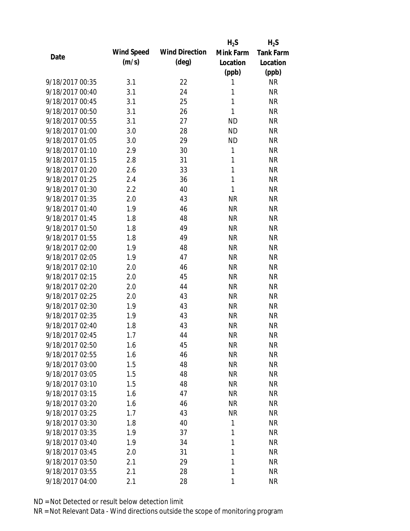|                 |            |                       | $H_2S$       | $H_2S$           |
|-----------------|------------|-----------------------|--------------|------------------|
| Date            | Wind Speed | <b>Wind Direction</b> | Mink Farm    | <b>Tank Farm</b> |
|                 | (m/s)      | $(\text{deg})$        | Location     | Location         |
|                 |            |                       | (ppb)        | (ppb)            |
| 9/18/2017 00:35 | 3.1        | 22                    | 1            | <b>NR</b>        |
| 9/18/2017 00:40 | 3.1        | 24                    | 1            | <b>NR</b>        |
| 9/18/2017 00:45 | 3.1        | 25                    | 1            | <b>NR</b>        |
| 9/18/2017 00:50 | 3.1        | 26                    | 1            | <b>NR</b>        |
| 9/18/2017 00:55 | 3.1        | 27                    | <b>ND</b>    | <b>NR</b>        |
| 9/18/2017 01:00 | 3.0        | 28                    | <b>ND</b>    | <b>NR</b>        |
| 9/18/2017 01:05 | 3.0        | 29                    | <b>ND</b>    | <b>NR</b>        |
| 9/18/2017 01:10 | 2.9        | 30                    | 1            | <b>NR</b>        |
| 9/18/2017 01:15 | 2.8        | 31                    | 1            | <b>NR</b>        |
| 9/18/2017 01:20 | 2.6        | 33                    | 1            | <b>NR</b>        |
| 9/18/2017 01:25 | 2.4        | 36                    | $\mathbf{1}$ | <b>NR</b>        |
| 9/18/2017 01:30 | 2.2        | 40                    | 1            | <b>NR</b>        |
| 9/18/2017 01:35 | 2.0        | 43                    | <b>NR</b>    | <b>NR</b>        |
| 9/18/2017 01:40 | 1.9        | 46                    | <b>NR</b>    | <b>NR</b>        |
| 9/18/2017 01:45 | 1.8        | 48                    | <b>NR</b>    | <b>NR</b>        |
| 9/18/2017 01:50 | 1.8        | 49                    | <b>NR</b>    | <b>NR</b>        |
| 9/18/2017 01:55 | 1.8        | 49                    | <b>NR</b>    | <b>NR</b>        |
| 9/18/2017 02:00 | 1.9        | 48                    | <b>NR</b>    | <b>NR</b>        |
| 9/18/2017 02:05 | 1.9        | 47                    | <b>NR</b>    | <b>NR</b>        |
| 9/18/2017 02:10 | 2.0        | 46                    | <b>NR</b>    | <b>NR</b>        |
| 9/18/2017 02:15 | 2.0        | 45                    | <b>NR</b>    | <b>NR</b>        |
| 9/18/2017 02:20 | 2.0        | 44                    | <b>NR</b>    | <b>NR</b>        |
| 9/18/2017 02:25 | 2.0        | 43                    | <b>NR</b>    | <b>NR</b>        |
| 9/18/2017 02:30 | 1.9        | 43                    | <b>NR</b>    | <b>NR</b>        |
| 9/18/2017 02:35 | 1.9        | 43                    | <b>NR</b>    | <b>NR</b>        |
| 9/18/2017 02:40 | 1.8        | 43                    | <b>NR</b>    | <b>NR</b>        |
| 9/18/2017 02:45 | 1.7        | 44                    | <b>NR</b>    | <b>NR</b>        |
| 9/18/2017 02:50 | 1.6        | 45                    | <b>NR</b>    | NR               |
| 9/18/2017 02:55 | 1.6        | 46                    | <b>NR</b>    | <b>NR</b>        |
| 9/18/2017 03:00 | 1.5        | 48                    | <b>NR</b>    | <b>NR</b>        |
| 9/18/2017 03:05 | 1.5        | 48                    | <b>NR</b>    | <b>NR</b>        |
| 9/18/2017 03:10 | 1.5        | 48                    | <b>NR</b>    | <b>NR</b>        |
| 9/18/2017 03:15 | 1.6        | 47                    | <b>NR</b>    | <b>NR</b>        |
| 9/18/2017 03:20 | 1.6        | 46                    | <b>NR</b>    | <b>NR</b>        |
| 9/18/2017 03:25 | 1.7        | 43                    | <b>NR</b>    | <b>NR</b>        |
| 9/18/2017 03:30 | 1.8        | 40                    | 1            | <b>NR</b>        |
| 9/18/2017 03:35 | 1.9        | 37                    | 1            | <b>NR</b>        |
| 9/18/2017 03:40 | 1.9        | 34                    | 1            | <b>NR</b>        |
| 9/18/2017 03:45 | 2.0        | 31                    | 1            | <b>NR</b>        |
| 9/18/2017 03:50 | 2.1        | 29                    | 1            | <b>NR</b>        |
|                 |            |                       | 1            |                  |
| 9/18/2017 03:55 | 2.1        | 28                    |              | <b>NR</b>        |
| 9/18/2017 04:00 | 2.1        | 28                    | 1            | <b>NR</b>        |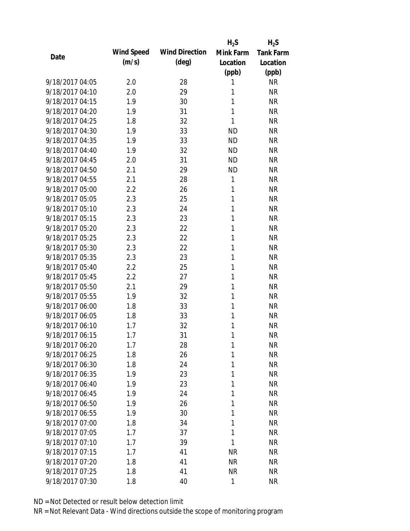|                 |            |                       | $H_2S$    | $H_2S$           |
|-----------------|------------|-----------------------|-----------|------------------|
| Date            | Wind Speed | <b>Wind Direction</b> | Mink Farm | <b>Tank Farm</b> |
|                 | (m/s)      | $(\text{deg})$        | Location  | Location         |
|                 |            |                       | (ppb)     | (ppb)            |
| 9/18/2017 04:05 | 2.0        | 28                    | 1         | <b>NR</b>        |
| 9/18/2017 04:10 | 2.0        | 29                    | 1         | <b>NR</b>        |
| 9/18/2017 04:15 | 1.9        | 30                    | 1         | <b>NR</b>        |
| 9/18/2017 04:20 | 1.9        | 31                    | 1         | <b>NR</b>        |
| 9/18/2017 04:25 | 1.8        | 32                    | 1         | <b>NR</b>        |
| 9/18/2017 04:30 | 1.9        | 33                    | <b>ND</b> | <b>NR</b>        |
| 9/18/2017 04:35 | 1.9        | 33                    | <b>ND</b> | <b>NR</b>        |
| 9/18/2017 04:40 | 1.9        | 32                    | <b>ND</b> | <b>NR</b>        |
| 9/18/2017 04:45 | 2.0        | 31                    | <b>ND</b> | <b>NR</b>        |
| 9/18/2017 04:50 | 2.1        | 29                    | <b>ND</b> | <b>NR</b>        |
| 9/18/2017 04:55 | 2.1        | 28                    | 1         | <b>NR</b>        |
| 9/18/2017 05:00 | 2.2        | 26                    | 1         | <b>NR</b>        |
| 9/18/2017 05:05 | 2.3        | 25                    | 1         | <b>NR</b>        |
| 9/18/2017 05:10 | 2.3        | 24                    | 1         | <b>NR</b>        |
| 9/18/2017 05:15 | 2.3        | 23                    | 1         | <b>NR</b>        |
| 9/18/2017 05:20 | 2.3        | 22                    | 1         | <b>NR</b>        |
| 9/18/2017 05:25 | 2.3        | 22                    | 1         | <b>NR</b>        |
| 9/18/2017 05:30 | 2.3        | 22                    | 1         | <b>NR</b>        |
| 9/18/2017 05:35 | 2.3        | 23                    | 1         | <b>NR</b>        |
| 9/18/2017 05:40 | 2.2        | 25                    | 1         | <b>NR</b>        |
| 9/18/2017 05:45 | 2.2        | 27                    | 1         | <b>NR</b>        |
| 9/18/2017 05:50 | 2.1        | 29                    | 1         | <b>NR</b>        |
| 9/18/2017 05:55 | 1.9        | 32                    | 1         | <b>NR</b>        |
| 9/18/2017 06:00 | 1.8        | 33                    | 1         | <b>NR</b>        |
| 9/18/2017 06:05 | 1.8        | 33                    | 1         | <b>NR</b>        |
| 9/18/2017 06:10 | 1.7        | 32                    | 1         | <b>NR</b>        |
| 9/18/2017 06:15 | 1.7        | 31                    | 1         | <b>NR</b>        |
| 9/18/2017 06:20 | 1.7        | 28                    | 1         | <b>NR</b>        |
| 9/18/2017 06:25 | 1.8        | 26                    | 1         | <b>NR</b>        |
| 9/18/2017 06:30 | 1.8        | 24                    | 1         | <b>NR</b>        |
| 9/18/2017 06:35 | 1.9        | 23                    | 1         | <b>NR</b>        |
| 9/18/2017 06:40 | 1.9        | 23                    | 1         | <b>NR</b>        |
| 9/18/2017 06:45 | 1.9        | 24                    | 1         | <b>NR</b>        |
| 9/18/2017 06:50 | 1.9        | 26                    | 1         | <b>NR</b>        |
| 9/18/2017 06:55 | 1.9        | 30                    | 1         | <b>NR</b>        |
| 9/18/2017 07:00 | 1.8        | 34                    | 1         | <b>NR</b>        |
| 9/18/2017 07:05 | 1.7        | 37                    | 1         | <b>NR</b>        |
| 9/18/2017 07:10 | 1.7        | 39                    | 1         | <b>NR</b>        |
| 9/18/2017 07:15 | 1.7        | 41                    | <b>NR</b> | <b>NR</b>        |
| 9/18/2017 07:20 | 1.8        | 41                    | <b>NR</b> | <b>NR</b>        |
| 9/18/2017 07:25 | 1.8        | 41                    | <b>NR</b> | <b>NR</b>        |
| 9/18/2017 07:30 | 1.8        | 40                    | 1         | <b>NR</b>        |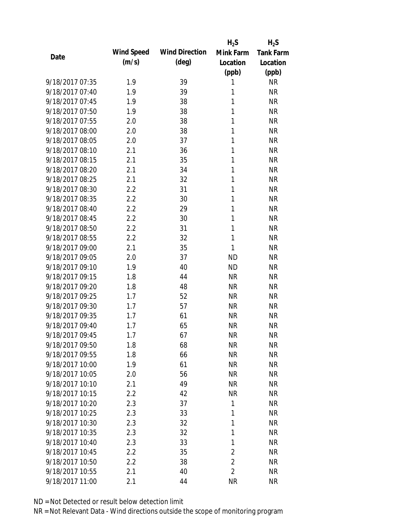|                 |            |                       | $H_2S$         | $H_2S$           |
|-----------------|------------|-----------------------|----------------|------------------|
| Date            | Wind Speed | <b>Wind Direction</b> | Mink Farm      | <b>Tank Farm</b> |
|                 | (m/s)      | $(\text{deg})$        | Location       | Location         |
|                 |            |                       | (ppb)          | (ppb)            |
| 9/18/2017 07:35 | 1.9        | 39                    | 1              | <b>NR</b>        |
| 9/18/2017 07:40 | 1.9        | 39                    | 1              | <b>NR</b>        |
| 9/18/2017 07:45 | 1.9        | 38                    | 1              | <b>NR</b>        |
| 9/18/2017 07:50 | 1.9        | 38                    | 1              | <b>NR</b>        |
| 9/18/2017 07:55 | 2.0        | 38                    | 1              | <b>NR</b>        |
| 9/18/2017 08:00 | 2.0        | 38                    | 1              | <b>NR</b>        |
| 9/18/2017 08:05 | 2.0        | 37                    | 1              | <b>NR</b>        |
| 9/18/2017 08:10 | 2.1        | 36                    | 1              | <b>NR</b>        |
| 9/18/2017 08:15 | 2.1        | 35                    | 1              | <b>NR</b>        |
| 9/18/2017 08:20 | 2.1        | 34                    | 1              | <b>NR</b>        |
| 9/18/2017 08:25 | 2.1        | 32                    | 1              | <b>NR</b>        |
| 9/18/2017 08:30 | 2.2        | 31                    | 1              | <b>NR</b>        |
| 9/18/2017 08:35 | 2.2        | 30                    | 1              | <b>NR</b>        |
| 9/18/2017 08:40 | 2.2        | 29                    | 1              | <b>NR</b>        |
| 9/18/2017 08:45 | 2.2        | 30                    | 1              | <b>NR</b>        |
| 9/18/2017 08:50 | 2.2        | 31                    | 1              | <b>NR</b>        |
| 9/18/2017 08:55 | 2.2        | 32                    | 1              | <b>NR</b>        |
| 9/18/2017 09:00 | 2.1        | 35                    | 1              | <b>NR</b>        |
| 9/18/2017 09:05 | 2.0        | 37                    | <b>ND</b>      | <b>NR</b>        |
| 9/18/2017 09:10 | 1.9        | 40                    | <b>ND</b>      | <b>NR</b>        |
| 9/18/2017 09:15 | 1.8        | 44                    | <b>NR</b>      | <b>NR</b>        |
| 9/18/2017 09:20 | 1.8        | 48                    | <b>NR</b>      | <b>NR</b>        |
| 9/18/2017 09:25 | 1.7        | 52                    | <b>NR</b>      | <b>NR</b>        |
| 9/18/2017 09:30 | 1.7        | 57                    | <b>NR</b>      | <b>NR</b>        |
| 9/18/2017 09:35 | 1.7        | 61                    | <b>NR</b>      | <b>NR</b>        |
| 9/18/2017 09:40 | 1.7        | 65                    | <b>NR</b>      | <b>NR</b>        |
| 9/18/2017 09:45 | 1.7        | 67                    | <b>NR</b>      | <b>NR</b>        |
| 9/18/2017 09:50 | 1.8        | 68                    | <b>NR</b>      | NR               |
| 9/18/2017 09:55 | 1.8        | 66                    | <b>NR</b>      | <b>NR</b>        |
| 9/18/2017 10:00 | 1.9        | 61                    | <b>NR</b>      | <b>NR</b>        |
| 9/18/2017 10:05 | 2.0        | 56                    | <b>NR</b>      | <b>NR</b>        |
| 9/18/2017 10:10 | 2.1        | 49                    | <b>NR</b>      | <b>NR</b>        |
| 9/18/2017 10:15 | 2.2        | 42                    | <b>NR</b>      | <b>NR</b>        |
| 9/18/2017 10:20 | 2.3        | 37                    | 1              | <b>NR</b>        |
| 9/18/2017 10:25 | 2.3        | 33                    | 1              | <b>NR</b>        |
| 9/18/2017 10:30 | 2.3        | 32                    | 1              | <b>NR</b>        |
| 9/18/2017 10:35 | 2.3        | 32                    | 1              | <b>NR</b>        |
| 9/18/2017 10:40 | 2.3        | 33                    | 1              | <b>NR</b>        |
| 9/18/2017 10:45 | 2.2        | 35                    | $\overline{2}$ | <b>NR</b>        |
| 9/18/2017 10:50 | 2.2        | 38                    | $\overline{2}$ | <b>NR</b>        |
| 9/18/2017 10:55 | 2.1        | 40                    | $\overline{2}$ | <b>NR</b>        |
| 9/18/2017 11:00 | 2.1        | 44                    | <b>NR</b>      | <b>NR</b>        |
|                 |            |                       |                |                  |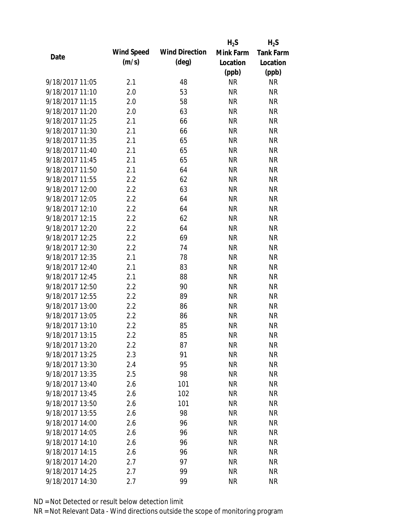|                 |            |                       | $H_2S$    | $H_2S$           |
|-----------------|------------|-----------------------|-----------|------------------|
|                 | Wind Speed | <b>Wind Direction</b> | Mink Farm | <b>Tank Farm</b> |
| Date            | (m/s)      | $(\text{deg})$        | Location  | Location         |
|                 |            |                       | (ppb)     | (ppb)            |
| 9/18/2017 11:05 | 2.1        | 48                    | <b>NR</b> | <b>NR</b>        |
| 9/18/2017 11:10 | 2.0        | 53                    | <b>NR</b> | <b>NR</b>        |
| 9/18/2017 11:15 | 2.0        | 58                    | <b>NR</b> | <b>NR</b>        |
| 9/18/2017 11:20 | 2.0        | 63                    | <b>NR</b> | <b>NR</b>        |
| 9/18/2017 11:25 | 2.1        | 66                    | <b>NR</b> | <b>NR</b>        |
| 9/18/2017 11:30 | 2.1        | 66                    | <b>NR</b> | <b>NR</b>        |
| 9/18/2017 11:35 | 2.1        | 65                    | <b>NR</b> | <b>NR</b>        |
| 9/18/2017 11:40 | 2.1        | 65                    | <b>NR</b> | <b>NR</b>        |
| 9/18/2017 11:45 | 2.1        | 65                    | <b>NR</b> | <b>NR</b>        |
| 9/18/2017 11:50 | 2.1        | 64                    | <b>NR</b> | <b>NR</b>        |
| 9/18/2017 11:55 | 2.2        | 62                    | <b>NR</b> | <b>NR</b>        |
| 9/18/2017 12:00 | 2.2        | 63                    | <b>NR</b> | <b>NR</b>        |
| 9/18/2017 12:05 | 2.2        | 64                    | <b>NR</b> | <b>NR</b>        |
| 9/18/2017 12:10 | 2.2        | 64                    | <b>NR</b> | <b>NR</b>        |
| 9/18/2017 12:15 | 2.2        | 62                    | <b>NR</b> | <b>NR</b>        |
| 9/18/2017 12:20 | 2.2        | 64                    | <b>NR</b> | <b>NR</b>        |
| 9/18/2017 12:25 | 2.2        | 69                    | <b>NR</b> | <b>NR</b>        |
| 9/18/2017 12:30 | 2.2        | 74                    | <b>NR</b> | <b>NR</b>        |
| 9/18/2017 12:35 | 2.1        | 78                    | <b>NR</b> | <b>NR</b>        |
| 9/18/2017 12:40 | 2.1        | 83                    | <b>NR</b> | <b>NR</b>        |
| 9/18/2017 12:45 | 2.1        | 88                    | <b>NR</b> | <b>NR</b>        |
| 9/18/2017 12:50 | 2.2        | 90                    | <b>NR</b> | <b>NR</b>        |
| 9/18/2017 12:55 | 2.2        | 89                    | <b>NR</b> | <b>NR</b>        |
| 9/18/2017 13:00 | 2.2        | 86                    | <b>NR</b> | <b>NR</b>        |
| 9/18/2017 13:05 | 2.2        | 86                    | <b>NR</b> | <b>NR</b>        |
| 9/18/2017 13:10 | 2.2        | 85                    | <b>NR</b> | <b>NR</b>        |
| 9/18/2017 13:15 | 2.2        | 85                    | <b>NR</b> | <b>NR</b>        |
| 9/18/2017 13:20 | $2.2\,$    | 87                    | <b>NR</b> | <b>NR</b>        |
| 9/18/2017 13:25 | 2.3        | 91                    | <b>NR</b> | <b>NR</b>        |
| 9/18/2017 13:30 | 2.4        | 95                    | <b>NR</b> | NR               |
| 9/18/2017 13:35 | 2.5        | 98                    | <b>NR</b> | <b>NR</b>        |
| 9/18/2017 13:40 | 2.6        | 101                   | <b>NR</b> | NR               |
| 9/18/2017 13:45 | 2.6        | 102                   | <b>NR</b> | <b>NR</b>        |
| 9/18/2017 13:50 | 2.6        | 101                   | <b>NR</b> | <b>NR</b>        |
| 9/18/2017 13:55 | 2.6        | 98                    | <b>NR</b> | <b>NR</b>        |
| 9/18/2017 14:00 | 2.6        | 96                    | <b>NR</b> | <b>NR</b>        |
| 9/18/2017 14:05 | 2.6        | 96                    | <b>NR</b> | NR               |
| 9/18/2017 14:10 | 2.6        | 96                    | NR        | NR               |
| 9/18/2017 14:15 | 2.6        | 96                    | <b>NR</b> | NR               |
| 9/18/2017 14:20 |            | 97                    | <b>NR</b> |                  |
|                 | 2.7        |                       |           | NR               |
| 9/18/2017 14:25 | 2.7        | 99                    | <b>NR</b> | <b>NR</b>        |
| 9/18/2017 14:30 | 2.7        | 99                    | <b>NR</b> | <b>NR</b>        |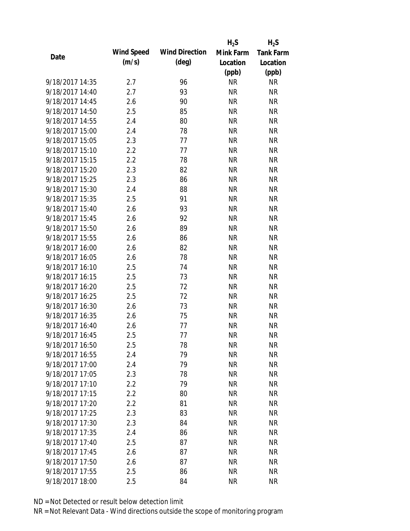|                 |            |                       | $H_2S$    | $H_2S$           |
|-----------------|------------|-----------------------|-----------|------------------|
| Date            | Wind Speed | <b>Wind Direction</b> | Mink Farm | <b>Tank Farm</b> |
|                 | (m/s)      | $(\text{deg})$        | Location  | Location         |
|                 |            |                       | (ppb)     | (ppb)            |
| 9/18/2017 14:35 | 2.7        | 96                    | <b>NR</b> | NR               |
| 9/18/2017 14:40 | 2.7        | 93                    | <b>NR</b> | <b>NR</b>        |
| 9/18/2017 14:45 | 2.6        | 90                    | <b>NR</b> | <b>NR</b>        |
| 9/18/2017 14:50 | 2.5        | 85                    | <b>NR</b> | <b>NR</b>        |
| 9/18/2017 14:55 | 2.4        | 80                    | <b>NR</b> | <b>NR</b>        |
| 9/18/2017 15:00 | 2.4        | 78                    | <b>NR</b> | <b>NR</b>        |
| 9/18/2017 15:05 | 2.3        | 77                    | <b>NR</b> | <b>NR</b>        |
| 9/18/2017 15:10 | 2.2        | 77                    | <b>NR</b> | <b>NR</b>        |
| 9/18/2017 15:15 | 2.2        | 78                    | <b>NR</b> | <b>NR</b>        |
| 9/18/2017 15:20 | 2.3        | 82                    | <b>NR</b> | <b>NR</b>        |
| 9/18/2017 15:25 | 2.3        | 86                    | <b>NR</b> | <b>NR</b>        |
| 9/18/2017 15:30 | 2.4        | 88                    | <b>NR</b> | <b>NR</b>        |
| 9/18/2017 15:35 | 2.5        | 91                    | <b>NR</b> | <b>NR</b>        |
| 9/18/2017 15:40 | 2.6        | 93                    | <b>NR</b> | <b>NR</b>        |
| 9/18/2017 15:45 | 2.6        | 92                    | <b>NR</b> | <b>NR</b>        |
| 9/18/2017 15:50 | 2.6        | 89                    | <b>NR</b> | <b>NR</b>        |
| 9/18/2017 15:55 | 2.6        | 86                    | <b>NR</b> | <b>NR</b>        |
| 9/18/2017 16:00 | 2.6        | 82                    | <b>NR</b> | <b>NR</b>        |
| 9/18/2017 16:05 | 2.6        | 78                    | <b>NR</b> | <b>NR</b>        |
| 9/18/2017 16:10 | 2.5        | 74                    | <b>NR</b> | <b>NR</b>        |
| 9/18/2017 16:15 | 2.5        | 73                    | <b>NR</b> | <b>NR</b>        |
| 9/18/2017 16:20 | 2.5        | 72                    | <b>NR</b> | <b>NR</b>        |
| 9/18/2017 16:25 | 2.5        | 72                    | <b>NR</b> | <b>NR</b>        |
| 9/18/2017 16:30 | 2.6        | 73                    | <b>NR</b> | <b>NR</b>        |
| 9/18/2017 16:35 | 2.6        | 75                    | <b>NR</b> | <b>NR</b>        |
| 9/18/2017 16:40 | 2.6        | 77                    | <b>NR</b> | <b>NR</b>        |
| 9/18/2017 16:45 | 2.5        | 77                    | <b>NR</b> | <b>NR</b>        |
| 9/18/2017 16:50 | 2.5        | 78                    | <b>NR</b> | NR               |
| 9/18/2017 16:55 | 2.4        | 79                    | <b>NR</b> | <b>NR</b>        |
| 9/18/2017 17:00 | 2.4        | 79                    | <b>NR</b> | <b>NR</b>        |
| 9/18/2017 17:05 | 2.3        | 78                    | <b>NR</b> | <b>NR</b>        |
| 9/18/2017 17:10 | 2.2        | 79                    | <b>NR</b> | NR               |
| 9/18/2017 17:15 | 2.2        | 80                    | <b>NR</b> | <b>NR</b>        |
| 9/18/2017 17:20 | 2.2        | 81                    | <b>NR</b> | <b>NR</b>        |
| 9/18/2017 17:25 | 2.3        | 83                    | <b>NR</b> | <b>NR</b>        |
| 9/18/2017 17:30 | 2.3        | 84                    | <b>NR</b> | <b>NR</b>        |
| 9/18/2017 17:35 | 2.4        | 86                    | <b>NR</b> | <b>NR</b>        |
| 9/18/2017 17:40 | 2.5        | 87                    | NR        | <b>NR</b>        |
| 9/18/2017 17:45 | 2.6        | 87                    | <b>NR</b> | NR               |
| 9/18/2017 17:50 | 2.6        | 87                    | NR        | NR               |
| 9/18/2017 17:55 | 2.5        | 86                    | <b>NR</b> | <b>NR</b>        |
| 9/18/2017 18:00 | 2.5        | 84                    | <b>NR</b> | <b>NR</b>        |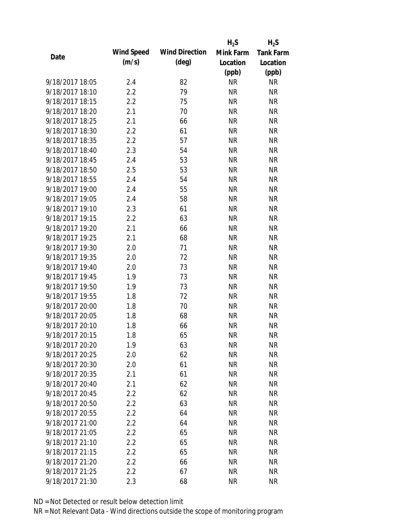|                 |            |                       | $H_2S$    | $H_2S$           |
|-----------------|------------|-----------------------|-----------|------------------|
| Date            | Wind Speed | <b>Wind Direction</b> | Mink Farm | <b>Tank Farm</b> |
|                 | (m/s)      | $(\text{deg})$        | Location  | Location         |
|                 |            |                       | (ppb)     | (ppb)            |
| 9/18/2017 18:05 | 2.4        | 82                    | <b>NR</b> | NR               |
| 9/18/2017 18:10 | 2.2        | 79                    | <b>NR</b> | <b>NR</b>        |
| 9/18/2017 18:15 | 2.2        | 75                    | <b>NR</b> | <b>NR</b>        |
| 9/18/2017 18:20 | 2.1        | 70                    | <b>NR</b> | <b>NR</b>        |
| 9/18/2017 18:25 | 2.1        | 66                    | <b>NR</b> | <b>NR</b>        |
| 9/18/2017 18:30 | 2.2        | 61                    | <b>NR</b> | <b>NR</b>        |
| 9/18/2017 18:35 | 2.2        | 57                    | <b>NR</b> | <b>NR</b>        |
| 9/18/2017 18:40 | 2.3        | 54                    | <b>NR</b> | <b>NR</b>        |
| 9/18/2017 18:45 | 2.4        | 53                    | <b>NR</b> | <b>NR</b>        |
| 9/18/2017 18:50 | 2.5        | 53                    | <b>NR</b> | <b>NR</b>        |
| 9/18/2017 18:55 | 2.4        | 54                    | <b>NR</b> | <b>NR</b>        |
| 9/18/2017 19:00 | 2.4        | 55                    | <b>NR</b> | <b>NR</b>        |
| 9/18/2017 19:05 | 2.4        | 58                    | <b>NR</b> | <b>NR</b>        |
| 9/18/2017 19:10 | 2.3        | 61                    | <b>NR</b> | <b>NR</b>        |
| 9/18/2017 19:15 | 2.2        | 63                    | <b>NR</b> | <b>NR</b>        |
| 9/18/2017 19:20 | 2.1        | 66                    | <b>NR</b> | <b>NR</b>        |
| 9/18/2017 19:25 | 2.1        | 68                    | <b>NR</b> | <b>NR</b>        |
| 9/18/2017 19:30 | 2.0        | 71                    | <b>NR</b> | <b>NR</b>        |
| 9/18/2017 19:35 | 2.0        | 72                    | <b>NR</b> | <b>NR</b>        |
| 9/18/2017 19:40 | 2.0        | 73                    | <b>NR</b> | <b>NR</b>        |
| 9/18/2017 19:45 | 1.9        | 73                    | <b>NR</b> | <b>NR</b>        |
| 9/18/2017 19:50 | 1.9        | 73                    | <b>NR</b> | <b>NR</b>        |
| 9/18/2017 19:55 | 1.8        | 72                    | <b>NR</b> | <b>NR</b>        |
| 9/18/2017 20:00 | 1.8        | 70                    | <b>NR</b> | <b>NR</b>        |
| 9/18/2017 20:05 | 1.8        | 68                    | <b>NR</b> | <b>NR</b>        |
| 9/18/2017 20:10 | 1.8        | 66                    | <b>NR</b> | <b>NR</b>        |
| 9/18/2017 20:15 | 1.8        | 65                    | <b>NR</b> | <b>NR</b>        |
| 9/18/2017 20:20 | 1.9        | 63                    | <b>NR</b> | NR               |
| 9/18/2017 20:25 | 2.0        | 62                    | <b>NR</b> | <b>NR</b>        |
| 9/18/2017 20:30 | 2.0        | 61                    | <b>NR</b> | <b>NR</b>        |
| 9/18/2017 20:35 | 2.1        | 61                    | <b>NR</b> | <b>NR</b>        |
| 9/18/2017 20:40 | 2.1        | 62                    | <b>NR</b> | NR               |
| 9/18/2017 20:45 | 2.2        | 62                    | <b>NR</b> | <b>NR</b>        |
| 9/18/2017 20:50 | 2.2        | 63                    | <b>NR</b> | <b>NR</b>        |
| 9/18/2017 20:55 | $2.2\,$    | 64                    | <b>NR</b> | <b>NR</b>        |
| 9/18/2017 21:00 | $2.2\,$    | 64                    | <b>NR</b> | <b>NR</b>        |
| 9/18/2017 21:05 | 2.2        | 65                    | <b>NR</b> | <b>NR</b>        |
| 9/18/2017 21:10 | $2.2\,$    | 65                    | NR        | <b>NR</b>        |
| 9/18/2017 21:15 | 2.2        | 65                    | <b>NR</b> | <b>NR</b>        |
| 9/18/2017 21:20 | 2.2        | 66                    | NR        | <b>NR</b>        |
| 9/18/2017 21:25 | 2.2        | 67                    | <b>NR</b> | <b>NR</b>        |
| 9/18/2017 21:30 | 2.3        | 68                    | <b>NR</b> | <b>NR</b>        |
|                 |            |                       |           |                  |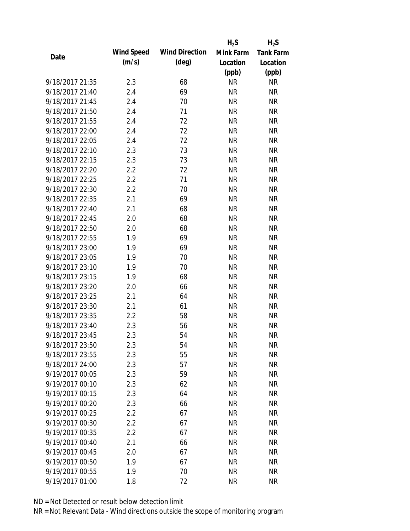|                 |            |                       | $H_2S$    | $H_2S$           |
|-----------------|------------|-----------------------|-----------|------------------|
| Date            | Wind Speed | <b>Wind Direction</b> | Mink Farm | <b>Tank Farm</b> |
|                 | (m/s)      | $(\text{deg})$        | Location  | Location         |
|                 |            |                       | (ppb)     | (ppb)            |
| 9/18/2017 21:35 | 2.3        | 68                    | <b>NR</b> | NR               |
| 9/18/2017 21:40 | 2.4        | 69                    | <b>NR</b> | <b>NR</b>        |
| 9/18/2017 21:45 | 2.4        | 70                    | <b>NR</b> | <b>NR</b>        |
| 9/18/2017 21:50 | 2.4        | 71                    | <b>NR</b> | <b>NR</b>        |
| 9/18/2017 21:55 | 2.4        | 72                    | <b>NR</b> | <b>NR</b>        |
| 9/18/2017 22:00 | 2.4        | 72                    | <b>NR</b> | <b>NR</b>        |
| 9/18/2017 22:05 | 2.4        | 72                    | <b>NR</b> | <b>NR</b>        |
| 9/18/2017 22:10 | 2.3        | 73                    | <b>NR</b> | <b>NR</b>        |
| 9/18/2017 22:15 | 2.3        | 73                    | <b>NR</b> | <b>NR</b>        |
| 9/18/2017 22:20 | 2.2        | 72                    | <b>NR</b> | <b>NR</b>        |
| 9/18/2017 22:25 | 2.2        | 71                    | <b>NR</b> | <b>NR</b>        |
| 9/18/2017 22:30 | 2.2        | 70                    | <b>NR</b> | <b>NR</b>        |
| 9/18/2017 22:35 | 2.1        | 69                    | <b>NR</b> | <b>NR</b>        |
| 9/18/2017 22:40 | 2.1        | 68                    | <b>NR</b> | <b>NR</b>        |
| 9/18/2017 22:45 | 2.0        | 68                    | <b>NR</b> | <b>NR</b>        |
| 9/18/2017 22:50 | 2.0        | 68                    | <b>NR</b> | <b>NR</b>        |
| 9/18/2017 22:55 | 1.9        | 69                    | <b>NR</b> | <b>NR</b>        |
| 9/18/2017 23:00 | 1.9        | 69                    | <b>NR</b> | <b>NR</b>        |
| 9/18/2017 23:05 | 1.9        | 70                    | <b>NR</b> | <b>NR</b>        |
| 9/18/2017 23:10 | 1.9        | 70                    | <b>NR</b> | <b>NR</b>        |
| 9/18/2017 23:15 | 1.9        | 68                    | <b>NR</b> | <b>NR</b>        |
| 9/18/2017 23:20 | 2.0        | 66                    | <b>NR</b> | <b>NR</b>        |
| 9/18/2017 23:25 | 2.1        | 64                    | <b>NR</b> | <b>NR</b>        |
| 9/18/2017 23:30 | 2.1        | 61                    | <b>NR</b> | <b>NR</b>        |
| 9/18/2017 23:35 | 2.2        | 58                    | <b>NR</b> | <b>NR</b>        |
| 9/18/2017 23:40 | 2.3        | 56                    | <b>NR</b> | <b>NR</b>        |
| 9/18/2017 23:45 | 2.3        | 54                    | <b>NR</b> | <b>NR</b>        |
| 9/18/2017 23:50 | 2.3        | 54                    | <b>NR</b> | NR               |
| 9/18/2017 23:55 | 2.3        | 55                    | <b>NR</b> | <b>NR</b>        |
| 9/18/2017 24:00 | 2.3        | 57                    | <b>NR</b> | <b>NR</b>        |
| 9/19/2017 00:05 | 2.3        | 59                    | <b>NR</b> | <b>NR</b>        |
| 9/19/2017 00:10 | 2.3        | 62                    | <b>NR</b> | NR               |
| 9/19/2017 00:15 | 2.3        | 64                    | <b>NR</b> | <b>NR</b>        |
| 9/19/2017 00:20 | 2.3        | 66                    | <b>NR</b> | <b>NR</b>        |
| 9/19/2017 00:25 | 2.2        | 67                    | <b>NR</b> | <b>NR</b>        |
| 9/19/2017 00:30 | 2.2        | 67                    | <b>NR</b> | <b>NR</b>        |
| 9/19/2017 00:35 | 2.2        | 67                    | <b>NR</b> | <b>NR</b>        |
| 9/19/2017 00:40 | 2.1        | 66                    | NR        | <b>NR</b>        |
| 9/19/2017 00:45 | 2.0        | 67                    | <b>NR</b> | <b>NR</b>        |
| 9/19/2017 00:50 | 1.9        | 67                    |           | <b>NR</b>        |
|                 |            |                       | NR        |                  |
| 9/19/2017 00:55 | 1.9        | 70                    | <b>NR</b> | <b>NR</b>        |
| 9/19/2017 01:00 | 1.8        | 72                    | <b>NR</b> | <b>NR</b>        |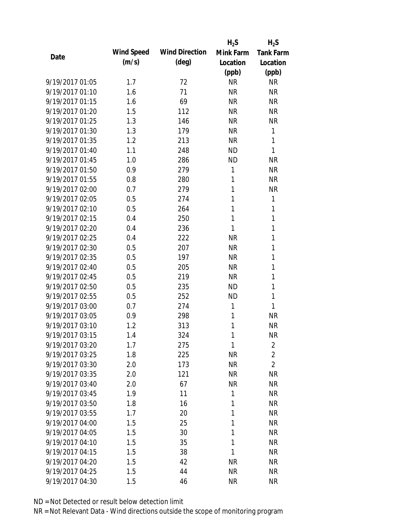|                 |            |                       | $H_2S$    | $H_2S$           |
|-----------------|------------|-----------------------|-----------|------------------|
| Date            | Wind Speed | <b>Wind Direction</b> | Mink Farm | <b>Tank Farm</b> |
|                 | (m/s)      | $(\text{deg})$        | Location  | Location         |
|                 |            |                       | (ppb)     | (ppb)            |
| 9/19/2017 01:05 | 1.7        | 72                    | <b>NR</b> | <b>NR</b>        |
| 9/19/2017 01:10 | 1.6        | 71                    | <b>NR</b> | <b>NR</b>        |
| 9/19/2017 01:15 | 1.6        | 69                    | <b>NR</b> | <b>NR</b>        |
| 9/19/2017 01:20 | 1.5        | 112                   | <b>NR</b> | <b>NR</b>        |
| 9/19/2017 01:25 | 1.3        | 146                   | <b>NR</b> | <b>NR</b>        |
| 9/19/2017 01:30 | 1.3        | 179                   | <b>NR</b> | 1                |
| 9/19/2017 01:35 | 1.2        | 213                   | <b>NR</b> | 1                |
| 9/19/2017 01:40 | 1.1        | 248                   | <b>ND</b> | 1                |
| 9/19/2017 01:45 | 1.0        | 286                   | <b>ND</b> | <b>NR</b>        |
| 9/19/2017 01:50 | 0.9        | 279                   | 1         | <b>NR</b>        |
| 9/19/2017 01:55 | 0.8        | 280                   | 1         | <b>NR</b>        |
| 9/19/2017 02:00 | 0.7        | 279                   | 1         | <b>NR</b>        |
| 9/19/2017 02:05 | 0.5        | 274                   | 1         | 1                |
| 9/19/2017 02:10 | 0.5        | 264                   | 1         | 1                |
| 9/19/2017 02:15 | 0.4        | 250                   | 1         | 1                |
| 9/19/2017 02:20 | 0.4        | 236                   | 1         | 1                |
| 9/19/2017 02:25 | 0.4        | 222                   | <b>NR</b> | 1                |
| 9/19/2017 02:30 | 0.5        | 207                   | <b>NR</b> | 1                |
| 9/19/2017 02:35 | 0.5        | 197                   | <b>NR</b> | 1                |
| 9/19/2017 02:40 | 0.5        | 205                   | <b>NR</b> | 1                |
| 9/19/2017 02:45 | 0.5        | 219                   | <b>NR</b> | 1                |
| 9/19/2017 02:50 | 0.5        | 235                   | <b>ND</b> | 1                |
| 9/19/2017 02:55 | 0.5        | 252                   | <b>ND</b> | 1                |
| 9/19/2017 03:00 | 0.7        | 274                   | 1         | 1                |
| 9/19/2017 03:05 | 0.9        | 298                   | 1         | <b>NR</b>        |
| 9/19/2017 03:10 | 1.2        | 313                   | 1         | <b>NR</b>        |
| 9/19/2017 03:15 | 1.4        | 324                   | 1         | <b>NR</b>        |
| 9/19/2017 03:20 | 1.7        | 275                   | 1         | $\overline{2}$   |
| 9/19/2017 03:25 | 1.8        | 225                   | <b>NR</b> | $\overline{2}$   |
| 9/19/2017 03:30 | 2.0        | 173                   | <b>NR</b> | $\overline{2}$   |
| 9/19/2017 03:35 | 2.0        | 121                   | <b>NR</b> | <b>NR</b>        |
| 9/19/2017 03:40 | 2.0        | 67                    | <b>NR</b> | <b>NR</b>        |
| 9/19/2017 03:45 | 1.9        | 11                    | 1         | <b>NR</b>        |
| 9/19/2017 03:50 | 1.8        | 16                    | 1         | <b>NR</b>        |
| 9/19/2017 03:55 | 1.7        | 20                    | 1         | <b>NR</b>        |
| 9/19/2017 04:00 | 1.5        | 25                    | 1         | <b>NR</b>        |
| 9/19/2017 04:05 | 1.5        | 30                    | 1         | NR               |
| 9/19/2017 04:10 | 1.5        | 35                    | 1         | <b>NR</b>        |
| 9/19/2017 04:15 | 1.5        | 38                    | 1         | <b>NR</b>        |
| 9/19/2017 04:20 | 1.5        | 42                    | NR        | <b>NR</b>        |
| 9/19/2017 04:25 | 1.5        | 44                    | <b>NR</b> | <b>NR</b>        |
| 9/19/2017 04:30 | 1.5        | 46                    | <b>NR</b> | <b>NR</b>        |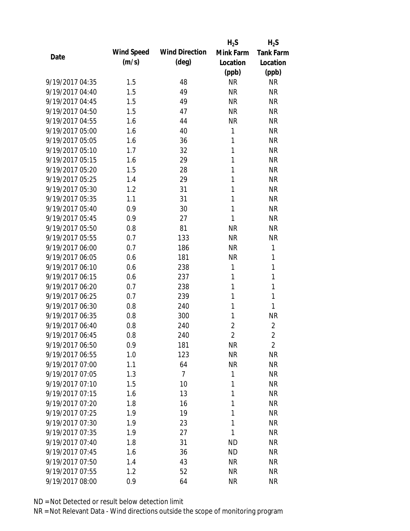|                 |            |                       | $H_2S$         | $H_2S$           |
|-----------------|------------|-----------------------|----------------|------------------|
| Date            | Wind Speed | <b>Wind Direction</b> | Mink Farm      | <b>Tank Farm</b> |
|                 | (m/s)      | $(\text{deg})$        | Location       | Location         |
|                 |            |                       | (ppb)          | (ppb)            |
| 9/19/2017 04:35 | 1.5        | 48                    | <b>NR</b>      | <b>NR</b>        |
| 9/19/2017 04:40 | 1.5        | 49                    | <b>NR</b>      | <b>NR</b>        |
| 9/19/2017 04:45 | 1.5        | 49                    | <b>NR</b>      | <b>NR</b>        |
| 9/19/2017 04:50 | 1.5        | 47                    | <b>NR</b>      | <b>NR</b>        |
| 9/19/2017 04:55 | 1.6        | 44                    | <b>NR</b>      | <b>NR</b>        |
| 9/19/2017 05:00 | 1.6        | 40                    | 1              | <b>NR</b>        |
| 9/19/2017 05:05 | 1.6        | 36                    | 1              | <b>NR</b>        |
| 9/19/2017 05:10 | 1.7        | 32                    | 1              | <b>NR</b>        |
| 9/19/2017 05:15 | 1.6        | 29                    | 1              | <b>NR</b>        |
| 9/19/2017 05:20 | 1.5        | 28                    | 1              | <b>NR</b>        |
| 9/19/2017 05:25 | 1.4        | 29                    | 1              | <b>NR</b>        |
| 9/19/2017 05:30 | 1.2        | 31                    | 1              | <b>NR</b>        |
| 9/19/2017 05:35 | 1.1        | 31                    | 1              | <b>NR</b>        |
| 9/19/2017 05:40 | 0.9        | 30                    | 1              | <b>NR</b>        |
| 9/19/2017 05:45 | 0.9        | 27                    | 1              | <b>NR</b>        |
| 9/19/2017 05:50 | 0.8        | 81                    | <b>NR</b>      | <b>NR</b>        |
| 9/19/2017 05:55 | 0.7        | 133                   | <b>NR</b>      | <b>NR</b>        |
| 9/19/2017 06:00 | 0.7        | 186                   | <b>NR</b>      | 1                |
| 9/19/2017 06:05 | 0.6        | 181                   | <b>NR</b>      | 1                |
| 9/19/2017 06:10 | 0.6        | 238                   | 1              | 1                |
| 9/19/2017 06:15 | 0.6        | 237                   | 1              | 1                |
| 9/19/2017 06:20 | 0.7        | 238                   | 1              | $\mathbf{1}$     |
| 9/19/2017 06:25 | 0.7        | 239                   | 1              | 1                |
| 9/19/2017 06:30 | 0.8        | 240                   | 1              | $\mathbf{1}$     |
| 9/19/2017 06:35 | 0.8        | 300                   | 1              | <b>NR</b>        |
| 9/19/2017 06:40 | 0.8        | 240                   | $\overline{c}$ | $\overline{2}$   |
| 9/19/2017 06:45 | 0.8        | 240                   | $\overline{2}$ | $\overline{2}$   |
| 9/19/2017 06:50 | 0.9        | 181                   | <b>NR</b>      | $\overline{2}$   |
| 9/19/2017 06:55 | 1.0        | 123                   | <b>NR</b>      | <b>NR</b>        |
| 9/19/2017 07:00 | 1.1        | 64                    | <b>NR</b>      | <b>NR</b>        |
| 9/19/2017 07:05 | 1.3        | 7                     | 1              | <b>NR</b>        |
| 9/19/2017 07:10 | 1.5        | 10                    | 1              | NR               |
| 9/19/2017 07:15 | 1.6        | 13                    | 1              | <b>NR</b>        |
| 9/19/2017 07:20 | 1.8        | 16                    | 1              | <b>NR</b>        |
| 9/19/2017 07:25 | 1.9        | 19                    | 1              | <b>NR</b>        |
| 9/19/2017 07:30 | 1.9        | 23                    | 1              | <b>NR</b>        |
| 9/19/2017 07:35 | 1.9        | 27                    | 1              | <b>NR</b>        |
| 9/19/2017 07:40 | 1.8        | 31                    | <b>ND</b>      | <b>NR</b>        |
| 9/19/2017 07:45 | 1.6        | 36                    | <b>ND</b>      | <b>NR</b>        |
| 9/19/2017 07:50 | 1.4        | 43                    | <b>NR</b>      | <b>NR</b>        |
| 9/19/2017 07:55 | 1.2        | 52                    | <b>NR</b>      | <b>NR</b>        |
| 9/19/2017 08:00 | 0.9        | 64                    | <b>NR</b>      | <b>NR</b>        |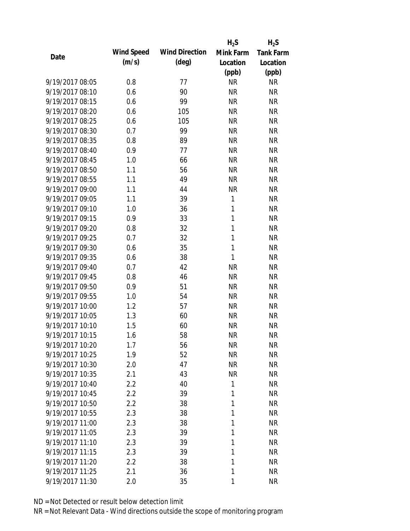|                 |            |                       | $H_2S$       | $H_2S$           |
|-----------------|------------|-----------------------|--------------|------------------|
|                 | Wind Speed | <b>Wind Direction</b> | Mink Farm    | <b>Tank Farm</b> |
| Date            | (m/s)      | $(\text{deg})$        | Location     | Location         |
|                 |            |                       | (ppb)        | (ppb)            |
| 9/19/2017 08:05 | 0.8        | 77                    | <b>NR</b>    | <b>NR</b>        |
| 9/19/2017 08:10 | 0.6        | 90                    | <b>NR</b>    | <b>NR</b>        |
| 9/19/2017 08:15 | 0.6        | 99                    | <b>NR</b>    | <b>NR</b>        |
| 9/19/2017 08:20 | 0.6        | 105                   | <b>NR</b>    | <b>NR</b>        |
| 9/19/2017 08:25 | 0.6        | 105                   | <b>NR</b>    | <b>NR</b>        |
| 9/19/2017 08:30 | 0.7        | 99                    | <b>NR</b>    | <b>NR</b>        |
| 9/19/2017 08:35 | 0.8        | 89                    | <b>NR</b>    | <b>NR</b>        |
| 9/19/2017 08:40 | 0.9        | 77                    | <b>NR</b>    | <b>NR</b>        |
| 9/19/2017 08:45 | 1.0        | 66                    | <b>NR</b>    | <b>NR</b>        |
| 9/19/2017 08:50 | 1.1        | 56                    | <b>NR</b>    | <b>NR</b>        |
| 9/19/2017 08:55 | 1.1        | 49                    | <b>NR</b>    | <b>NR</b>        |
| 9/19/2017 09:00 | 1.1        | 44                    | <b>NR</b>    | <b>NR</b>        |
| 9/19/2017 09:05 | 1.1        | 39                    | $\mathbf{1}$ | <b>NR</b>        |
| 9/19/2017 09:10 | 1.0        | 36                    | $\mathbf{1}$ | <b>NR</b>        |
| 9/19/2017 09:15 | 0.9        | 33                    | 1            | <b>NR</b>        |
| 9/19/2017 09:20 | 0.8        | 32                    | 1            | <b>NR</b>        |
| 9/19/2017 09:25 | 0.7        | 32                    | $\mathbf{1}$ | <b>NR</b>        |
| 9/19/2017 09:30 | 0.6        | 35                    | 1            | <b>NR</b>        |
| 9/19/2017 09:35 | 0.6        | 38                    | 1            | <b>NR</b>        |
| 9/19/2017 09:40 | 0.7        | 42                    | <b>NR</b>    | <b>NR</b>        |
| 9/19/2017 09:45 | 0.8        | 46                    | <b>NR</b>    | <b>NR</b>        |
| 9/19/2017 09:50 | 0.9        | 51                    | <b>NR</b>    | <b>NR</b>        |
| 9/19/2017 09:55 | 1.0        | 54                    | <b>NR</b>    | <b>NR</b>        |
| 9/19/2017 10:00 | 1.2        | 57                    | <b>NR</b>    | <b>NR</b>        |
| 9/19/2017 10:05 | 1.3        | 60                    | <b>NR</b>    | <b>NR</b>        |
| 9/19/2017 10:10 | 1.5        | 60                    | <b>NR</b>    | <b>NR</b>        |
| 9/19/2017 10:15 | 1.6        | 58                    | <b>NR</b>    | <b>NR</b>        |
| 9/19/2017 10:20 | 1.7        | 56                    | <b>NR</b>    | <b>NR</b>        |
| 9/19/2017 10:25 | 1.9        | 52                    | <b>NR</b>    | <b>NR</b>        |
| 9/19/2017 10:30 | 2.0        | 47                    | <b>NR</b>    | <b>NR</b>        |
| 9/19/2017 10:35 | 2.1        | 43                    | <b>NR</b>    | <b>NR</b>        |
| 9/19/2017 10:40 | 2.2        | 40                    | 1            | <b>NR</b>        |
| 9/19/2017 10:45 | 2.2        | 39                    | 1            | <b>NR</b>        |
| 9/19/2017 10:50 | 2.2        | 38                    | 1            | <b>NR</b>        |
| 9/19/2017 10:55 | 2.3        | 38                    | 1            | <b>NR</b>        |
| 9/19/2017 11:00 | 2.3        | 38                    | 1            | <b>NR</b>        |
| 9/19/2017 11:05 | 2.3        | 39                    | 1            | <b>NR</b>        |
| 9/19/2017 11:10 | 2.3        | 39                    | 1            | <b>NR</b>        |
| 9/19/2017 11:15 | 2.3        | 39                    | 1            | <b>NR</b>        |
| 9/19/2017 11:20 | 2.2        | 38                    | 1            | <b>NR</b>        |
| 9/19/2017 11:25 | 2.1        | 36                    | 1            | <b>NR</b>        |
| 9/19/2017 11:30 | 2.0        | 35                    | 1            | <b>NR</b>        |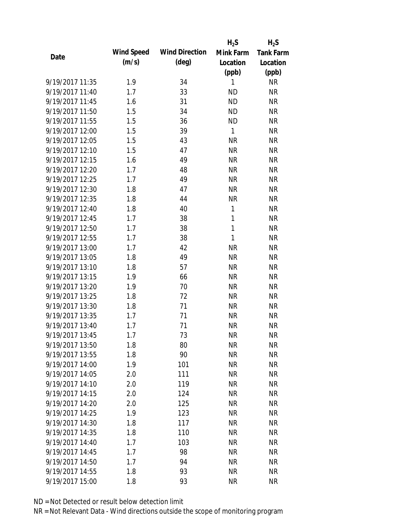|                 |            |                       | $H_2S$    | $H_2S$           |
|-----------------|------------|-----------------------|-----------|------------------|
| Date            | Wind Speed | <b>Wind Direction</b> | Mink Farm | <b>Tank Farm</b> |
|                 | (m/s)      | $(\text{deg})$        | Location  | Location         |
|                 |            |                       | (ppb)     | (ppb)            |
| 9/19/2017 11:35 | 1.9        | 34                    | 1         | <b>NR</b>        |
| 9/19/2017 11:40 | 1.7        | 33                    | <b>ND</b> | <b>NR</b>        |
| 9/19/2017 11:45 | 1.6        | 31                    | <b>ND</b> | <b>NR</b>        |
| 9/19/2017 11:50 | 1.5        | 34                    | <b>ND</b> | <b>NR</b>        |
| 9/19/2017 11:55 | 1.5        | 36                    | <b>ND</b> | <b>NR</b>        |
| 9/19/2017 12:00 | 1.5        | 39                    | 1         | <b>NR</b>        |
| 9/19/2017 12:05 | 1.5        | 43                    | <b>NR</b> | <b>NR</b>        |
| 9/19/2017 12:10 | 1.5        | 47                    | <b>NR</b> | <b>NR</b>        |
| 9/19/2017 12:15 | 1.6        | 49                    | <b>NR</b> | <b>NR</b>        |
| 9/19/2017 12:20 | 1.7        | 48                    | <b>NR</b> | <b>NR</b>        |
| 9/19/2017 12:25 | 1.7        | 49                    | <b>NR</b> | <b>NR</b>        |
| 9/19/2017 12:30 | 1.8        | 47                    | <b>NR</b> | <b>NR</b>        |
| 9/19/2017 12:35 | 1.8        | 44                    | <b>NR</b> | <b>NR</b>        |
| 9/19/2017 12:40 | 1.8        | 40                    | 1         | <b>NR</b>        |
| 9/19/2017 12:45 | 1.7        | 38                    | 1         | <b>NR</b>        |
| 9/19/2017 12:50 | 1.7        | 38                    | 1         | <b>NR</b>        |
| 9/19/2017 12:55 | 1.7        | 38                    | 1         | <b>NR</b>        |
| 9/19/2017 13:00 | 1.7        | 42                    | <b>NR</b> | <b>NR</b>        |
| 9/19/2017 13:05 | 1.8        | 49                    | <b>NR</b> | <b>NR</b>        |
| 9/19/2017 13:10 | 1.8        | 57                    | <b>NR</b> | <b>NR</b>        |
| 9/19/2017 13:15 | 1.9        | 66                    | <b>NR</b> | <b>NR</b>        |
| 9/19/2017 13:20 | 1.9        | 70                    | <b>NR</b> | <b>NR</b>        |
| 9/19/2017 13:25 | 1.8        | 72                    | <b>NR</b> | <b>NR</b>        |
| 9/19/2017 13:30 | 1.8        | 71                    | <b>NR</b> | <b>NR</b>        |
| 9/19/2017 13:35 | 1.7        | 71                    | <b>NR</b> | <b>NR</b>        |
| 9/19/2017 13:40 | 1.7        | 71                    | <b>NR</b> | <b>NR</b>        |
| 9/19/2017 13:45 | 1.7        | 73                    | <b>NR</b> | <b>NR</b>        |
| 9/19/2017 13:50 | 1.8        | 80                    | <b>NR</b> | <b>NR</b>        |
| 9/19/2017 13:55 | 1.8        | 90                    | <b>NR</b> | <b>NR</b>        |
| 9/19/2017 14:00 | 1.9        | 101                   | <b>NR</b> | <b>NR</b>        |
| 9/19/2017 14:05 | 2.0        | 111                   | <b>NR</b> | <b>NR</b>        |
| 9/19/2017 14:10 | 2.0        | 119                   | <b>NR</b> | NR               |
| 9/19/2017 14:15 | 2.0        | 124                   | <b>NR</b> | <b>NR</b>        |
| 9/19/2017 14:20 | 2.0        | 125                   | <b>NR</b> | <b>NR</b>        |
| 9/19/2017 14:25 | 1.9        | 123                   | <b>NR</b> | <b>NR</b>        |
| 9/19/2017 14:30 | 1.8        | 117                   | <b>NR</b> | <b>NR</b>        |
| 9/19/2017 14:35 | 1.8        | 110                   | <b>NR</b> | <b>NR</b>        |
| 9/19/2017 14:40 | 1.7        | 103                   | <b>NR</b> | <b>NR</b>        |
| 9/19/2017 14:45 | 1.7        | 98                    | <b>NR</b> | <b>NR</b>        |
| 9/19/2017 14:50 | 1.7        | 94                    | <b>NR</b> | <b>NR</b>        |
| 9/19/2017 14:55 | 1.8        | 93                    | <b>NR</b> | <b>NR</b>        |
| 9/19/2017 15:00 | 1.8        | 93                    | <b>NR</b> | <b>NR</b>        |
|                 |            |                       |           |                  |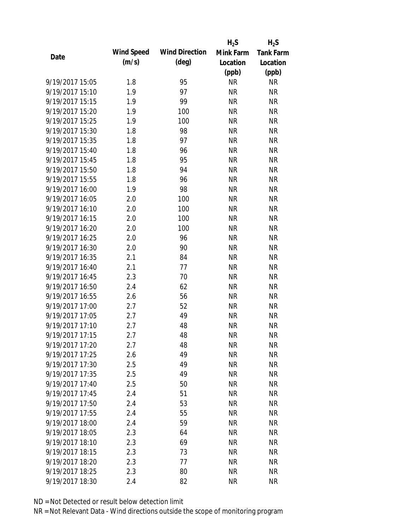|                 |            |                       | $H_2S$    | $H_2S$           |
|-----------------|------------|-----------------------|-----------|------------------|
| Date            | Wind Speed | <b>Wind Direction</b> | Mink Farm | <b>Tank Farm</b> |
|                 | (m/s)      | $(\text{deg})$        | Location  | Location         |
|                 |            |                       | (ppb)     | (ppb)            |
| 9/19/2017 15:05 | 1.8        | 95                    | <b>NR</b> | <b>NR</b>        |
| 9/19/2017 15:10 | 1.9        | 97                    | <b>NR</b> | <b>NR</b>        |
| 9/19/2017 15:15 | 1.9        | 99                    | <b>NR</b> | <b>NR</b>        |
| 9/19/2017 15:20 | 1.9        | 100                   | <b>NR</b> | <b>NR</b>        |
| 9/19/2017 15:25 | 1.9        | 100                   | <b>NR</b> | <b>NR</b>        |
| 9/19/2017 15:30 | 1.8        | 98                    | <b>NR</b> | <b>NR</b>        |
| 9/19/2017 15:35 | 1.8        | 97                    | <b>NR</b> | <b>NR</b>        |
| 9/19/2017 15:40 | 1.8        | 96                    | <b>NR</b> | <b>NR</b>        |
| 9/19/2017 15:45 | 1.8        | 95                    | <b>NR</b> | <b>NR</b>        |
| 9/19/2017 15:50 | 1.8        | 94                    | <b>NR</b> | <b>NR</b>        |
| 9/19/2017 15:55 | 1.8        | 96                    | <b>NR</b> | <b>NR</b>        |
| 9/19/2017 16:00 | 1.9        | 98                    | <b>NR</b> | <b>NR</b>        |
| 9/19/2017 16:05 | 2.0        | 100                   | <b>NR</b> | <b>NR</b>        |
| 9/19/2017 16:10 | 2.0        | 100                   | <b>NR</b> | <b>NR</b>        |
| 9/19/2017 16:15 | 2.0        | 100                   | <b>NR</b> | <b>NR</b>        |
| 9/19/2017 16:20 | 2.0        | 100                   | <b>NR</b> | <b>NR</b>        |
| 9/19/2017 16:25 | 2.0        | 96                    | <b>NR</b> | <b>NR</b>        |
| 9/19/2017 16:30 | 2.0        | 90                    | <b>NR</b> | <b>NR</b>        |
| 9/19/2017 16:35 | 2.1        | 84                    | <b>NR</b> | <b>NR</b>        |
| 9/19/2017 16:40 | 2.1        | 77                    | <b>NR</b> | <b>NR</b>        |
| 9/19/2017 16:45 | 2.3        | 70                    | <b>NR</b> | <b>NR</b>        |
| 9/19/2017 16:50 | 2.4        | 62                    | <b>NR</b> | <b>NR</b>        |
| 9/19/2017 16:55 | 2.6        | 56                    | <b>NR</b> | <b>NR</b>        |
| 9/19/2017 17:00 | 2.7        | 52                    | <b>NR</b> | <b>NR</b>        |
| 9/19/2017 17:05 | 2.7        | 49                    | <b>NR</b> | <b>NR</b>        |
| 9/19/2017 17:10 | 2.7        | 48                    | <b>NR</b> | <b>NR</b>        |
| 9/19/2017 17:15 | 2.7        | 48                    | <b>NR</b> | <b>NR</b>        |
| 9/19/2017 17:20 | 2.7        | 48                    | <b>NR</b> | NR               |
| 9/19/2017 17:25 | 2.6        | 49                    | <b>NR</b> | <b>NR</b>        |
| 9/19/2017 17:30 | 2.5        | 49                    | <b>NR</b> | <b>NR</b>        |
| 9/19/2017 17:35 | 2.5        | 49                    | <b>NR</b> | <b>NR</b>        |
| 9/19/2017 17:40 | 2.5        | 50                    | <b>NR</b> | NR               |
| 9/19/2017 17:45 | 2.4        | 51                    | <b>NR</b> | <b>NR</b>        |
| 9/19/2017 17:50 | 2.4        | 53                    | <b>NR</b> | <b>NR</b>        |
| 9/19/2017 17:55 | 2.4        | 55                    | <b>NR</b> | <b>NR</b>        |
| 9/19/2017 18:00 | 2.4        | 59                    | <b>NR</b> | <b>NR</b>        |
| 9/19/2017 18:05 | 2.3        | 64                    | <b>NR</b> | <b>NR</b>        |
| 9/19/2017 18:10 |            |                       |           |                  |
|                 | 2.3        | 69                    | <b>NR</b> | <b>NR</b>        |
| 9/19/2017 18:15 | 2.3        | 73                    | <b>NR</b> | <b>NR</b>        |
| 9/19/2017 18:20 | 2.3        | 77                    | <b>NR</b> | <b>NR</b>        |
| 9/19/2017 18:25 | 2.3        | 80                    | <b>NR</b> | <b>NR</b>        |
| 9/19/2017 18:30 | 2.4        | 82                    | <b>NR</b> | <b>NR</b>        |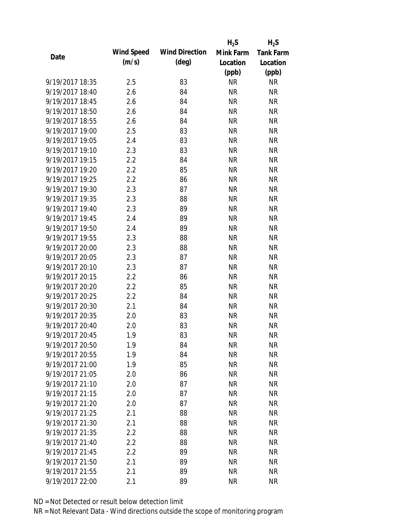|                 |            |                       | $H_2S$    | $H_2S$           |
|-----------------|------------|-----------------------|-----------|------------------|
| Date            | Wind Speed | <b>Wind Direction</b> | Mink Farm | <b>Tank Farm</b> |
|                 | (m/s)      | $(\text{deg})$        | Location  | Location         |
|                 |            |                       | (ppb)     | (ppb)            |
| 9/19/2017 18:35 | 2.5        | 83                    | <b>NR</b> | <b>NR</b>        |
| 9/19/2017 18:40 | 2.6        | 84                    | <b>NR</b> | <b>NR</b>        |
| 9/19/2017 18:45 | 2.6        | 84                    | <b>NR</b> | <b>NR</b>        |
| 9/19/2017 18:50 | 2.6        | 84                    | <b>NR</b> | <b>NR</b>        |
| 9/19/2017 18:55 | 2.6        | 84                    | <b>NR</b> | <b>NR</b>        |
| 9/19/2017 19:00 | 2.5        | 83                    | <b>NR</b> | <b>NR</b>        |
| 9/19/2017 19:05 | 2.4        | 83                    | <b>NR</b> | <b>NR</b>        |
| 9/19/2017 19:10 | 2.3        | 83                    | <b>NR</b> | <b>NR</b>        |
| 9/19/2017 19:15 | 2.2        | 84                    | <b>NR</b> | <b>NR</b>        |
| 9/19/2017 19:20 | 2.2        | 85                    | <b>NR</b> | <b>NR</b>        |
| 9/19/2017 19:25 | 2.2        | 86                    | <b>NR</b> | <b>NR</b>        |
| 9/19/2017 19:30 | 2.3        | 87                    | <b>NR</b> | <b>NR</b>        |
| 9/19/2017 19:35 | 2.3        | 88                    | <b>NR</b> | <b>NR</b>        |
| 9/19/2017 19:40 | 2.3        | 89                    | <b>NR</b> | <b>NR</b>        |
| 9/19/2017 19:45 | 2.4        | 89                    | <b>NR</b> | <b>NR</b>        |
| 9/19/2017 19:50 | 2.4        | 89                    | <b>NR</b> | <b>NR</b>        |
| 9/19/2017 19:55 | 2.3        | 88                    | <b>NR</b> | <b>NR</b>        |
| 9/19/2017 20:00 | 2.3        | 88                    | <b>NR</b> | <b>NR</b>        |
| 9/19/2017 20:05 | 2.3        | 87                    | <b>NR</b> | <b>NR</b>        |
| 9/19/2017 20:10 | 2.3        | 87                    | <b>NR</b> | <b>NR</b>        |
| 9/19/2017 20:15 | 2.2        | 86                    | <b>NR</b> | <b>NR</b>        |
| 9/19/2017 20:20 | 2.2        | 85                    | <b>NR</b> | <b>NR</b>        |
| 9/19/2017 20:25 | 2.2        | 84                    | <b>NR</b> | <b>NR</b>        |
| 9/19/2017 20:30 | 2.1        | 84                    | <b>NR</b> | <b>NR</b>        |
| 9/19/2017 20:35 | 2.0        | 83                    | <b>NR</b> | <b>NR</b>        |
| 9/19/2017 20:40 | 2.0        | 83                    | <b>NR</b> | <b>NR</b>        |
| 9/19/2017 20:45 | 1.9        | 83                    | <b>NR</b> | <b>NR</b>        |
| 9/19/2017 20:50 | 1.9        | 84                    | <b>NR</b> | NR               |
| 9/19/2017 20:55 | 1.9        | 84                    | <b>NR</b> | <b>NR</b>        |
| 9/19/2017 21:00 | 1.9        | 85                    | <b>NR</b> | <b>NR</b>        |
| 9/19/2017 21:05 | 2.0        | 86                    | <b>NR</b> | <b>NR</b>        |
| 9/19/2017 21:10 | 2.0        | 87                    | <b>NR</b> | <b>NR</b>        |
| 9/19/2017 21:15 | 2.0        | 87                    | <b>NR</b> | <b>NR</b>        |
| 9/19/2017 21:20 | 2.0        | 87                    | <b>NR</b> | <b>NR</b>        |
| 9/19/2017 21:25 | 2.1        | 88                    | <b>NR</b> | <b>NR</b>        |
| 9/19/2017 21:30 | 2.1        | 88                    | <b>NR</b> | <b>NR</b>        |
| 9/19/2017 21:35 | 2.2        | 88                    | <b>NR</b> | <b>NR</b>        |
| 9/19/2017 21:40 | 2.2        | 88                    | <b>NR</b> | <b>NR</b>        |
| 9/19/2017 21:45 | 2.2        | 89                    | <b>NR</b> | <b>NR</b>        |
| 9/19/2017 21:50 | 2.1        | 89                    | NR        | <b>NR</b>        |
| 9/19/2017 21:55 | 2.1        | 89                    | <b>NR</b> | <b>NR</b>        |
|                 |            |                       |           |                  |
| 9/19/2017 22:00 | 2.1        | 89                    | <b>NR</b> | <b>NR</b>        |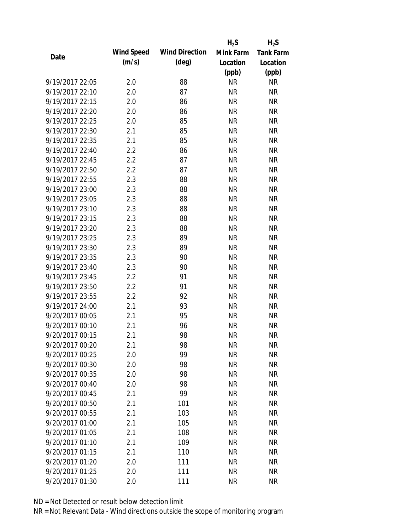|                 |            |                       | $H_2S$    | $H_2S$           |
|-----------------|------------|-----------------------|-----------|------------------|
| Date            | Wind Speed | <b>Wind Direction</b> | Mink Farm | <b>Tank Farm</b> |
|                 | (m/s)      | $(\text{deg})$        | Location  | Location         |
|                 |            |                       | (ppb)     | (ppb)            |
| 9/19/2017 22:05 | 2.0        | 88                    | <b>NR</b> | <b>NR</b>        |
| 9/19/2017 22:10 | 2.0        | 87                    | <b>NR</b> | <b>NR</b>        |
| 9/19/2017 22:15 | 2.0        | 86                    | <b>NR</b> | <b>NR</b>        |
| 9/19/2017 22:20 | 2.0        | 86                    | <b>NR</b> | <b>NR</b>        |
| 9/19/2017 22:25 | 2.0        | 85                    | <b>NR</b> | <b>NR</b>        |
| 9/19/2017 22:30 | 2.1        | 85                    | <b>NR</b> | <b>NR</b>        |
| 9/19/2017 22:35 | 2.1        | 85                    | <b>NR</b> | <b>NR</b>        |
| 9/19/2017 22:40 | 2.2        | 86                    | <b>NR</b> | <b>NR</b>        |
| 9/19/2017 22:45 | 2.2        | 87                    | <b>NR</b> | <b>NR</b>        |
| 9/19/2017 22:50 | 2.2        | 87                    | <b>NR</b> | <b>NR</b>        |
| 9/19/2017 22:55 | 2.3        | 88                    | <b>NR</b> | <b>NR</b>        |
| 9/19/2017 23:00 | 2.3        | 88                    | <b>NR</b> | <b>NR</b>        |
| 9/19/2017 23:05 | 2.3        | 88                    | <b>NR</b> | <b>NR</b>        |
| 9/19/2017 23:10 | 2.3        | 88                    | <b>NR</b> | <b>NR</b>        |
| 9/19/2017 23:15 | 2.3        | 88                    | <b>NR</b> | <b>NR</b>        |
| 9/19/2017 23:20 | 2.3        | 88                    | <b>NR</b> | <b>NR</b>        |
| 9/19/2017 23:25 | 2.3        | 89                    | <b>NR</b> | <b>NR</b>        |
| 9/19/2017 23:30 | 2.3        | 89                    | <b>NR</b> | <b>NR</b>        |
| 9/19/2017 23:35 | 2.3        | 90                    | <b>NR</b> | <b>NR</b>        |
| 9/19/2017 23:40 | 2.3        | 90                    | <b>NR</b> | <b>NR</b>        |
| 9/19/2017 23:45 | 2.2        | 91                    | <b>NR</b> | <b>NR</b>        |
| 9/19/2017 23:50 | 2.2        | 91                    | <b>NR</b> | <b>NR</b>        |
| 9/19/2017 23:55 | 2.2        | 92                    | <b>NR</b> | <b>NR</b>        |
| 9/19/2017 24:00 | 2.1        | 93                    | <b>NR</b> | <b>NR</b>        |
| 9/20/2017 00:05 | 2.1        | 95                    | <b>NR</b> | <b>NR</b>        |
| 9/20/2017 00:10 | 2.1        | 96                    | <b>NR</b> | <b>NR</b>        |
| 9/20/2017 00:15 | 2.1        | 98                    | <b>NR</b> | <b>NR</b>        |
| 9/20/2017 00:20 | 2.1        | 98                    | NR        | NR               |
| 9/20/2017 00:25 | 2.0        | 99                    | <b>NR</b> | <b>NR</b>        |
| 9/20/2017 00:30 | 2.0        | 98                    | <b>NR</b> | <b>NR</b>        |
| 9/20/2017 00:35 | 2.0        | 98                    | <b>NR</b> | <b>NR</b>        |
| 9/20/2017 00:40 | 2.0        | 98                    | <b>NR</b> | <b>NR</b>        |
| 9/20/2017 00:45 | 2.1        | 99                    | <b>NR</b> | <b>NR</b>        |
| 9/20/2017 00:50 | 2.1        | 101                   | <b>NR</b> | <b>NR</b>        |
| 9/20/2017 00:55 | 2.1        | 103                   | <b>NR</b> | <b>NR</b>        |
| 9/20/2017 01:00 | 2.1        | 105                   | <b>NR</b> | <b>NR</b>        |
| 9/20/2017 01:05 | 2.1        | 108                   | <b>NR</b> | <b>NR</b>        |
| 9/20/2017 01:10 | 2.1        | 109                   | <b>NR</b> | <b>NR</b>        |
| 9/20/2017 01:15 | 2.1        | 110                   | <b>NR</b> | <b>NR</b>        |
| 9/20/2017 01:20 | 2.0        | 111                   | <b>NR</b> | <b>NR</b>        |
| 9/20/2017 01:25 | 2.0        | 111                   | <b>NR</b> | <b>NR</b>        |
| 9/20/2017 01:30 | 2.0        | 111                   | <b>NR</b> | <b>NR</b>        |
|                 |            |                       |           |                  |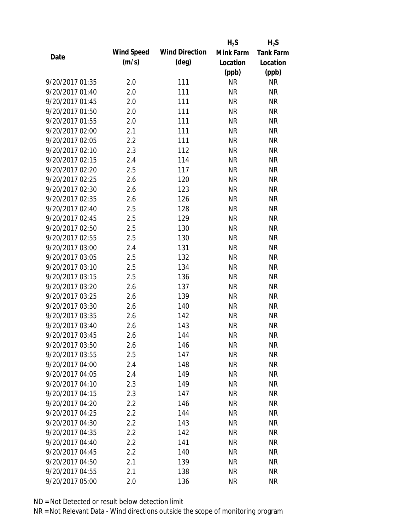|                 |            |                       | $H_2S$    | $H_2S$           |
|-----------------|------------|-----------------------|-----------|------------------|
|                 | Wind Speed | <b>Wind Direction</b> | Mink Farm | <b>Tank Farm</b> |
| Date            | (m/s)      | $(\text{deg})$        | Location  | Location         |
|                 |            |                       | (ppb)     | (ppb)            |
| 9/20/2017 01:35 | 2.0        | 111                   | <b>NR</b> | <b>NR</b>        |
| 9/20/2017 01:40 | 2.0        | 111                   | <b>NR</b> | <b>NR</b>        |
| 9/20/2017 01:45 | 2.0        | 111                   | <b>NR</b> | <b>NR</b>        |
| 9/20/2017 01:50 | 2.0        | 111                   | <b>NR</b> | <b>NR</b>        |
| 9/20/2017 01:55 | 2.0        | 111                   | <b>NR</b> | <b>NR</b>        |
| 9/20/2017 02:00 | 2.1        | 111                   | <b>NR</b> | <b>NR</b>        |
| 9/20/2017 02:05 | 2.2        | 111                   | <b>NR</b> | <b>NR</b>        |
| 9/20/2017 02:10 | 2.3        | 112                   | <b>NR</b> | <b>NR</b>        |
| 9/20/2017 02:15 | 2.4        | 114                   | <b>NR</b> | <b>NR</b>        |
| 9/20/2017 02:20 | 2.5        | 117                   | <b>NR</b> | <b>NR</b>        |
| 9/20/2017 02:25 | 2.6        | 120                   | <b>NR</b> | <b>NR</b>        |
| 9/20/2017 02:30 | 2.6        | 123                   | <b>NR</b> | <b>NR</b>        |
| 9/20/2017 02:35 | 2.6        | 126                   | <b>NR</b> | <b>NR</b>        |
| 9/20/2017 02:40 | 2.5        | 128                   | <b>NR</b> | <b>NR</b>        |
| 9/20/2017 02:45 | 2.5        | 129                   | <b>NR</b> | <b>NR</b>        |
| 9/20/2017 02:50 | 2.5        | 130                   | <b>NR</b> | <b>NR</b>        |
| 9/20/2017 02:55 | 2.5        | 130                   | <b>NR</b> | <b>NR</b>        |
| 9/20/2017 03:00 | 2.4        | 131                   | <b>NR</b> | <b>NR</b>        |
| 9/20/2017 03:05 | 2.5        | 132                   | <b>NR</b> | <b>NR</b>        |
| 9/20/2017 03:10 | 2.5        | 134                   | <b>NR</b> | <b>NR</b>        |
| 9/20/2017 03:15 | 2.5        | 136                   | <b>NR</b> | <b>NR</b>        |
| 9/20/2017 03:20 | 2.6        | 137                   | <b>NR</b> | <b>NR</b>        |
| 9/20/2017 03:25 | 2.6        | 139                   | <b>NR</b> | <b>NR</b>        |
| 9/20/2017 03:30 | 2.6        | 140                   | <b>NR</b> | <b>NR</b>        |
| 9/20/2017 03:35 | 2.6        | 142                   | <b>NR</b> | <b>NR</b>        |
| 9/20/2017 03:40 | 2.6        | 143                   | <b>NR</b> | <b>NR</b>        |
| 9/20/2017 03:45 | 2.6        | 144                   | <b>NR</b> | <b>NR</b>        |
| 9/20/2017 03:50 | 2.6        | 146                   | <b>NR</b> | <b>NR</b>        |
| 9/20/2017 03:55 | 2.5        | 147                   | <b>NR</b> | <b>NR</b>        |
| 9/20/2017 04:00 | 2.4        | 148                   | <b>NR</b> | <b>NR</b>        |
| 9/20/2017 04:05 | 2.4        | 149                   | <b>NR</b> | <b>NR</b>        |
| 9/20/2017 04:10 | 2.3        | 149                   | <b>NR</b> | <b>NR</b>        |
| 9/20/2017 04:15 | 2.3        | 147                   | <b>NR</b> | <b>NR</b>        |
| 9/20/2017 04:20 | 2.2        | 146                   | <b>NR</b> | <b>NR</b>        |
| 9/20/2017 04:25 | $2.2\,$    | 144                   | <b>NR</b> | <b>NR</b>        |
| 9/20/2017 04:30 | 2.2        | 143                   | <b>NR</b> | <b>NR</b>        |
| 9/20/2017 04:35 | 2.2        | 142                   | <b>NR</b> | <b>NR</b>        |
| 9/20/2017 04:40 | 2.2        | 141                   | <b>NR</b> | <b>NR</b>        |
| 9/20/2017 04:45 | 2.2        | 140                   | <b>NR</b> | <b>NR</b>        |
| 9/20/2017 04:50 | 2.1        | 139                   | <b>NR</b> | NR               |
| 9/20/2017 04:55 | 2.1        | 138                   | <b>NR</b> | <b>NR</b>        |
| 9/20/2017 05:00 | 2.0        | 136                   | <b>NR</b> | <b>NR</b>        |
|                 |            |                       |           |                  |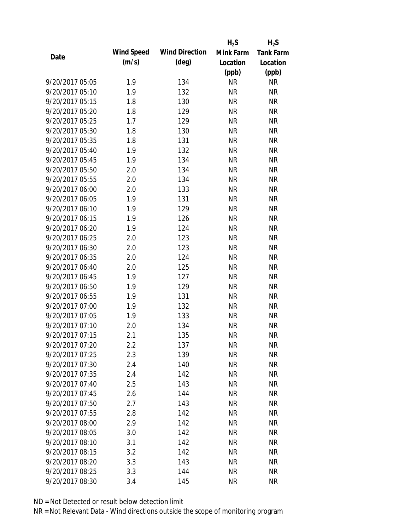|                 |            |                       | $H_2S$    | $H_2S$           |
|-----------------|------------|-----------------------|-----------|------------------|
|                 | Wind Speed | <b>Wind Direction</b> | Mink Farm | <b>Tank Farm</b> |
| Date            | (m/s)      | $(\text{deg})$        | Location  | Location         |
|                 |            |                       | (ppb)     | (ppb)            |
| 9/20/2017 05:05 | 1.9        | 134                   | <b>NR</b> | <b>NR</b>        |
| 9/20/2017 05:10 | 1.9        | 132                   | <b>NR</b> | <b>NR</b>        |
| 9/20/2017 05:15 | 1.8        | 130                   | <b>NR</b> | <b>NR</b>        |
| 9/20/2017 05:20 | 1.8        | 129                   | <b>NR</b> | <b>NR</b>        |
| 9/20/2017 05:25 | 1.7        | 129                   | <b>NR</b> | <b>NR</b>        |
| 9/20/2017 05:30 | 1.8        | 130                   | <b>NR</b> | <b>NR</b>        |
| 9/20/2017 05:35 | 1.8        | 131                   | <b>NR</b> | <b>NR</b>        |
| 9/20/2017 05:40 | 1.9        | 132                   | <b>NR</b> | <b>NR</b>        |
| 9/20/2017 05:45 | 1.9        | 134                   | <b>NR</b> | <b>NR</b>        |
| 9/20/2017 05:50 | 2.0        | 134                   | <b>NR</b> | <b>NR</b>        |
| 9/20/2017 05:55 | 2.0        | 134                   | <b>NR</b> | <b>NR</b>        |
| 9/20/2017 06:00 | 2.0        | 133                   | <b>NR</b> | <b>NR</b>        |
| 9/20/2017 06:05 | 1.9        | 131                   | <b>NR</b> | <b>NR</b>        |
| 9/20/2017 06:10 | 1.9        | 129                   | <b>NR</b> | <b>NR</b>        |
| 9/20/2017 06:15 | 1.9        | 126                   | <b>NR</b> | <b>NR</b>        |
| 9/20/2017 06:20 | 1.9        | 124                   | <b>NR</b> | <b>NR</b>        |
| 9/20/2017 06:25 | 2.0        | 123                   | <b>NR</b> | <b>NR</b>        |
| 9/20/2017 06:30 | 2.0        | 123                   | <b>NR</b> | <b>NR</b>        |
| 9/20/2017 06:35 | 2.0        | 124                   | <b>NR</b> | <b>NR</b>        |
| 9/20/2017 06:40 | 2.0        | 125                   | <b>NR</b> | <b>NR</b>        |
| 9/20/2017 06:45 | 1.9        | 127                   | <b>NR</b> | <b>NR</b>        |
| 9/20/2017 06:50 | 1.9        | 129                   | <b>NR</b> | <b>NR</b>        |
| 9/20/2017 06:55 | 1.9        | 131                   | <b>NR</b> | <b>NR</b>        |
| 9/20/2017 07:00 | 1.9        | 132                   | <b>NR</b> | <b>NR</b>        |
| 9/20/2017 07:05 | 1.9        | 133                   | <b>NR</b> | <b>NR</b>        |
| 9/20/2017 07:10 | 2.0        | 134                   | <b>NR</b> | <b>NR</b>        |
| 9/20/2017 07:15 | 2.1        | 135                   | <b>NR</b> | <b>NR</b>        |
| 9/20/2017 07:20 | $2.2\,$    | 137                   | <b>NR</b> | <b>NR</b>        |
| 9/20/2017 07:25 | 2.3        | 139                   | <b>NR</b> | <b>NR</b>        |
| 9/20/2017 07:30 | 2.4        | 140                   | <b>NR</b> | <b>NR</b>        |
| 9/20/2017 07:35 | 2.4        | 142                   | <b>NR</b> | <b>NR</b>        |
| 9/20/2017 07:40 | 2.5        | 143                   | <b>NR</b> | <b>NR</b>        |
| 9/20/2017 07:45 | 2.6        | 144                   | <b>NR</b> | <b>NR</b>        |
| 9/20/2017 07:50 | 2.7        | 143                   | <b>NR</b> | <b>NR</b>        |
| 9/20/2017 07:55 | 2.8        | 142                   | <b>NR</b> | <b>NR</b>        |
| 9/20/2017 08:00 | 2.9        | 142                   | <b>NR</b> | <b>NR</b>        |
| 9/20/2017 08:05 | 3.0        | 142                   | <b>NR</b> | <b>NR</b>        |
| 9/20/2017 08:10 | 3.1        | 142                   | <b>NR</b> | <b>NR</b>        |
| 9/20/2017 08:15 | 3.2        | 142                   | <b>NR</b> | <b>NR</b>        |
| 9/20/2017 08:20 | 3.3        | 143                   | <b>NR</b> | NR               |
| 9/20/2017 08:25 | 3.3        | 144                   | <b>NR</b> | <b>NR</b>        |
| 9/20/2017 08:30 | 3.4        | 145                   | <b>NR</b> | <b>NR</b>        |
|                 |            |                       |           |                  |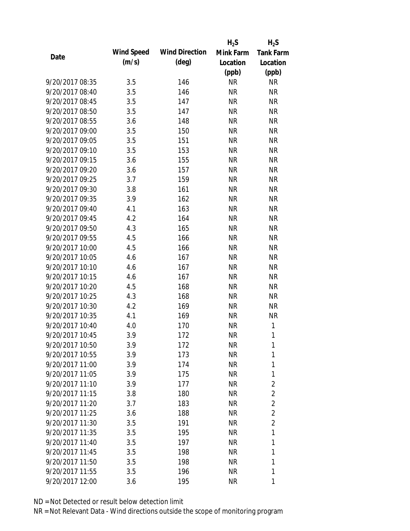|                 |            |                       | $H_2S$    | $H_2S$           |
|-----------------|------------|-----------------------|-----------|------------------|
| Date            | Wind Speed | <b>Wind Direction</b> | Mink Farm | <b>Tank Farm</b> |
|                 | (m/s)      | (deg)                 | Location  | Location         |
|                 |            |                       | (ppb)     | (ppb)            |
| 9/20/2017 08:35 | 3.5        | 146                   | <b>NR</b> | <b>NR</b>        |
| 9/20/2017 08:40 | 3.5        | 146                   | <b>NR</b> | <b>NR</b>        |
| 9/20/2017 08:45 | 3.5        | 147                   | <b>NR</b> | <b>NR</b>        |
| 9/20/2017 08:50 | 3.5        | 147                   | <b>NR</b> | <b>NR</b>        |
| 9/20/2017 08:55 | 3.6        | 148                   | <b>NR</b> | <b>NR</b>        |
| 9/20/2017 09:00 | 3.5        | 150                   | <b>NR</b> | <b>NR</b>        |
| 9/20/2017 09:05 | 3.5        | 151                   | NR        | <b>NR</b>        |
| 9/20/2017 09:10 | 3.5        | 153                   | <b>NR</b> | <b>NR</b>        |
| 9/20/2017 09:15 | 3.6        | 155                   | <b>NR</b> | <b>NR</b>        |
| 9/20/2017 09:20 | 3.6        | 157                   | <b>NR</b> | <b>NR</b>        |
| 9/20/2017 09:25 | 3.7        | 159                   | <b>NR</b> | <b>NR</b>        |
| 9/20/2017 09:30 | 3.8        | 161                   | NR        | <b>NR</b>        |
| 9/20/2017 09:35 | 3.9        | 162                   | <b>NR</b> | <b>NR</b>        |
| 9/20/2017 09:40 | 4.1        | 163                   | NR        | <b>NR</b>        |
| 9/20/2017 09:45 | 4.2        | 164                   | <b>NR</b> | <b>NR</b>        |
| 9/20/2017 09:50 | 4.3        | 165                   | <b>NR</b> | <b>NR</b>        |
| 9/20/2017 09:55 | 4.5        | 166                   | <b>NR</b> | <b>NR</b>        |
| 9/20/2017 10:00 | 4.5        | 166                   | <b>NR</b> | <b>NR</b>        |
| 9/20/2017 10:05 | 4.6        | 167                   | <b>NR</b> | <b>NR</b>        |
| 9/20/2017 10:10 | 4.6        | 167                   | <b>NR</b> | <b>NR</b>        |
| 9/20/2017 10:15 | 4.6        | 167                   | <b>NR</b> | <b>NR</b>        |
| 9/20/2017 10:20 | 4.5        | 168                   | <b>NR</b> | <b>NR</b>        |
| 9/20/2017 10:25 | 4.3        | 168                   | <b>NR</b> | <b>NR</b>        |
| 9/20/2017 10:30 | 4.2        | 169                   | <b>NR</b> | <b>NR</b>        |
| 9/20/2017 10:35 | 4.1        | 169                   | <b>NR</b> | <b>NR</b>        |
| 9/20/2017 10:40 | 4.0        | 170                   | <b>NR</b> | 1                |
| 9/20/2017 10:45 | 3.9        | 172                   | <b>NR</b> | 1                |
| 9/20/2017 10:50 | 3.9        | 172                   | NR        | 1                |
| 9/20/2017 10:55 | 3.9        | 173                   | <b>NR</b> | 1                |
| 9/20/2017 11:00 | 3.9        | 174                   | NR        | 1                |
| 9/20/2017 11:05 | 3.9        | 175                   | NR        | 1                |
| 9/20/2017 11:10 | 3.9        | 177                   | NR        | $\overline{2}$   |
| 9/20/2017 11:15 | 3.8        | 180                   | NR        | $\overline{2}$   |
| 9/20/2017 11:20 | 3.7        | 183                   | NR        | $\overline{2}$   |
| 9/20/2017 11:25 | 3.6        | 188                   | NR        | $\overline{2}$   |
| 9/20/2017 11:30 | 3.5        | 191                   | <b>NR</b> | $\overline{2}$   |
| 9/20/2017 11:35 | 3.5        | 195                   | NR        | 1                |
| 9/20/2017 11:40 | 3.5        | 197                   | NR        | 1                |
| 9/20/2017 11:45 | 3.5        | 198                   | NR        | 1                |
| 9/20/2017 11:50 | 3.5        | 198                   | NR        | 1                |
| 9/20/2017 11:55 | 3.5        | 196                   | <b>NR</b> | 1                |
| 9/20/2017 12:00 | 3.6        | 195                   | <b>NR</b> | 1                |
|                 |            |                       |           |                  |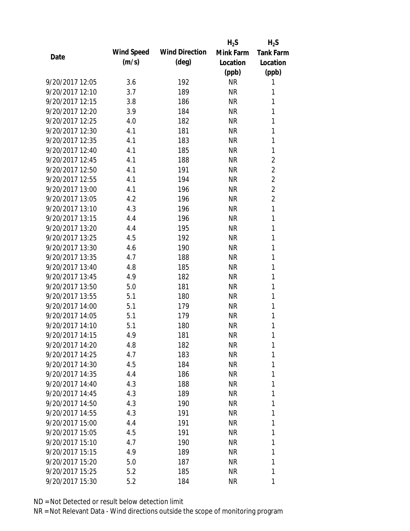|                 |            |                       | $H_2S$    | $H_2S$           |
|-----------------|------------|-----------------------|-----------|------------------|
| Date            | Wind Speed | <b>Wind Direction</b> | Mink Farm | <b>Tank Farm</b> |
|                 | (m/s)      | $(\text{deg})$        | Location  | Location         |
|                 |            |                       | (ppb)     | (ppb)            |
| 9/20/2017 12:05 | 3.6        | 192                   | <b>NR</b> | 1                |
| 9/20/2017 12:10 | 3.7        | 189                   | <b>NR</b> | 1                |
| 9/20/2017 12:15 | 3.8        | 186                   | <b>NR</b> | 1                |
| 9/20/2017 12:20 | 3.9        | 184                   | <b>NR</b> | 1                |
| 9/20/2017 12:25 | 4.0        | 182                   | <b>NR</b> | 1                |
| 9/20/2017 12:30 | 4.1        | 181                   | <b>NR</b> | 1                |
| 9/20/2017 12:35 | 4.1        | 183                   | <b>NR</b> | 1                |
| 9/20/2017 12:40 | 4.1        | 185                   | <b>NR</b> | 1                |
| 9/20/2017 12:45 | 4.1        | 188                   | <b>NR</b> | $\overline{2}$   |
| 9/20/2017 12:50 | 4.1        | 191                   | <b>NR</b> | $\overline{2}$   |
| 9/20/2017 12:55 | 4.1        | 194                   | <b>NR</b> | $\overline{2}$   |
| 9/20/2017 13:00 | 4.1        | 196                   | <b>NR</b> | $\overline{2}$   |
| 9/20/2017 13:05 | 4.2        | 196                   | <b>NR</b> | $\overline{c}$   |
| 9/20/2017 13:10 | 4.3        | 196                   | <b>NR</b> | 1                |
| 9/20/2017 13:15 | 4.4        | 196                   | <b>NR</b> | 1                |
| 9/20/2017 13:20 | 4.4        | 195                   | <b>NR</b> | 1                |
| 9/20/2017 13:25 | 4.5        | 192                   | <b>NR</b> | 1                |
| 9/20/2017 13:30 | 4.6        | 190                   | <b>NR</b> | 1                |
| 9/20/2017 13:35 | 4.7        | 188                   | <b>NR</b> | 1                |
| 9/20/2017 13:40 | 4.8        | 185                   | <b>NR</b> | 1                |
| 9/20/2017 13:45 | 4.9        | 182                   | <b>NR</b> | 1                |
| 9/20/2017 13:50 | 5.0        | 181                   | <b>NR</b> | 1                |
| 9/20/2017 13:55 | 5.1        | 180                   | <b>NR</b> | 1                |
| 9/20/2017 14:00 | 5.1        | 179                   | <b>NR</b> | 1                |
| 9/20/2017 14:05 | 5.1        | 179                   | <b>NR</b> | 1                |
| 9/20/2017 14:10 | 5.1        | 180                   | <b>NR</b> | 1                |
| 9/20/2017 14:15 | 4.9        | 181                   | <b>NR</b> | 1                |
| 9/20/2017 14:20 | 4.8        | 182                   | NR        | 1                |
| 9/20/2017 14:25 | 4.7        | 183                   | NR        | 1                |
| 9/20/2017 14:30 | 4.5        | 184                   | NR        | 1                |
| 9/20/2017 14:35 | 4.4        | 186                   | NR        | 1                |
| 9/20/2017 14:40 | 4.3        | 188                   | NR        | 1                |
| 9/20/2017 14:45 | 4.3        | 189                   | NR        | 1                |
| 9/20/2017 14:50 | 4.3        | 190                   | NR        | 1                |
| 9/20/2017 14:55 | 4.3        | 191                   | <b>NR</b> | 1                |
| 9/20/2017 15:00 | 4.4        | 191                   | NR        | 1                |
| 9/20/2017 15:05 | 4.5        | 191                   | NR        | 1                |
| 9/20/2017 15:10 | 4.7        | 190                   | NR        | 1                |
| 9/20/2017 15:15 | 4.9        | 189                   | NR        | 1                |
| 9/20/2017 15:20 | 5.0        | 187                   | NR        | 1                |
| 9/20/2017 15:25 | 5.2        | 185                   | <b>NR</b> | 1                |
|                 |            |                       |           |                  |
| 9/20/2017 15:30 | 5.2        | 184                   | <b>NR</b> | 1                |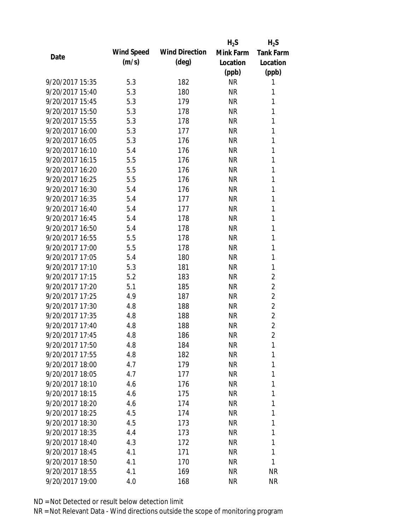|                 |            |                       | $H_2S$    | $H_2S$           |
|-----------------|------------|-----------------------|-----------|------------------|
| Date            | Wind Speed | <b>Wind Direction</b> | Mink Farm | <b>Tank Farm</b> |
|                 | (m/s)      | $(\text{deg})$        | Location  | Location         |
|                 |            |                       | (ppb)     | (ppb)            |
| 9/20/2017 15:35 | 5.3        | 182                   | <b>NR</b> | 1                |
| 9/20/2017 15:40 | 5.3        | 180                   | <b>NR</b> | 1                |
| 9/20/2017 15:45 | 5.3        | 179                   | <b>NR</b> | 1                |
| 9/20/2017 15:50 | 5.3        | 178                   | <b>NR</b> | 1                |
| 9/20/2017 15:55 | 5.3        | 178                   | <b>NR</b> | 1                |
| 9/20/2017 16:00 | 5.3        | 177                   | <b>NR</b> | 1                |
| 9/20/2017 16:05 | 5.3        | 176                   | <b>NR</b> | 1                |
| 9/20/2017 16:10 | 5.4        | 176                   | <b>NR</b> | 1                |
| 9/20/2017 16:15 | 5.5        | 176                   | <b>NR</b> | 1                |
| 9/20/2017 16:20 | 5.5        | 176                   | <b>NR</b> | 1                |
| 9/20/2017 16:25 | 5.5        | 176                   | <b>NR</b> | 1                |
| 9/20/2017 16:30 | 5.4        | 176                   | <b>NR</b> | 1                |
| 9/20/2017 16:35 | 5.4        | 177                   | <b>NR</b> | 1                |
| 9/20/2017 16:40 | 5.4        | 177                   | <b>NR</b> | 1                |
| 9/20/2017 16:45 | 5.4        | 178                   | <b>NR</b> | 1                |
| 9/20/2017 16:50 | 5.4        | 178                   | <b>NR</b> | 1                |
| 9/20/2017 16:55 | 5.5        | 178                   | <b>NR</b> | 1                |
| 9/20/2017 17:00 | 5.5        | 178                   | <b>NR</b> | 1                |
| 9/20/2017 17:05 | 5.4        | 180                   | <b>NR</b> | 1                |
| 9/20/2017 17:10 | 5.3        | 181                   | <b>NR</b> | 1                |
| 9/20/2017 17:15 | 5.2        | 183                   | <b>NR</b> | $\overline{2}$   |
| 9/20/2017 17:20 | 5.1        | 185                   | <b>NR</b> | $\overline{2}$   |
| 9/20/2017 17:25 | 4.9        | 187                   | <b>NR</b> | $\overline{2}$   |
| 9/20/2017 17:30 | 4.8        | 188                   | <b>NR</b> | $\overline{2}$   |
| 9/20/2017 17:35 | 4.8        | 188                   | <b>NR</b> | $\overline{2}$   |
| 9/20/2017 17:40 | 4.8        | 188                   | <b>NR</b> | $\overline{2}$   |
| 9/20/2017 17:45 | 4.8        | 186                   | <b>NR</b> | $\overline{2}$   |
| 9/20/2017 17:50 | 4.8        | 184                   | NR        | 1                |
| 9/20/2017 17:55 | 4.8        | 182                   | <b>NR</b> | 1                |
| 9/20/2017 18:00 | 4.7        | 179                   | NR        | 1                |
| 9/20/2017 18:05 | 4.7        | 177                   | NR        | 1                |
| 9/20/2017 18:10 | 4.6        | 176                   | NR        | 1                |
| 9/20/2017 18:15 | 4.6        | 175                   | NR        | 1                |
| 9/20/2017 18:20 | 4.6        | 174                   | <b>NR</b> | 1                |
| 9/20/2017 18:25 | 4.5        | 174                   | NR        | 1                |
| 9/20/2017 18:30 | 4.5        | 173                   | NR        | 1                |
| 9/20/2017 18:35 | 4.4        | 173                   | NR        | 1                |
| 9/20/2017 18:40 | 4.3        | 172                   | NR        | 1                |
| 9/20/2017 18:45 | 4.1        | 171                   | <b>NR</b> | 1                |
| 9/20/2017 18:50 | 4.1        | 170                   | NR        | 1                |
| 9/20/2017 18:55 | 4.1        | 169                   | <b>NR</b> | <b>NR</b>        |
| 9/20/2017 19:00 | 4.0        | 168                   | <b>NR</b> | <b>NR</b>        |
|                 |            |                       |           |                  |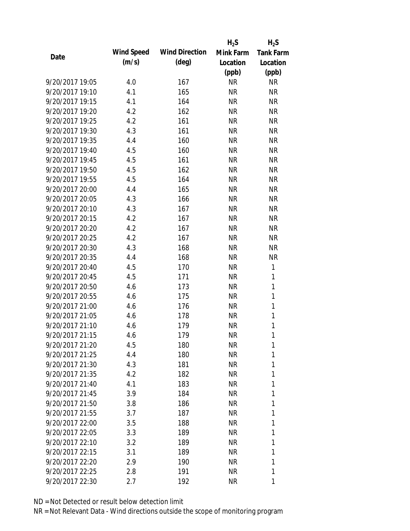|                 |            |                       | $H_2S$    | $H_2S$           |
|-----------------|------------|-----------------------|-----------|------------------|
| Date            | Wind Speed | <b>Wind Direction</b> | Mink Farm | <b>Tank Farm</b> |
|                 | (m/s)      | $(\text{deg})$        | Location  | Location         |
|                 |            |                       | (ppb)     | (ppb)            |
| 9/20/2017 19:05 | 4.0        | 167                   | <b>NR</b> | <b>NR</b>        |
| 9/20/2017 19:10 | 4.1        | 165                   | <b>NR</b> | <b>NR</b>        |
| 9/20/2017 19:15 | 4.1        | 164                   | <b>NR</b> | <b>NR</b>        |
| 9/20/2017 19:20 | 4.2        | 162                   | <b>NR</b> | <b>NR</b>        |
| 9/20/2017 19:25 | 4.2        | 161                   | <b>NR</b> | <b>NR</b>        |
| 9/20/2017 19:30 | 4.3        | 161                   | <b>NR</b> | <b>NR</b>        |
| 9/20/2017 19:35 | 4.4        | 160                   | NR        | <b>NR</b>        |
| 9/20/2017 19:40 | 4.5        | 160                   | <b>NR</b> | <b>NR</b>        |
| 9/20/2017 19:45 | 4.5        | 161                   | <b>NR</b> | <b>NR</b>        |
| 9/20/2017 19:50 | 4.5        | 162                   | <b>NR</b> | <b>NR</b>        |
| 9/20/2017 19:55 | 4.5        | 164                   | <b>NR</b> | <b>NR</b>        |
| 9/20/2017 20:00 | 4.4        | 165                   | NR        | <b>NR</b>        |
| 9/20/2017 20:05 | 4.3        | 166                   | <b>NR</b> | <b>NR</b>        |
| 9/20/2017 20:10 | 4.3        | 167                   | NR        | <b>NR</b>        |
| 9/20/2017 20:15 | 4.2        | 167                   | <b>NR</b> | <b>NR</b>        |
| 9/20/2017 20:20 | 4.2        | 167                   | <b>NR</b> | <b>NR</b>        |
| 9/20/2017 20:25 | 4.2        | 167                   | NR        | <b>NR</b>        |
| 9/20/2017 20:30 | 4.3        | 168                   | <b>NR</b> | <b>NR</b>        |
| 9/20/2017 20:35 | 4.4        | 168                   | <b>NR</b> | <b>NR</b>        |
| 9/20/2017 20:40 | 4.5        | 170                   | <b>NR</b> | 1                |
| 9/20/2017 20:45 | 4.5        | 171                   | <b>NR</b> | 1                |
| 9/20/2017 20:50 | 4.6        | 173                   | <b>NR</b> | $\mathbf{1}$     |
| 9/20/2017 20:55 | 4.6        | 175                   | <b>NR</b> | 1                |
| 9/20/2017 21:00 | 4.6        | 176                   | <b>NR</b> | $\mathbf{1}$     |
| 9/20/2017 21:05 | 4.6        | 178                   | <b>NR</b> | 1                |
| 9/20/2017 21:10 | 4.6        | 179                   | <b>NR</b> | 1                |
| 9/20/2017 21:15 | 4.6        | 179                   | <b>NR</b> | 1                |
| 9/20/2017 21:20 | 4.5        | 180                   | NR        | 1                |
| 9/20/2017 21:25 | 4.4        | 180                   | <b>NR</b> | 1                |
| 9/20/2017 21:30 | 4.3        | 181                   | NR        | 1                |
| 9/20/2017 21:35 | 4.2        | 182                   | NR        | 1                |
| 9/20/2017 21:40 | 4.1        | 183                   | NR        | 1                |
| 9/20/2017 21:45 | 3.9        | 184                   | NR        | 1                |
| 9/20/2017 21:50 | 3.8        | 186                   | <b>NR</b> | 1                |
| 9/20/2017 21:55 | 3.7        | 187                   | NR        | 1                |
| 9/20/2017 22:00 | 3.5        | 188                   | <b>NR</b> | 1                |
| 9/20/2017 22:05 | 3.3        | 189                   | NR        | 1                |
| 9/20/2017 22:10 | 3.2        | 189                   | NR        | 1                |
| 9/20/2017 22:15 | 3.1        | 189                   | NR        | 1                |
| 9/20/2017 22:20 | 2.9        | 190                   | NR        | 1                |
| 9/20/2017 22:25 | 2.8        | 191                   | <b>NR</b> | 1                |
| 9/20/2017 22:30 | 2.7        | 192                   | <b>NR</b> | 1                |
|                 |            |                       |           |                  |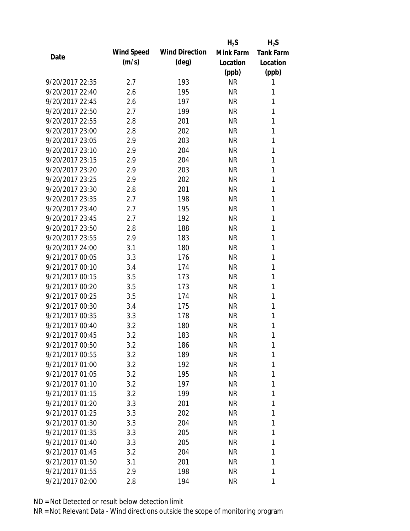|                 |            |                       | $H_2S$    | $H_2S$           |
|-----------------|------------|-----------------------|-----------|------------------|
| Date            | Wind Speed | <b>Wind Direction</b> | Mink Farm | <b>Tank Farm</b> |
|                 | (m/s)      | $(\text{deg})$        | Location  | Location         |
|                 |            |                       | (ppb)     | (ppb)            |
| 9/20/2017 22:35 | 2.7        | 193                   | <b>NR</b> | 1                |
| 9/20/2017 22:40 | 2.6        | 195                   | <b>NR</b> | 1                |
| 9/20/2017 22:45 | 2.6        | 197                   | <b>NR</b> | 1                |
| 9/20/2017 22:50 | 2.7        | 199                   | <b>NR</b> | 1                |
| 9/20/2017 22:55 | 2.8        | 201                   | <b>NR</b> | 1                |
| 9/20/2017 23:00 | 2.8        | 202                   | <b>NR</b> | 1                |
| 9/20/2017 23:05 | 2.9        | 203                   | <b>NR</b> | 1                |
| 9/20/2017 23:10 | 2.9        | 204                   | <b>NR</b> | 1                |
| 9/20/2017 23:15 | 2.9        | 204                   | <b>NR</b> | 1                |
| 9/20/2017 23:20 | 2.9        | 203                   | <b>NR</b> | 1                |
| 9/20/2017 23:25 | 2.9        | 202                   | <b>NR</b> | 1                |
| 9/20/2017 23:30 | 2.8        | 201                   | <b>NR</b> | 1                |
| 9/20/2017 23:35 | 2.7        | 198                   | <b>NR</b> | 1                |
| 9/20/2017 23:40 | 2.7        | 195                   | <b>NR</b> | 1                |
| 9/20/2017 23:45 | 2.7        | 192                   | <b>NR</b> | 1                |
| 9/20/2017 23:50 | 2.8        | 188                   | <b>NR</b> | 1                |
| 9/20/2017 23:55 | 2.9        | 183                   | <b>NR</b> | 1                |
| 9/20/2017 24:00 | 3.1        | 180                   | <b>NR</b> | 1                |
| 9/21/2017 00:05 | 3.3        | 176                   | <b>NR</b> | 1                |
| 9/21/2017 00:10 | 3.4        | 174                   | <b>NR</b> | 1                |
| 9/21/2017 00:15 | 3.5        | 173                   | <b>NR</b> | 1                |
| 9/21/2017 00:20 | 3.5        | 173                   | <b>NR</b> | 1                |
| 9/21/2017 00:25 | 3.5        | 174                   | <b>NR</b> | 1                |
| 9/21/2017 00:30 | 3.4        | 175                   | <b>NR</b> | 1                |
| 9/21/2017 00:35 | 3.3        | 178                   | <b>NR</b> | 1                |
| 9/21/2017 00:40 | 3.2        | 180                   | <b>NR</b> | 1                |
| 9/21/2017 00:45 | 3.2        | 183                   | <b>NR</b> | 1                |
| 9/21/2017 00:50 | 3.2        | 186                   | NR        | 1                |
| 9/21/2017 00:55 | 3.2        | 189                   | NR        | 1                |
| 9/21/2017 01:00 | 3.2        | 192                   | NR        | 1                |
| 9/21/2017 01:05 | 3.2        | 195                   | NR        | 1                |
| 9/21/2017 01:10 | 3.2        | 197                   | NR        | 1                |
| 9/21/2017 01:15 | 3.2        | 199                   | NR        | 1                |
| 9/21/2017 01:20 | 3.3        | 201                   | NR        | 1                |
| 9/21/2017 01:25 | 3.3        | 202                   | NR        | 1                |
| 9/21/2017 01:30 | 3.3        | 204                   | NR        | 1                |
| 9/21/2017 01:35 | 3.3        | 205                   | NR        | 1                |
| 9/21/2017 01:40 | 3.3        | 205                   | NR        | 1                |
| 9/21/2017 01:45 | 3.2        | 204                   | NR        | 1                |
| 9/21/2017 01:50 | 3.1        | 201                   | NR        | 1                |
| 9/21/2017 01:55 | 2.9        | 198                   | <b>NR</b> | 1                |
| 9/21/2017 02:00 | 2.8        | 194                   | <b>NR</b> | 1                |
|                 |            |                       |           |                  |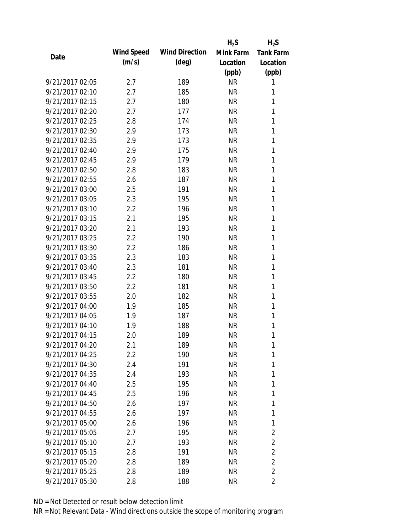|                 |            |                       | $H_2S$    | $H_2S$                  |
|-----------------|------------|-----------------------|-----------|-------------------------|
| Date            | Wind Speed | <b>Wind Direction</b> | Mink Farm | <b>Tank Farm</b>        |
|                 | (m/s)      | $(\text{deg})$        | Location  | Location                |
|                 |            |                       | (ppb)     | (ppb)                   |
| 9/21/2017 02:05 | 2.7        | 189                   | <b>NR</b> | 1                       |
| 9/21/2017 02:10 | 2.7        | 185                   | <b>NR</b> | 1                       |
| 9/21/2017 02:15 | 2.7        | 180                   | <b>NR</b> | 1                       |
| 9/21/2017 02:20 | 2.7        | 177                   | <b>NR</b> | 1                       |
| 9/21/2017 02:25 | 2.8        | 174                   | <b>NR</b> | 1                       |
| 9/21/2017 02:30 | 2.9        | 173                   | <b>NR</b> | 1                       |
| 9/21/2017 02:35 | 2.9        | 173                   | <b>NR</b> | 1                       |
| 9/21/2017 02:40 | 2.9        | 175                   | <b>NR</b> | 1                       |
| 9/21/2017 02:45 | 2.9        | 179                   | <b>NR</b> | 1                       |
| 9/21/2017 02:50 | 2.8        | 183                   | <b>NR</b> | 1                       |
| 9/21/2017 02:55 | 2.6        | 187                   | <b>NR</b> | 1                       |
| 9/21/2017 03:00 | 2.5        | 191                   | <b>NR</b> | 1                       |
| 9/21/2017 03:05 | 2.3        | 195                   | <b>NR</b> | 1                       |
| 9/21/2017 03:10 | 2.2        | 196                   | <b>NR</b> | 1                       |
| 9/21/2017 03:15 | 2.1        | 195                   | <b>NR</b> | 1                       |
| 9/21/2017 03:20 | 2.1        | 193                   | <b>NR</b> | 1                       |
| 9/21/2017 03:25 | 2.2        | 190                   | <b>NR</b> | 1                       |
| 9/21/2017 03:30 | 2.2        | 186                   | <b>NR</b> | 1                       |
| 9/21/2017 03:35 | 2.3        | 183                   | <b>NR</b> | 1                       |
| 9/21/2017 03:40 | 2.3        | 181                   | <b>NR</b> | 1                       |
| 9/21/2017 03:45 | 2.2        | 180                   | <b>NR</b> | 1                       |
| 9/21/2017 03:50 | 2.2        | 181                   | <b>NR</b> | 1                       |
| 9/21/2017 03:55 | 2.0        | 182                   | <b>NR</b> | 1                       |
| 9/21/2017 04:00 | 1.9        | 185                   | <b>NR</b> | 1                       |
| 9/21/2017 04:05 | 1.9        | 187                   | <b>NR</b> | 1                       |
| 9/21/2017 04:10 | 1.9        | 188                   | <b>NR</b> | 1                       |
| 9/21/2017 04:15 | 2.0        | 189                   | <b>NR</b> | 1                       |
| 9/21/2017 04:20 | 2.1        | 189                   | NR        | 1                       |
| 9/21/2017 04:25 | 2.2        | 190                   | <b>NR</b> | 1                       |
| 9/21/2017 04:30 | 2.4        | 191                   | <b>NR</b> | 1                       |
| 9/21/2017 04:35 | 2.4        | 193                   | <b>NR</b> | 1                       |
| 9/21/2017 04:40 | 2.5        | 195                   | <b>NR</b> | 1                       |
| 9/21/2017 04:45 | 2.5        | 196                   | <b>NR</b> | 1                       |
| 9/21/2017 04:50 | 2.6        | 197                   | <b>NR</b> | 1                       |
| 9/21/2017 04:55 | 2.6        | 197                   | <b>NR</b> | 1                       |
| 9/21/2017 05:00 | 2.6        | 196                   | <b>NR</b> | 1                       |
| 9/21/2017 05:05 | 2.7        | 195                   | <b>NR</b> | 2                       |
| 9/21/2017 05:10 | 2.7        | 193                   | NR        | $\overline{2}$          |
| 9/21/2017 05:15 | 2.8        | 191                   | <b>NR</b> | $\overline{2}$          |
| 9/21/2017 05:20 | 2.8        | 189                   | <b>NR</b> | $\overline{2}$          |
| 9/21/2017 05:25 | 2.8        | 189                   | <b>NR</b> | $\overline{2}$          |
| 9/21/2017 05:30 | 2.8        | 188                   | <b>NR</b> | $\overline{\mathbf{c}}$ |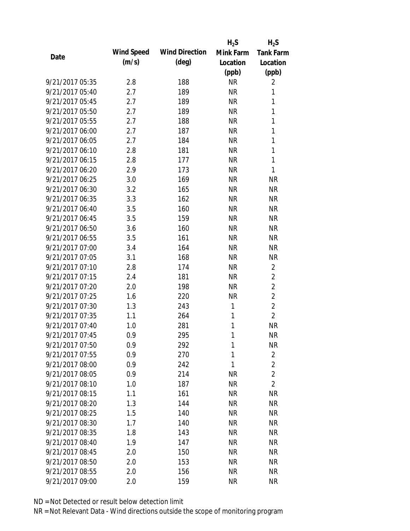|                 |            |                       | $H_2S$    | $H_2S$           |
|-----------------|------------|-----------------------|-----------|------------------|
| Date            | Wind Speed | <b>Wind Direction</b> | Mink Farm | <b>Tank Farm</b> |
|                 | (m/s)      | $(\text{deg})$        | Location  | Location         |
|                 |            |                       | (ppb)     | (ppb)            |
| 9/21/2017 05:35 | 2.8        | 188                   | <b>NR</b> | 2                |
| 9/21/2017 05:40 | 2.7        | 189                   | <b>NR</b> | 1                |
| 9/21/2017 05:45 | 2.7        | 189                   | <b>NR</b> | 1                |
| 9/21/2017 05:50 | 2.7        | 189                   | <b>NR</b> | 1                |
| 9/21/2017 05:55 | 2.7        | 188                   | <b>NR</b> | 1                |
| 9/21/2017 06:00 | 2.7        | 187                   | <b>NR</b> | 1                |
| 9/21/2017 06:05 | 2.7        | 184                   | <b>NR</b> | 1                |
| 9/21/2017 06:10 | 2.8        | 181                   | <b>NR</b> | 1                |
| 9/21/2017 06:15 | 2.8        | 177                   | <b>NR</b> | 1                |
| 9/21/2017 06:20 | 2.9        | 173                   | <b>NR</b> | 1                |
| 9/21/2017 06:25 | 3.0        | 169                   | <b>NR</b> | <b>NR</b>        |
| 9/21/2017 06:30 | 3.2        | 165                   | <b>NR</b> | <b>NR</b>        |
| 9/21/2017 06:35 | 3.3        | 162                   | <b>NR</b> | <b>NR</b>        |
| 9/21/2017 06:40 | 3.5        | 160                   | <b>NR</b> | <b>NR</b>        |
| 9/21/2017 06:45 | 3.5        | 159                   | <b>NR</b> | <b>NR</b>        |
| 9/21/2017 06:50 | 3.6        | 160                   | <b>NR</b> | <b>NR</b>        |
| 9/21/2017 06:55 | 3.5        | 161                   | <b>NR</b> | <b>NR</b>        |
| 9/21/2017 07:00 | 3.4        | 164                   | <b>NR</b> | <b>NR</b>        |
| 9/21/2017 07:05 | 3.1        | 168                   | <b>NR</b> | <b>NR</b>        |
| 9/21/2017 07:10 | 2.8        | 174                   | <b>NR</b> | $\overline{2}$   |
| 9/21/2017 07:15 | 2.4        | 181                   | <b>NR</b> | $\overline{2}$   |
| 9/21/2017 07:20 | 2.0        | 198                   | <b>NR</b> | $\overline{2}$   |
| 9/21/2017 07:25 | 1.6        | 220                   | <b>NR</b> | $\overline{2}$   |
| 9/21/2017 07:30 | 1.3        | 243                   | 1         | $\overline{2}$   |
| 9/21/2017 07:35 | 1.1        | 264                   | 1         | $\overline{2}$   |
| 9/21/2017 07:40 | 1.0        | 281                   | 1         | <b>NR</b>        |
| 9/21/2017 07:45 | 0.9        | 295                   | 1         | <b>NR</b>        |
| 9/21/2017 07:50 | 0.9        | 292                   | 1         | NR               |
| 9/21/2017 07:55 | 0.9        | 270                   | 1         | $\overline{2}$   |
| 9/21/2017 08:00 | 0.9        | 242                   | 1         | $\overline{2}$   |
| 9/21/2017 08:05 | 0.9        | 214                   | <b>NR</b> | $\overline{2}$   |
| 9/21/2017 08:10 | 1.0        | 187                   | <b>NR</b> | $\overline{2}$   |
| 9/21/2017 08:15 | 1.1        | 161                   | <b>NR</b> | <b>NR</b>        |
| 9/21/2017 08:20 | 1.3        | 144                   | <b>NR</b> | <b>NR</b>        |
| 9/21/2017 08:25 | 1.5        | 140                   | <b>NR</b> | <b>NR</b>        |
| 9/21/2017 08:30 | 1.7        | 140                   | <b>NR</b> | <b>NR</b>        |
| 9/21/2017 08:35 | 1.8        | 143                   | <b>NR</b> | NR               |
| 9/21/2017 08:40 | 1.9        | 147                   | <b>NR</b> | NR               |
| 9/21/2017 08:45 | 2.0        | 150                   | <b>NR</b> | <b>NR</b>        |
| 9/21/2017 08:50 | 2.0        | 153                   | <b>NR</b> | <b>NR</b>        |
| 9/21/2017 08:55 | 2.0        | 156                   | <b>NR</b> | <b>NR</b>        |
| 9/21/2017 09:00 | 2.0        | 159                   | <b>NR</b> | <b>NR</b>        |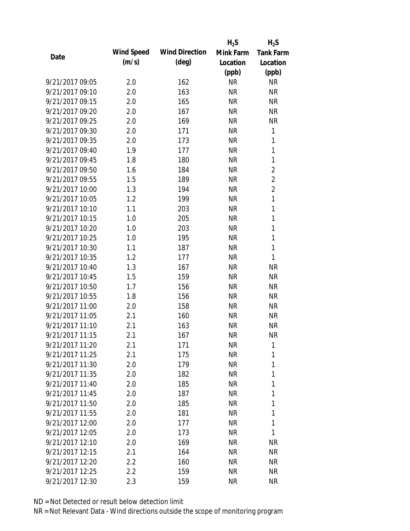|                 |            |                       | $H_2S$    | $H_2S$           |
|-----------------|------------|-----------------------|-----------|------------------|
| Date            | Wind Speed | <b>Wind Direction</b> | Mink Farm | <b>Tank Farm</b> |
|                 | (m/s)      | $(\text{deg})$        | Location  | Location         |
|                 |            |                       | (ppb)     | (ppb)            |
| 9/21/2017 09:05 | 2.0        | 162                   | <b>NR</b> | <b>NR</b>        |
| 9/21/2017 09:10 | 2.0        | 163                   | <b>NR</b> | <b>NR</b>        |
| 9/21/2017 09:15 | 2.0        | 165                   | <b>NR</b> | <b>NR</b>        |
| 9/21/2017 09:20 | 2.0        | 167                   | <b>NR</b> | <b>NR</b>        |
| 9/21/2017 09:25 | 2.0        | 169                   | <b>NR</b> | <b>NR</b>        |
| 9/21/2017 09:30 | 2.0        | 171                   | <b>NR</b> | 1                |
| 9/21/2017 09:35 | 2.0        | 173                   | <b>NR</b> | 1                |
| 9/21/2017 09:40 | 1.9        | 177                   | <b>NR</b> | $\mathbf{1}$     |
| 9/21/2017 09:45 | 1.8        | 180                   | <b>NR</b> | 1                |
| 9/21/2017 09:50 | 1.6        | 184                   | <b>NR</b> | $\overline{2}$   |
| 9/21/2017 09:55 | 1.5        | 189                   | <b>NR</b> | $\overline{2}$   |
| 9/21/2017 10:00 | 1.3        | 194                   | <b>NR</b> | $\overline{2}$   |
| 9/21/2017 10:05 | 1.2        | 199                   | <b>NR</b> | 1                |
| 9/21/2017 10:10 | 1.1        | 203                   | <b>NR</b> | 1                |
| 9/21/2017 10:15 | 1.0        | 205                   | <b>NR</b> | 1                |
| 9/21/2017 10:20 | 1.0        | 203                   | <b>NR</b> | 1                |
| 9/21/2017 10:25 | 1.0        | 195                   | <b>NR</b> | 1                |
| 9/21/2017 10:30 | 1.1        | 187                   | <b>NR</b> | 1                |
| 9/21/2017 10:35 | 1.2        | 177                   | <b>NR</b> | 1                |
| 9/21/2017 10:40 | 1.3        | 167                   | <b>NR</b> | <b>NR</b>        |
| 9/21/2017 10:45 | 1.5        | 159                   | <b>NR</b> | <b>NR</b>        |
| 9/21/2017 10:50 | 1.7        | 156                   | <b>NR</b> | <b>NR</b>        |
| 9/21/2017 10:55 | 1.8        | 156                   | <b>NR</b> | <b>NR</b>        |
| 9/21/2017 11:00 | 2.0        | 158                   | <b>NR</b> | <b>NR</b>        |
| 9/21/2017 11:05 | 2.1        | 160                   | <b>NR</b> | <b>NR</b>        |
| 9/21/2017 11:10 | 2.1        | 163                   | <b>NR</b> | <b>NR</b>        |
| 9/21/2017 11:15 | 2.1        | 167                   | <b>NR</b> | <b>NR</b>        |
| 9/21/2017 11:20 | 2.1        | 171                   | <b>NR</b> | 1                |
| 9/21/2017 11:25 | 2.1        | 175                   | <b>NR</b> | 1                |
| 9/21/2017 11:30 | 2.0        | 179                   | <b>NR</b> | 1                |
| 9/21/2017 11:35 | 2.0        | 182                   | <b>NR</b> | 1                |
| 9/21/2017 11:40 | 2.0        | 185                   | <b>NR</b> | 1                |
| 9/21/2017 11:45 | 2.0        | 187                   | NR        | 1                |
| 9/21/2017 11:50 | 2.0        | 185                   | <b>NR</b> | 1                |
| 9/21/2017 11:55 | 2.0        | 181                   | <b>NR</b> | 1                |
| 9/21/2017 12:00 | 2.0        | 177                   | <b>NR</b> | 1                |
| 9/21/2017 12:05 | 2.0        | 173                   | NR        | 1                |
| 9/21/2017 12:10 | 2.0        | 169                   | NR        | <b>NR</b>        |
| 9/21/2017 12:15 | 2.1        | 164                   | <b>NR</b> | NR               |
| 9/21/2017 12:20 | 2.2        | 160                   | NR        | NR               |
| 9/21/2017 12:25 | 2.2        | 159                   | <b>NR</b> | <b>NR</b>        |
| 9/21/2017 12:30 | 2.3        | 159                   | <b>NR</b> | <b>NR</b>        |
|                 |            |                       |           |                  |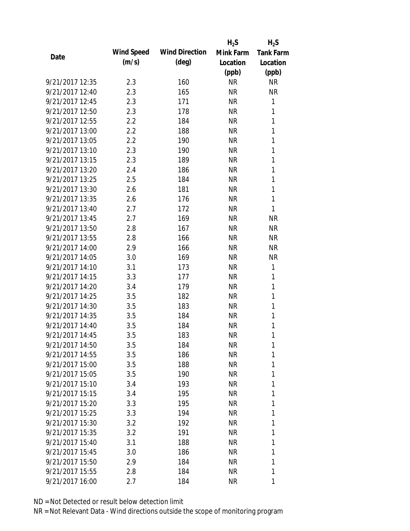|                 |            |                       | $H_2S$    | $H_2S$           |
|-----------------|------------|-----------------------|-----------|------------------|
|                 | Wind Speed | <b>Wind Direction</b> | Mink Farm | <b>Tank Farm</b> |
| Date            | (m/s)      | $(\text{deg})$        | Location  | Location         |
|                 |            |                       | (ppb)     | (ppb)            |
| 9/21/2017 12:35 | 2.3        | 160                   | <b>NR</b> | <b>NR</b>        |
| 9/21/2017 12:40 | 2.3        | 165                   | <b>NR</b> | <b>NR</b>        |
| 9/21/2017 12:45 | 2.3        | 171                   | <b>NR</b> | 1                |
| 9/21/2017 12:50 | 2.3        | 178                   | <b>NR</b> | 1                |
| 9/21/2017 12:55 | 2.2        | 184                   | <b>NR</b> | $\mathbf{1}$     |
| 9/21/2017 13:00 | 2.2        | 188                   | <b>NR</b> | 1                |
| 9/21/2017 13:05 | 2.2        | 190                   | <b>NR</b> | 1                |
| 9/21/2017 13:10 | 2.3        | 190                   | <b>NR</b> | 1                |
| 9/21/2017 13:15 | 2.3        | 189                   | <b>NR</b> | 1                |
| 9/21/2017 13:20 | 2.4        | 186                   | <b>NR</b> | 1                |
| 9/21/2017 13:25 | 2.5        | 184                   | <b>NR</b> | 1                |
| 9/21/2017 13:30 | 2.6        | 181                   | <b>NR</b> | 1                |
| 9/21/2017 13:35 | 2.6        | 176                   | <b>NR</b> | 1                |
| 9/21/2017 13:40 | 2.7        | 172                   | <b>NR</b> | 1                |
| 9/21/2017 13:45 | 2.7        | 169                   | <b>NR</b> | <b>NR</b>        |
| 9/21/2017 13:50 | 2.8        | 167                   | <b>NR</b> | <b>NR</b>        |
| 9/21/2017 13:55 | 2.8        | 166                   | <b>NR</b> | <b>NR</b>        |
| 9/21/2017 14:00 | 2.9        | 166                   | <b>NR</b> | <b>NR</b>        |
| 9/21/2017 14:05 | 3.0        | 169                   | <b>NR</b> | <b>NR</b>        |
| 9/21/2017 14:10 | 3.1        | 173                   | <b>NR</b> | 1                |
| 9/21/2017 14:15 | 3.3        | 177                   | <b>NR</b> | 1                |
| 9/21/2017 14:20 | 3.4        | 179                   | <b>NR</b> | 1                |
| 9/21/2017 14:25 | 3.5        | 182                   | <b>NR</b> | 1                |
| 9/21/2017 14:30 | 3.5        | 183                   | <b>NR</b> | 1                |
| 9/21/2017 14:35 | 3.5        | 184                   | <b>NR</b> | 1                |
| 9/21/2017 14:40 | 3.5        | 184                   | <b>NR</b> | 1                |
| 9/21/2017 14:45 | 3.5        | 183                   | <b>NR</b> | 1                |
| 9/21/2017 14:50 | 3.5        | 184                   | NR        | 1                |
| 9/21/2017 14:55 | 3.5        | 186                   | NR        | 1                |
| 9/21/2017 15:00 | 3.5        | 188                   | NR        | 1                |
| 9/21/2017 15:05 | 3.5        | 190                   | NR        | 1                |
| 9/21/2017 15:10 | 3.4        | 193                   | NR        | 1                |
| 9/21/2017 15:15 | 3.4        | 195                   | NR        | 1                |
| 9/21/2017 15:20 | 3.3        | 195                   | NR        | 1                |
| 9/21/2017 15:25 | 3.3        | 194                   | NR        | 1                |
| 9/21/2017 15:30 | 3.2        | 192                   | NR        | 1                |
| 9/21/2017 15:35 | 3.2        | 191                   | NR        | 1                |
| 9/21/2017 15:40 | 3.1        | 188                   | NR        | 1                |
| 9/21/2017 15:45 | 3.0        | 186                   | NR        | 1                |
| 9/21/2017 15:50 | 2.9        | 184                   | NR        | 1                |
| 9/21/2017 15:55 | 2.8        | 184                   | <b>NR</b> | 1                |
| 9/21/2017 16:00 | 2.7        | 184                   | <b>NR</b> | 1                |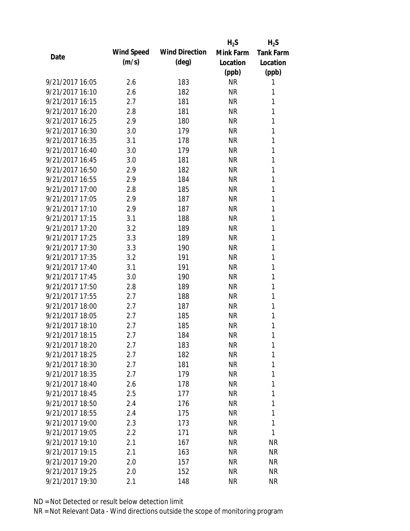|                 |            |                       | $H_2S$    | $H_2S$           |
|-----------------|------------|-----------------------|-----------|------------------|
|                 | Wind Speed | <b>Wind Direction</b> | Mink Farm | <b>Tank Farm</b> |
| Date            | (m/s)      | $(\text{deg})$        | Location  | Location         |
|                 |            |                       | (ppb)     | (ppb)            |
| 9/21/2017 16:05 | 2.6        | 183                   | <b>NR</b> | 1                |
| 9/21/2017 16:10 | 2.6        | 182                   | <b>NR</b> | 1                |
| 9/21/2017 16:15 | 2.7        | 181                   | <b>NR</b> | 1                |
| 9/21/2017 16:20 | 2.8        | 181                   | <b>NR</b> | 1                |
| 9/21/2017 16:25 | 2.9        | 180                   | <b>NR</b> | 1                |
| 9/21/2017 16:30 | 3.0        | 179                   | <b>NR</b> | 1                |
| 9/21/2017 16:35 | 3.1        | 178                   | <b>NR</b> | 1                |
| 9/21/2017 16:40 | 3.0        | 179                   | <b>NR</b> | 1                |
| 9/21/2017 16:45 | 3.0        | 181                   | <b>NR</b> | 1                |
| 9/21/2017 16:50 | 2.9        | 182                   | <b>NR</b> | 1                |
| 9/21/2017 16:55 | 2.9        | 184                   | <b>NR</b> | 1                |
| 9/21/2017 17:00 | 2.8        | 185                   | <b>NR</b> | 1                |
| 9/21/2017 17:05 | 2.9        | 187                   | <b>NR</b> | 1                |
| 9/21/2017 17:10 | 2.9        | 187                   | <b>NR</b> | 1                |
| 9/21/2017 17:15 | 3.1        | 188                   | <b>NR</b> | 1                |
| 9/21/2017 17:20 | 3.2        | 189                   | <b>NR</b> | 1                |
| 9/21/2017 17:25 | 3.3        | 189                   | <b>NR</b> | 1                |
| 9/21/2017 17:30 | 3.3        | 190                   | <b>NR</b> | 1                |
| 9/21/2017 17:35 | 3.2        | 191                   | <b>NR</b> | 1                |
| 9/21/2017 17:40 | 3.1        | 191                   | <b>NR</b> | 1                |
| 9/21/2017 17:45 | 3.0        | 190                   | <b>NR</b> | 1                |
| 9/21/2017 17:50 | 2.8        | 189                   | <b>NR</b> | 1                |
| 9/21/2017 17:55 | 2.7        | 188                   | <b>NR</b> | 1                |
| 9/21/2017 18:00 | 2.7        | 187                   | <b>NR</b> | 1                |
| 9/21/2017 18:05 | 2.7        | 185                   | <b>NR</b> | 1                |
| 9/21/2017 18:10 | 2.7        | 185                   | <b>NR</b> | 1                |
| 9/21/2017 18:15 | 2.7        | 184                   | <b>NR</b> | 1                |
| 9/21/2017 18:20 | 2.7        | 183                   | <b>NR</b> | 1                |
| 9/21/2017 18:25 | 2.7        | 182                   | <b>NR</b> | 1                |
| 9/21/2017 18:30 | 2.7        | 181                   | <b>NR</b> | 1                |
| 9/21/2017 18:35 | 2.7        | 179                   | <b>NR</b> | 1                |
| 9/21/2017 18:40 | 2.6        | 178                   | <b>NR</b> | 1                |
| 9/21/2017 18:45 | 2.5        | 177                   | <b>NR</b> | 1                |
| 9/21/2017 18:50 | 2.4        | 176                   | <b>NR</b> | 1                |
| 9/21/2017 18:55 | 2.4        | 175                   | <b>NR</b> | 1                |
| 9/21/2017 19:00 | 2.3        | 173                   | <b>NR</b> | 1                |
| 9/21/2017 19:05 | 2.2        | 171                   | NR        | 1                |
| 9/21/2017 19:10 | 2.1        | 167                   | NR        | <b>NR</b>        |
| 9/21/2017 19:15 | 2.1        | 163                   | <b>NR</b> | NR               |
| 9/21/2017 19:20 | 2.0        | 157                   | NR        | NR               |
| 9/21/2017 19:25 | 2.0        | 152                   | <b>NR</b> | <b>NR</b>        |
| 9/21/2017 19:30 | 2.1        | 148                   | <b>NR</b> | <b>NR</b>        |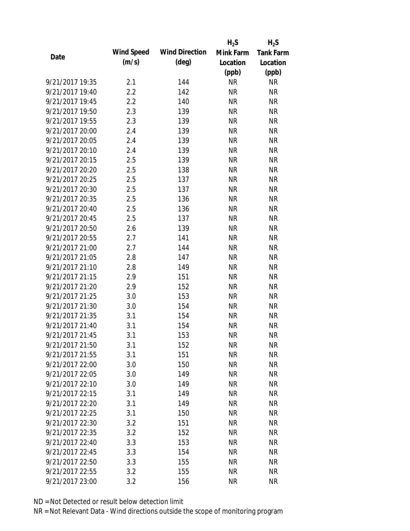|                 |            |                       | $H_2S$    | $H_2S$           |
|-----------------|------------|-----------------------|-----------|------------------|
| Date            | Wind Speed | <b>Wind Direction</b> | Mink Farm | <b>Tank Farm</b> |
|                 | (m/s)      | $(\text{deg})$        | Location  | Location         |
|                 |            |                       | (ppb)     | (ppb)            |
| 9/21/2017 19:35 | 2.1        | 144                   | <b>NR</b> | <b>NR</b>        |
| 9/21/2017 19:40 | 2.2        | 142                   | <b>NR</b> | <b>NR</b>        |
| 9/21/2017 19:45 | 2.2        | 140                   | <b>NR</b> | <b>NR</b>        |
| 9/21/2017 19:50 | 2.3        | 139                   | <b>NR</b> | <b>NR</b>        |
| 9/21/2017 19:55 | 2.3        | 139                   | <b>NR</b> | <b>NR</b>        |
| 9/21/2017 20:00 | 2.4        | 139                   | <b>NR</b> | <b>NR</b>        |
| 9/21/2017 20:05 | 2.4        | 139                   | <b>NR</b> | <b>NR</b>        |
| 9/21/2017 20:10 | 2.4        | 139                   | <b>NR</b> | <b>NR</b>        |
| 9/21/2017 20:15 | 2.5        | 139                   | <b>NR</b> | <b>NR</b>        |
| 9/21/2017 20:20 | 2.5        | 138                   | <b>NR</b> | <b>NR</b>        |
| 9/21/2017 20:25 | 2.5        | 137                   | <b>NR</b> | <b>NR</b>        |
| 9/21/2017 20:30 | 2.5        | 137                   | <b>NR</b> | <b>NR</b>        |
| 9/21/2017 20:35 | 2.5        | 136                   | <b>NR</b> | <b>NR</b>        |
| 9/21/2017 20:40 | 2.5        | 136                   | <b>NR</b> | <b>NR</b>        |
| 9/21/2017 20:45 | 2.5        | 137                   | <b>NR</b> | <b>NR</b>        |
| 9/21/2017 20:50 | 2.6        | 139                   | <b>NR</b> | <b>NR</b>        |
| 9/21/2017 20:55 | 2.7        | 141                   | <b>NR</b> | <b>NR</b>        |
| 9/21/2017 21:00 | 2.7        | 144                   | <b>NR</b> | <b>NR</b>        |
| 9/21/2017 21:05 | 2.8        | 147                   | <b>NR</b> | <b>NR</b>        |
| 9/21/2017 21:10 | 2.8        | 149                   | <b>NR</b> | <b>NR</b>        |
| 9/21/2017 21:15 | 2.9        | 151                   | <b>NR</b> | <b>NR</b>        |
| 9/21/2017 21:20 | 2.9        | 152                   | <b>NR</b> | <b>NR</b>        |
| 9/21/2017 21:25 | 3.0        | 153                   | <b>NR</b> | <b>NR</b>        |
| 9/21/2017 21:30 | 3.0        | 154                   | <b>NR</b> | <b>NR</b>        |
| 9/21/2017 21:35 | 3.1        | 154                   | <b>NR</b> | <b>NR</b>        |
| 9/21/2017 21:40 | 3.1        | 154                   | <b>NR</b> | <b>NR</b>        |
| 9/21/2017 21:45 | 3.1        | 153                   | <b>NR</b> | <b>NR</b>        |
| 9/21/2017 21:50 | 3.1        | 152                   | NR        | NR               |
| 9/21/2017 21:55 | 3.1        | 151                   | <b>NR</b> | <b>NR</b>        |
| 9/21/2017 22:00 | 3.0        | 150                   | <b>NR</b> | <b>NR</b>        |
| 9/21/2017 22:05 | 3.0        | 149                   | <b>NR</b> | <b>NR</b>        |
| 9/21/2017 22:10 | 3.0        | 149                   | <b>NR</b> | NR               |
| 9/21/2017 22:15 | 3.1        | 149                   | <b>NR</b> | <b>NR</b>        |
| 9/21/2017 22:20 | 3.1        | 149                   | <b>NR</b> | <b>NR</b>        |
| 9/21/2017 22:25 | 3.1        | 150                   | <b>NR</b> | <b>NR</b>        |
| 9/21/2017 22:30 | 3.2        | 151                   | <b>NR</b> | <b>NR</b>        |
| 9/21/2017 22:35 | 3.2        | 152                   | <b>NR</b> | <b>NR</b>        |
| 9/21/2017 22:40 | 3.3        | 153                   | NR        | <b>NR</b>        |
| 9/21/2017 22:45 | 3.3        | 154                   | <b>NR</b> | <b>NR</b>        |
| 9/21/2017 22:50 | 3.3        | 155                   | <b>NR</b> | <b>NR</b>        |
| 9/21/2017 22:55 | 3.2        | 155                   | <b>NR</b> | <b>NR</b>        |
| 9/21/2017 23:00 | 3.2        | 156                   | <b>NR</b> | <b>NR</b>        |
|                 |            |                       |           |                  |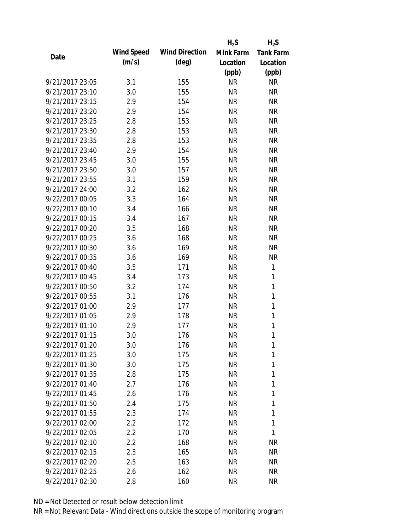|                 |            |                       | $H_2S$    | $H_2S$           |
|-----------------|------------|-----------------------|-----------|------------------|
| Date            | Wind Speed | <b>Wind Direction</b> | Mink Farm | <b>Tank Farm</b> |
|                 | (m/s)      | $(\text{deg})$        | Location  | Location         |
|                 |            |                       | (ppb)     | (ppb)            |
| 9/21/2017 23:05 | 3.1        | 155                   | <b>NR</b> | <b>NR</b>        |
| 9/21/2017 23:10 | 3.0        | 155                   | <b>NR</b> | <b>NR</b>        |
| 9/21/2017 23:15 | 2.9        | 154                   | <b>NR</b> | <b>NR</b>        |
| 9/21/2017 23:20 | 2.9        | 154                   | <b>NR</b> | <b>NR</b>        |
| 9/21/2017 23:25 | 2.8        | 153                   | <b>NR</b> | <b>NR</b>        |
| 9/21/2017 23:30 | 2.8        | 153                   | <b>NR</b> | <b>NR</b>        |
| 9/21/2017 23:35 | 2.8        | 153                   | <b>NR</b> | <b>NR</b>        |
| 9/21/2017 23:40 | 2.9        | 154                   | <b>NR</b> | <b>NR</b>        |
| 9/21/2017 23:45 | 3.0        | 155                   | <b>NR</b> | <b>NR</b>        |
| 9/21/2017 23:50 | 3.0        | 157                   | <b>NR</b> | <b>NR</b>        |
| 9/21/2017 23:55 | 3.1        | 159                   | <b>NR</b> | <b>NR</b>        |
| 9/21/2017 24:00 | 3.2        | 162                   | <b>NR</b> | <b>NR</b>        |
| 9/22/2017 00:05 | 3.3        | 164                   | <b>NR</b> | <b>NR</b>        |
| 9/22/2017 00:10 | 3.4        | 166                   | <b>NR</b> | <b>NR</b>        |
| 9/22/2017 00:15 | 3.4        | 167                   | <b>NR</b> | <b>NR</b>        |
| 9/22/2017 00:20 | 3.5        | 168                   | <b>NR</b> | <b>NR</b>        |
| 9/22/2017 00:25 | 3.6        | 168                   | <b>NR</b> | <b>NR</b>        |
| 9/22/2017 00:30 | 3.6        | 169                   | <b>NR</b> | <b>NR</b>        |
| 9/22/2017 00:35 | 3.6        | 169                   | <b>NR</b> | <b>NR</b>        |
| 9/22/2017 00:40 | 3.5        | 171                   | <b>NR</b> | 1                |
| 9/22/2017 00:45 | 3.4        | 173                   | <b>NR</b> | 1                |
| 9/22/2017 00:50 | 3.2        | 174                   | <b>NR</b> | $\mathbf{1}$     |
| 9/22/2017 00:55 | 3.1        | 176                   | <b>NR</b> | $\mathbf{1}$     |
| 9/22/2017 01:00 | 2.9        | 177                   | <b>NR</b> | 1                |
| 9/22/2017 01:05 | 2.9        | 178                   | <b>NR</b> | 1                |
| 9/22/2017 01:10 | 2.9        | 177                   | <b>NR</b> | 1                |
| 9/22/2017 01:15 | 3.0        | 176                   | <b>NR</b> | 1                |
| 9/22/2017 01:20 | 3.0        | 176                   | <b>NR</b> | 1                |
| 9/22/2017 01:25 | 3.0        | 175                   | <b>NR</b> | 1                |
| 9/22/2017 01:30 | 3.0        | 175                   | NR        | 1                |
| 9/22/2017 01:35 | 2.8        | 175                   | NR        | 1                |
| 9/22/2017 01:40 | 2.7        | 176                   | <b>NR</b> | 1                |
| 9/22/2017 01:45 | 2.6        | 176                   | NR        | 1                |
| 9/22/2017 01:50 | 2.4        | 175                   | <b>NR</b> | 1                |
| 9/22/2017 01:55 | 2.3        | 174                   | <b>NR</b> | 1                |
| 9/22/2017 02:00 | $2.2\,$    | 172                   | NR        | 1                |
| 9/22/2017 02:05 | 2.2        | 170                   | <b>NR</b> | 1                |
| 9/22/2017 02:10 | 2.2        | 168                   | NR        | <b>NR</b>        |
| 9/22/2017 02:15 | 2.3        | 165                   | <b>NR</b> | NR               |
| 9/22/2017 02:20 | 2.5        | 163                   | NR        | NR               |
| 9/22/2017 02:25 | 2.6        | 162                   | <b>NR</b> | <b>NR</b>        |
| 9/22/2017 02:30 | 2.8        | 160                   | <b>NR</b> | <b>NR</b>        |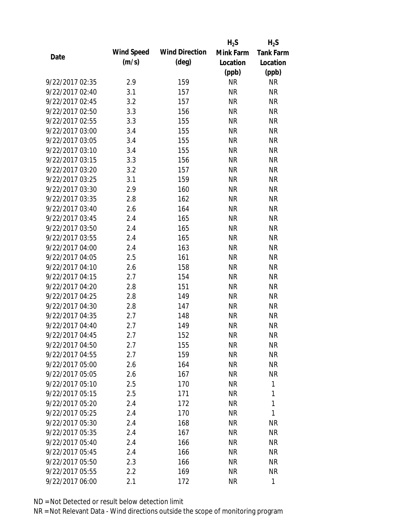|                 |            |                       | $H_2S$    | $H_2S$           |
|-----------------|------------|-----------------------|-----------|------------------|
| Date            | Wind Speed | <b>Wind Direction</b> | Mink Farm | <b>Tank Farm</b> |
|                 | (m/s)      | $(\text{deg})$        | Location  | Location         |
|                 |            |                       | (ppb)     | (ppb)            |
| 9/22/2017 02:35 | 2.9        | 159                   | <b>NR</b> | <b>NR</b>        |
| 9/22/2017 02:40 | 3.1        | 157                   | <b>NR</b> | <b>NR</b>        |
| 9/22/2017 02:45 | 3.2        | 157                   | <b>NR</b> | <b>NR</b>        |
| 9/22/2017 02:50 | 3.3        | 156                   | <b>NR</b> | <b>NR</b>        |
| 9/22/2017 02:55 | 3.3        | 155                   | <b>NR</b> | <b>NR</b>        |
| 9/22/2017 03:00 | 3.4        | 155                   | <b>NR</b> | <b>NR</b>        |
| 9/22/2017 03:05 | 3.4        | 155                   | <b>NR</b> | <b>NR</b>        |
| 9/22/2017 03:10 | 3.4        | 155                   | <b>NR</b> | <b>NR</b>        |
| 9/22/2017 03:15 | 3.3        | 156                   | <b>NR</b> | <b>NR</b>        |
| 9/22/2017 03:20 | 3.2        | 157                   | <b>NR</b> | <b>NR</b>        |
| 9/22/2017 03:25 | 3.1        | 159                   | <b>NR</b> | <b>NR</b>        |
| 9/22/2017 03:30 | 2.9        | 160                   | <b>NR</b> | <b>NR</b>        |
| 9/22/2017 03:35 | 2.8        | 162                   | <b>NR</b> | <b>NR</b>        |
| 9/22/2017 03:40 | 2.6        | 164                   | <b>NR</b> | <b>NR</b>        |
| 9/22/2017 03:45 | 2.4        | 165                   | <b>NR</b> | <b>NR</b>        |
| 9/22/2017 03:50 | 2.4        | 165                   | <b>NR</b> | <b>NR</b>        |
| 9/22/2017 03:55 | 2.4        | 165                   | <b>NR</b> | <b>NR</b>        |
| 9/22/2017 04:00 | 2.4        | 163                   | <b>NR</b> | <b>NR</b>        |
| 9/22/2017 04:05 | 2.5        | 161                   | <b>NR</b> | <b>NR</b>        |
| 9/22/2017 04:10 | 2.6        | 158                   | <b>NR</b> | <b>NR</b>        |
| 9/22/2017 04:15 | 2.7        | 154                   | <b>NR</b> | <b>NR</b>        |
| 9/22/2017 04:20 | 2.8        | 151                   | <b>NR</b> | <b>NR</b>        |
| 9/22/2017 04:25 | 2.8        | 149                   | <b>NR</b> | <b>NR</b>        |
| 9/22/2017 04:30 | 2.8        | 147                   | <b>NR</b> | <b>NR</b>        |
| 9/22/2017 04:35 | 2.7        | 148                   | <b>NR</b> | <b>NR</b>        |
| 9/22/2017 04:40 | 2.7        | 149                   | <b>NR</b> | <b>NR</b>        |
| 9/22/2017 04:45 | 2.7        | 152                   | <b>NR</b> | <b>NR</b>        |
| 9/22/2017 04:50 | 2.7        | 155                   | <b>NR</b> | NR               |
| 9/22/2017 04:55 | 2.7        | 159                   | <b>NR</b> | <b>NR</b>        |
| 9/22/2017 05:00 | 2.6        | 164                   | NR        | NR               |
| 9/22/2017 05:05 | 2.6        | 167                   | <b>NR</b> | <b>NR</b>        |
| 9/22/2017 05:10 | 2.5        | 170                   | <b>NR</b> | 1                |
| 9/22/2017 05:15 | 2.5        | 171                   | <b>NR</b> | 1                |
| 9/22/2017 05:20 | 2.4        | 172                   | <b>NR</b> | 1                |
| 9/22/2017 05:25 | 2.4        | 170                   | <b>NR</b> | 1                |
| 9/22/2017 05:30 | 2.4        | 168                   | <b>NR</b> | <b>NR</b>        |
| 9/22/2017 05:35 | 2.4        | 167                   | NR        | <b>NR</b>        |
| 9/22/2017 05:40 | 2.4        | 166                   | NR        | <b>NR</b>        |
| 9/22/2017 05:45 | 2.4        | 166                   | <b>NR</b> | <b>NR</b>        |
| 9/22/2017 05:50 | 2.3        | 166                   | NR        | <b>NR</b>        |
| 9/22/2017 05:55 | 2.2        | 169                   | <b>NR</b> | <b>NR</b>        |
| 9/22/2017 06:00 | 2.1        | 172                   | <b>NR</b> | $\mathbf{1}$     |
|                 |            |                       |           |                  |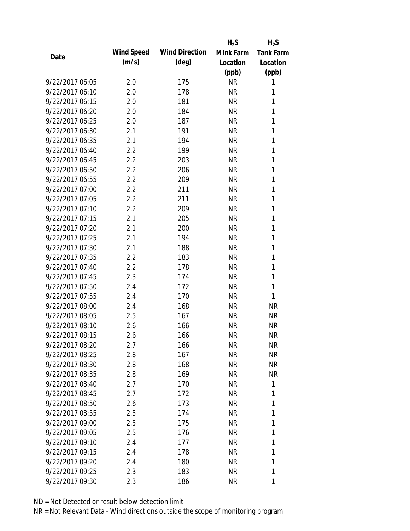|                 |            |                       | $H_2S$    | $H_2S$           |
|-----------------|------------|-----------------------|-----------|------------------|
|                 | Wind Speed | <b>Wind Direction</b> | Mink Farm | <b>Tank Farm</b> |
| Date            | (m/s)      | $(\text{deg})$        | Location  | Location         |
|                 |            |                       | (ppb)     | (ppb)            |
| 9/22/2017 06:05 | 2.0        | 175                   | <b>NR</b> | 1                |
| 9/22/2017 06:10 | 2.0        | 178                   | <b>NR</b> | 1                |
| 9/22/2017 06:15 | 2.0        | 181                   | <b>NR</b> | 1                |
| 9/22/2017 06:20 | 2.0        | 184                   | <b>NR</b> | 1                |
| 9/22/2017 06:25 | 2.0        | 187                   | <b>NR</b> | 1                |
| 9/22/2017 06:30 | 2.1        | 191                   | <b>NR</b> | 1                |
| 9/22/2017 06:35 | 2.1        | 194                   | <b>NR</b> | 1                |
| 9/22/2017 06:40 | 2.2        | 199                   | <b>NR</b> | 1                |
| 9/22/2017 06:45 | 2.2        | 203                   | <b>NR</b> | 1                |
| 9/22/2017 06:50 | 2.2        | 206                   | <b>NR</b> | 1                |
| 9/22/2017 06:55 | 2.2        | 209                   | <b>NR</b> | 1                |
| 9/22/2017 07:00 | 2.2        | 211                   | <b>NR</b> | 1                |
| 9/22/2017 07:05 | 2.2        | 211                   | <b>NR</b> | 1                |
| 9/22/2017 07:10 | 2.2        | 209                   | <b>NR</b> | 1                |
| 9/22/2017 07:15 | 2.1        | 205                   | <b>NR</b> | 1                |
| 9/22/2017 07:20 | 2.1        | 200                   | <b>NR</b> | 1                |
| 9/22/2017 07:25 | 2.1        | 194                   | <b>NR</b> | 1                |
| 9/22/2017 07:30 | 2.1        | 188                   | <b>NR</b> | 1                |
| 9/22/2017 07:35 | 2.2        | 183                   | <b>NR</b> | 1                |
| 9/22/2017 07:40 | 2.2        | 178                   | <b>NR</b> | 1                |
| 9/22/2017 07:45 | 2.3        | 174                   | <b>NR</b> | 1                |
| 9/22/2017 07:50 | 2.4        | 172                   | <b>NR</b> | 1                |
| 9/22/2017 07:55 | 2.4        | 170                   | <b>NR</b> | 1                |
| 9/22/2017 08:00 | 2.4        | 168                   | <b>NR</b> | <b>NR</b>        |
| 9/22/2017 08:05 | 2.5        | 167                   | <b>NR</b> | <b>NR</b>        |
| 9/22/2017 08:10 | 2.6        | 166                   | <b>NR</b> | <b>NR</b>        |
| 9/22/2017 08:15 | 2.6        | 166                   | <b>NR</b> | <b>NR</b>        |
| 9/22/2017 08:20 | 2.7        | 166                   | <b>NR</b> | NR               |
| 9/22/2017 08:25 | 2.8        | 167                   | <b>NR</b> | <b>NR</b>        |
| 9/22/2017 08:30 | 2.8        | 168                   | NR        | NR               |
| 9/22/2017 08:35 | 2.8        | 169                   | NR        | <b>NR</b>        |
| 9/22/2017 08:40 | 2.7        | 170                   | <b>NR</b> | 1                |
| 9/22/2017 08:45 | 2.7        | 172                   | NR        | 1                |
| 9/22/2017 08:50 | 2.6        | 173                   | <b>NR</b> | 1                |
| 9/22/2017 08:55 | 2.5        | 174                   | <b>NR</b> | 1                |
| 9/22/2017 09:00 | 2.5        | 175                   | <b>NR</b> | 1                |
| 9/22/2017 09:05 | 2.5        | 176                   | NR        | 1                |
| 9/22/2017 09:10 | 2.4        | 177                   | NR        | 1                |
| 9/22/2017 09:15 | 2.4        | 178                   | <b>NR</b> | 1                |
| 9/22/2017 09:20 | 2.4        | 180                   | NR        | 1                |
| 9/22/2017 09:25 | 2.3        | 183                   | <b>NR</b> | 1                |
| 9/22/2017 09:30 | 2.3        | 186                   | <b>NR</b> | 1                |
|                 |            |                       |           |                  |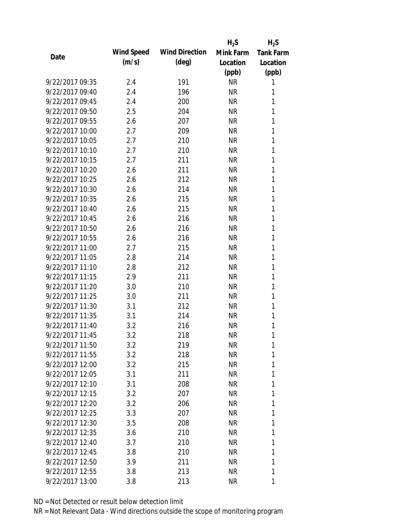|                 |            |                       | $H_2S$    | $H_2S$           |
|-----------------|------------|-----------------------|-----------|------------------|
| Date            | Wind Speed | <b>Wind Direction</b> | Mink Farm | <b>Tank Farm</b> |
|                 | (m/s)      | $(\text{deg})$        | Location  | Location         |
|                 |            |                       | (ppb)     | (ppb)            |
| 9/22/2017 09:35 | 2.4        | 191                   | <b>NR</b> | 1                |
| 9/22/2017 09:40 | 2.4        | 196                   | <b>NR</b> | 1                |
| 9/22/2017 09:45 | 2.4        | 200                   | <b>NR</b> | 1                |
| 9/22/2017 09:50 | 2.5        | 204                   | <b>NR</b> | 1                |
| 9/22/2017 09:55 | 2.6        | 207                   | <b>NR</b> | 1                |
| 9/22/2017 10:00 | 2.7        | 209                   | <b>NR</b> | 1                |
| 9/22/2017 10:05 | 2.7        | 210                   | <b>NR</b> | 1                |
| 9/22/2017 10:10 | 2.7        | 210                   | <b>NR</b> | 1                |
| 9/22/2017 10:15 | 2.7        | 211                   | <b>NR</b> | 1                |
| 9/22/2017 10:20 | 2.6        | 211                   | <b>NR</b> | 1                |
| 9/22/2017 10:25 | 2.6        | 212                   | <b>NR</b> | 1                |
| 9/22/2017 10:30 | 2.6        | 214                   | <b>NR</b> | 1                |
| 9/22/2017 10:35 | 2.6        | 215                   | <b>NR</b> | 1                |
| 9/22/2017 10:40 | 2.6        | 215                   | <b>NR</b> | 1                |
| 9/22/2017 10:45 | 2.6        | 216                   | <b>NR</b> | 1                |
| 9/22/2017 10:50 | 2.6        | 216                   | <b>NR</b> | 1                |
| 9/22/2017 10:55 | 2.6        | 216                   | <b>NR</b> | 1                |
| 9/22/2017 11:00 | 2.7        | 215                   | <b>NR</b> | 1                |
| 9/22/2017 11:05 | 2.8        | 214                   | <b>NR</b> | 1                |
| 9/22/2017 11:10 | 2.8        | 212                   | <b>NR</b> | 1                |
| 9/22/2017 11:15 | 2.9        | 211                   | <b>NR</b> | 1                |
| 9/22/2017 11:20 | 3.0        | 210                   | <b>NR</b> | 1                |
| 9/22/2017 11:25 | 3.0        | 211                   | <b>NR</b> | 1                |
| 9/22/2017 11:30 | 3.1        | 212                   | <b>NR</b> | 1                |
| 9/22/2017 11:35 | 3.1        | 214                   | <b>NR</b> | 1                |
| 9/22/2017 11:40 | 3.2        | 216                   | <b>NR</b> | 1                |
| 9/22/2017 11:45 | 3.2        | 218                   | <b>NR</b> | 1                |
| 9/22/2017 11:50 | 3.2        | 219                   | NR        | 1                |
| 9/22/2017 11:55 | 3.2        | 218                   | NR        | 1                |
| 9/22/2017 12:00 | 3.2        | 215                   | NR        | 1                |
| 9/22/2017 12:05 | 3.1        | 211                   | NR        | 1                |
| 9/22/2017 12:10 | 3.1        | 208                   | NR        | 1                |
| 9/22/2017 12:15 | 3.2        | 207                   | NR        | 1                |
| 9/22/2017 12:20 | 3.2        | 206                   | NR        | 1                |
| 9/22/2017 12:25 | 3.3        | 207                   | NR        | 1                |
| 9/22/2017 12:30 | 3.5        | 208                   | NR        | 1                |
| 9/22/2017 12:35 | 3.6        | 210                   | NR.       | 1                |
| 9/22/2017 12:40 | 3.7        | 210                   | NR        | 1                |
| 9/22/2017 12:45 | 3.8        | 210                   | NR.       | 1                |
| 9/22/2017 12:50 | 3.9        | 211                   | NR        | 1                |
| 9/22/2017 12:55 | 3.8        | 213                   | <b>NR</b> | 1                |
| 9/22/2017 13:00 | 3.8        | 213                   | <b>NR</b> | 1                |
|                 |            |                       |           |                  |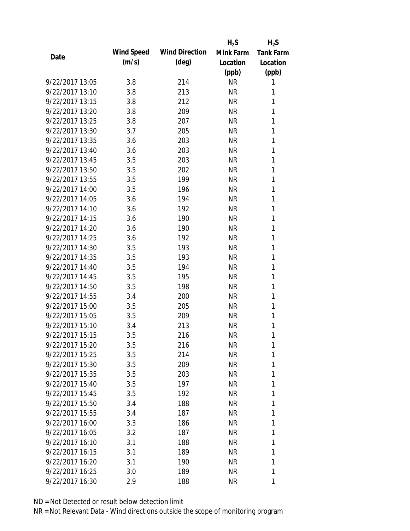|                 |            |                       | $H_2S$    | $H_2S$           |
|-----------------|------------|-----------------------|-----------|------------------|
|                 | Wind Speed | <b>Wind Direction</b> | Mink Farm | <b>Tank Farm</b> |
| Date            | (m/s)      | $(\text{deg})$        | Location  | Location         |
|                 |            |                       | (ppb)     | (ppb)            |
| 9/22/2017 13:05 | 3.8        | 214                   | <b>NR</b> | 1                |
| 9/22/2017 13:10 | 3.8        | 213                   | <b>NR</b> | 1                |
| 9/22/2017 13:15 | 3.8        | 212                   | <b>NR</b> | 1                |
| 9/22/2017 13:20 | 3.8        | 209                   | <b>NR</b> | 1                |
| 9/22/2017 13:25 | 3.8        | 207                   | <b>NR</b> | 1                |
| 9/22/2017 13:30 | 3.7        | 205                   | <b>NR</b> | 1                |
| 9/22/2017 13:35 | 3.6        | 203                   | <b>NR</b> | 1                |
| 9/22/2017 13:40 | 3.6        | 203                   | <b>NR</b> | 1                |
| 9/22/2017 13:45 | 3.5        | 203                   | <b>NR</b> | 1                |
| 9/22/2017 13:50 | 3.5        | 202                   | <b>NR</b> | 1                |
| 9/22/2017 13:55 | 3.5        | 199                   | <b>NR</b> | 1                |
| 9/22/2017 14:00 | 3.5        | 196                   | <b>NR</b> | 1                |
| 9/22/2017 14:05 | 3.6        | 194                   | <b>NR</b> | 1                |
| 9/22/2017 14:10 | 3.6        | 192                   | <b>NR</b> | 1                |
| 9/22/2017 14:15 | 3.6        | 190                   | <b>NR</b> | 1                |
| 9/22/2017 14:20 | 3.6        | 190                   | <b>NR</b> | 1                |
| 9/22/2017 14:25 | 3.6        | 192                   | <b>NR</b> | 1                |
| 9/22/2017 14:30 | 3.5        | 193                   | <b>NR</b> | 1                |
| 9/22/2017 14:35 | 3.5        | 193                   | <b>NR</b> | 1                |
| 9/22/2017 14:40 | 3.5        | 194                   | <b>NR</b> | 1                |
| 9/22/2017 14:45 | 3.5        | 195                   | <b>NR</b> | 1                |
| 9/22/2017 14:50 | 3.5        | 198                   | <b>NR</b> | 1                |
| 9/22/2017 14:55 | 3.4        | 200                   | <b>NR</b> | 1                |
| 9/22/2017 15:00 | 3.5        | 205                   | <b>NR</b> | 1                |
| 9/22/2017 15:05 | 3.5        | 209                   | <b>NR</b> | 1                |
| 9/22/2017 15:10 | 3.4        | 213                   | <b>NR</b> | 1                |
| 9/22/2017 15:15 | 3.5        | 216                   | <b>NR</b> | 1                |
| 9/22/2017 15:20 | 3.5        | 216                   | NR        | 1                |
| 9/22/2017 15:25 | 3.5        | 214                   | <b>NR</b> | 1                |
| 9/22/2017 15:30 | 3.5        | 209                   | <b>NR</b> | 1                |
| 9/22/2017 15:35 | 3.5        | 203                   | <b>NR</b> | 1                |
| 9/22/2017 15:40 | 3.5        | 197                   | <b>NR</b> | 1                |
| 9/22/2017 15:45 | 3.5        | 192                   | NR        | 1                |
| 9/22/2017 15:50 | 3.4        | 188                   | <b>NR</b> | 1                |
| 9/22/2017 15:55 |            |                       | <b>NR</b> | 1                |
| 9/22/2017 16:00 | 3.4        | 187                   |           | 1                |
|                 | 3.3        | 186                   | NR        |                  |
| 9/22/2017 16:05 | 3.2        | 187                   | <b>NR</b> | 1                |
| 9/22/2017 16:10 | 3.1        | 188                   | NR        | 1                |
| 9/22/2017 16:15 | 3.1        | 189                   | <b>NR</b> | 1                |
| 9/22/2017 16:20 | 3.1        | 190                   | NR        | 1                |
| 9/22/2017 16:25 | 3.0        | 189                   | <b>NR</b> | 1                |
| 9/22/2017 16:30 | 2.9        | 188                   | <b>NR</b> | 1                |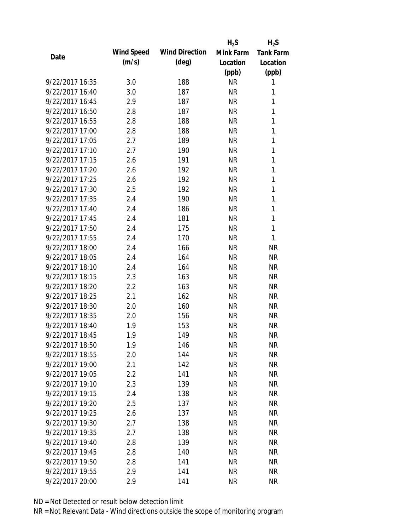|                 |            |                       | $H_2S$    | $H_2S$           |
|-----------------|------------|-----------------------|-----------|------------------|
| Date            | Wind Speed | <b>Wind Direction</b> | Mink Farm | <b>Tank Farm</b> |
|                 | (m/s)      | $(\text{deg})$        | Location  | Location         |
|                 |            |                       | (ppb)     | (ppb)            |
| 9/22/2017 16:35 | 3.0        | 188                   | <b>NR</b> | 1                |
| 9/22/2017 16:40 | 3.0        | 187                   | <b>NR</b> | 1                |
| 9/22/2017 16:45 | 2.9        | 187                   | <b>NR</b> | 1                |
| 9/22/2017 16:50 | 2.8        | 187                   | <b>NR</b> | 1                |
| 9/22/2017 16:55 | 2.8        | 188                   | <b>NR</b> | 1                |
| 9/22/2017 17:00 | 2.8        | 188                   | <b>NR</b> | 1                |
| 9/22/2017 17:05 | 2.7        | 189                   | <b>NR</b> | 1                |
| 9/22/2017 17:10 | 2.7        | 190                   | <b>NR</b> | 1                |
| 9/22/2017 17:15 | 2.6        | 191                   | <b>NR</b> | 1                |
| 9/22/2017 17:20 | 2.6        | 192                   | <b>NR</b> | 1                |
| 9/22/2017 17:25 | 2.6        | 192                   | <b>NR</b> | 1                |
| 9/22/2017 17:30 | 2.5        | 192                   | <b>NR</b> | 1                |
| 9/22/2017 17:35 | 2.4        | 190                   | <b>NR</b> | 1                |
| 9/22/2017 17:40 | 2.4        | 186                   | <b>NR</b> | 1                |
| 9/22/2017 17:45 | 2.4        | 181                   | <b>NR</b> | $\mathbf{1}$     |
| 9/22/2017 17:50 | 2.4        | 175                   | <b>NR</b> | 1                |
| 9/22/2017 17:55 | 2.4        | 170                   | <b>NR</b> | 1                |
| 9/22/2017 18:00 | 2.4        | 166                   | <b>NR</b> | <b>NR</b>        |
| 9/22/2017 18:05 | 2.4        | 164                   | <b>NR</b> | <b>NR</b>        |
| 9/22/2017 18:10 | 2.4        | 164                   | <b>NR</b> | <b>NR</b>        |
| 9/22/2017 18:15 | 2.3        | 163                   | <b>NR</b> | <b>NR</b>        |
| 9/22/2017 18:20 | 2.2        | 163                   | <b>NR</b> | <b>NR</b>        |
| 9/22/2017 18:25 | 2.1        | 162                   | <b>NR</b> | <b>NR</b>        |
| 9/22/2017 18:30 | 2.0        | 160                   | <b>NR</b> | <b>NR</b>        |
| 9/22/2017 18:35 | 2.0        | 156                   | <b>NR</b> | <b>NR</b>        |
| 9/22/2017 18:40 | 1.9        | 153                   | <b>NR</b> | <b>NR</b>        |
| 9/22/2017 18:45 | 1.9        | 149                   | <b>NR</b> | <b>NR</b>        |
| 9/22/2017 18:50 | 1.9        | 146                   | NR        | NR               |
| 9/22/2017 18:55 | 2.0        | 144                   | <b>NR</b> | <b>NR</b>        |
| 9/22/2017 19:00 | 2.1        | 142                   | <b>NR</b> | <b>NR</b>        |
| 9/22/2017 19:05 | 2.2        | 141                   | <b>NR</b> | <b>NR</b>        |
| 9/22/2017 19:10 | 2.3        | 139                   | <b>NR</b> | NR               |
| 9/22/2017 19:15 | 2.4        | 138                   | <b>NR</b> | <b>NR</b>        |
| 9/22/2017 19:20 | 2.5        | 137                   | <b>NR</b> | <b>NR</b>        |
| 9/22/2017 19:25 | 2.6        | 137                   | <b>NR</b> | <b>NR</b>        |
| 9/22/2017 19:30 | 2.7        | 138                   | <b>NR</b> | <b>NR</b>        |
| 9/22/2017 19:35 | 2.7        | 138                   | <b>NR</b> | <b>NR</b>        |
| 9/22/2017 19:40 | 2.8        | 139                   | <b>NR</b> | <b>NR</b>        |
| 9/22/2017 19:45 | 2.8        | 140                   | <b>NR</b> | <b>NR</b>        |
| 9/22/2017 19:50 | 2.8        | 141                   | <b>NR</b> | <b>NR</b>        |
| 9/22/2017 19:55 | 2.9        | 141                   | <b>NR</b> | <b>NR</b>        |
| 9/22/2017 20:00 | 2.9        | 141                   | <b>NR</b> | <b>NR</b>        |
|                 |            |                       |           |                  |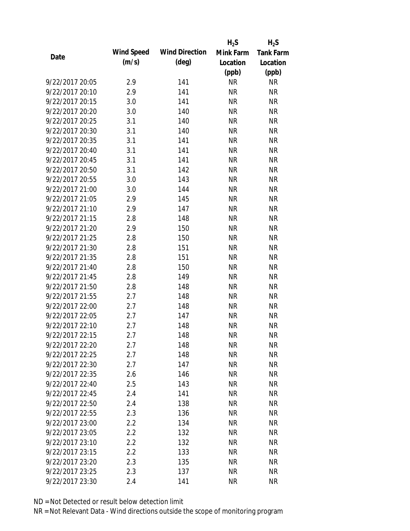|                 |            |                       | $H_2S$    | $H_2S$           |
|-----------------|------------|-----------------------|-----------|------------------|
| Date            | Wind Speed | <b>Wind Direction</b> | Mink Farm | <b>Tank Farm</b> |
|                 | (m/s)      | $(\text{deg})$        | Location  | Location         |
|                 |            |                       | (ppb)     | (ppb)            |
| 9/22/2017 20:05 | 2.9        | 141                   | <b>NR</b> | <b>NR</b>        |
| 9/22/2017 20:10 | 2.9        | 141                   | <b>NR</b> | <b>NR</b>        |
| 9/22/2017 20:15 | 3.0        | 141                   | <b>NR</b> | <b>NR</b>        |
| 9/22/2017 20:20 | 3.0        | 140                   | <b>NR</b> | <b>NR</b>        |
| 9/22/2017 20:25 | 3.1        | 140                   | <b>NR</b> | <b>NR</b>        |
| 9/22/2017 20:30 | 3.1        | 140                   | <b>NR</b> | <b>NR</b>        |
| 9/22/2017 20:35 | 3.1        | 141                   | <b>NR</b> | <b>NR</b>        |
| 9/22/2017 20:40 | 3.1        | 141                   | <b>NR</b> | <b>NR</b>        |
| 9/22/2017 20:45 | 3.1        | 141                   | <b>NR</b> | <b>NR</b>        |
| 9/22/2017 20:50 | 3.1        | 142                   | <b>NR</b> | <b>NR</b>        |
| 9/22/2017 20:55 | 3.0        | 143                   | <b>NR</b> | <b>NR</b>        |
| 9/22/2017 21:00 | 3.0        | 144                   | <b>NR</b> | <b>NR</b>        |
| 9/22/2017 21:05 | 2.9        | 145                   | <b>NR</b> | <b>NR</b>        |
| 9/22/2017 21:10 | 2.9        | 147                   | <b>NR</b> | <b>NR</b>        |
| 9/22/2017 21:15 | 2.8        | 148                   | <b>NR</b> | <b>NR</b>        |
| 9/22/2017 21:20 | 2.9        | 150                   | <b>NR</b> | <b>NR</b>        |
| 9/22/2017 21:25 | 2.8        | 150                   | <b>NR</b> | <b>NR</b>        |
| 9/22/2017 21:30 | 2.8        | 151                   | <b>NR</b> | <b>NR</b>        |
| 9/22/2017 21:35 | 2.8        | 151                   | <b>NR</b> | <b>NR</b>        |
| 9/22/2017 21:40 | 2.8        | 150                   | <b>NR</b> | <b>NR</b>        |
| 9/22/2017 21:45 | 2.8        | 149                   | <b>NR</b> | <b>NR</b>        |
| 9/22/2017 21:50 | 2.8        | 148                   | <b>NR</b> | <b>NR</b>        |
| 9/22/2017 21:55 | 2.7        | 148                   | <b>NR</b> | <b>NR</b>        |
| 9/22/2017 22:00 | 2.7        | 148                   | <b>NR</b> | <b>NR</b>        |
| 9/22/2017 22:05 | 2.7        | 147                   | <b>NR</b> | <b>NR</b>        |
| 9/22/2017 22:10 | 2.7        | 148                   | <b>NR</b> | <b>NR</b>        |
| 9/22/2017 22:15 | 2.7        | 148                   | <b>NR</b> | <b>NR</b>        |
| 9/22/2017 22:20 | 2.7        | 148                   | NR        | NR               |
| 9/22/2017 22:25 | 2.7        | 148                   | <b>NR</b> | <b>NR</b>        |
| 9/22/2017 22:30 | 2.7        | 147                   | <b>NR</b> | <b>NR</b>        |
| 9/22/2017 22:35 | 2.6        | 146                   | <b>NR</b> | <b>NR</b>        |
| 9/22/2017 22:40 | 2.5        | 143                   | <b>NR</b> | NR               |
| 9/22/2017 22:45 | 2.4        | 141                   | <b>NR</b> | <b>NR</b>        |
| 9/22/2017 22:50 | 2.4        | 138                   | <b>NR</b> | <b>NR</b>        |
| 9/22/2017 22:55 | 2.3        | 136                   | <b>NR</b> | <b>NR</b>        |
| 9/22/2017 23:00 | $2.2\,$    | 134                   | <b>NR</b> | <b>NR</b>        |
| 9/22/2017 23:05 | 2.2        | 132                   | <b>NR</b> | <b>NR</b>        |
| 9/22/2017 23:10 | 2.2        | 132                   | NR        | <b>NR</b>        |
| 9/22/2017 23:15 | 2.2        | 133                   | <b>NR</b> | <b>NR</b>        |
| 9/22/2017 23:20 | 2.3        | 135                   | <b>NR</b> | <b>NR</b>        |
| 9/22/2017 23:25 | 2.3        | 137                   | <b>NR</b> | <b>NR</b>        |
| 9/22/2017 23:30 | 2.4        | 141                   | <b>NR</b> | <b>NR</b>        |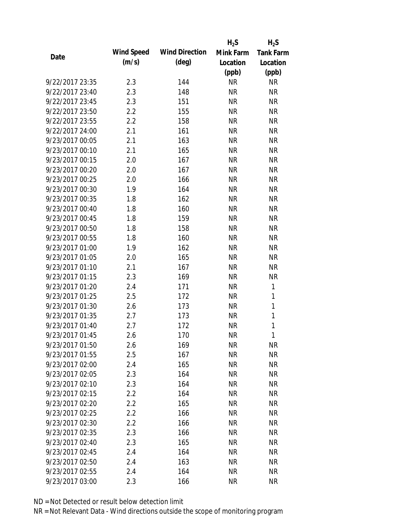|                 |            |                       | $H_2S$    | $H_2S$           |
|-----------------|------------|-----------------------|-----------|------------------|
| Date            | Wind Speed | <b>Wind Direction</b> | Mink Farm | <b>Tank Farm</b> |
|                 | (m/s)      | $(\text{deg})$        | Location  | Location         |
|                 |            |                       | (ppb)     | (ppb)            |
| 9/22/2017 23:35 | 2.3        | 144                   | <b>NR</b> | <b>NR</b>        |
| 9/22/2017 23:40 | 2.3        | 148                   | <b>NR</b> | <b>NR</b>        |
| 9/22/2017 23:45 | 2.3        | 151                   | <b>NR</b> | <b>NR</b>        |
| 9/22/2017 23:50 | 2.2        | 155                   | <b>NR</b> | <b>NR</b>        |
| 9/22/2017 23:55 | 2.2        | 158                   | <b>NR</b> | <b>NR</b>        |
| 9/22/2017 24:00 | 2.1        | 161                   | <b>NR</b> | <b>NR</b>        |
| 9/23/2017 00:05 | 2.1        | 163                   | <b>NR</b> | <b>NR</b>        |
| 9/23/2017 00:10 | 2.1        | 165                   | <b>NR</b> | <b>NR</b>        |
| 9/23/2017 00:15 | 2.0        | 167                   | <b>NR</b> | <b>NR</b>        |
| 9/23/2017 00:20 | 2.0        | 167                   | <b>NR</b> | <b>NR</b>        |
| 9/23/2017 00:25 | 2.0        | 166                   | <b>NR</b> | <b>NR</b>        |
| 9/23/2017 00:30 | 1.9        | 164                   | <b>NR</b> | <b>NR</b>        |
| 9/23/2017 00:35 | 1.8        | 162                   | <b>NR</b> | <b>NR</b>        |
| 9/23/2017 00:40 | 1.8        | 160                   | <b>NR</b> | <b>NR</b>        |
| 9/23/2017 00:45 | 1.8        | 159                   | <b>NR</b> | <b>NR</b>        |
| 9/23/2017 00:50 | 1.8        | 158                   | <b>NR</b> | <b>NR</b>        |
| 9/23/2017 00:55 | 1.8        | 160                   | <b>NR</b> | <b>NR</b>        |
| 9/23/2017 01:00 | 1.9        | 162                   | <b>NR</b> | <b>NR</b>        |
| 9/23/2017 01:05 | 2.0        | 165                   | <b>NR</b> | <b>NR</b>        |
| 9/23/2017 01:10 | 2.1        | 167                   | <b>NR</b> | <b>NR</b>        |
| 9/23/2017 01:15 | 2.3        | 169                   | <b>NR</b> | <b>NR</b>        |
| 9/23/2017 01:20 | 2.4        | 171                   | <b>NR</b> | 1                |
| 9/23/2017 01:25 | 2.5        | 172                   | <b>NR</b> | 1                |
| 9/23/2017 01:30 | 2.6        | 173                   | <b>NR</b> | $\mathbf{1}$     |
| 9/23/2017 01:35 | 2.7        | 173                   | <b>NR</b> | 1                |
| 9/23/2017 01:40 | 2.7        | 172                   | <b>NR</b> | $\mathbf{1}$     |
| 9/23/2017 01:45 | 2.6        | 170                   | <b>NR</b> | $\mathbf{1}$     |
| 9/23/2017 01:50 | 2.6        | 169                   | <b>NR</b> | NR               |
| 9/23/2017 01:55 | 2.5        | 167                   | <b>NR</b> | <b>NR</b>        |
| 9/23/2017 02:00 | 2.4        | 165                   | NR        | <b>NR</b>        |
| 9/23/2017 02:05 | 2.3        | 164                   | <b>NR</b> | <b>NR</b>        |
| 9/23/2017 02:10 | 2.3        | 164                   | <b>NR</b> | NR               |
| 9/23/2017 02:15 | 2.2        | 164                   | NR        | <b>NR</b>        |
| 9/23/2017 02:20 | 2.2        | 165                   | <b>NR</b> | <b>NR</b>        |
| 9/23/2017 02:25 | $2.2\,$    | 166                   | <b>NR</b> | <b>NR</b>        |
| 9/23/2017 02:30 | $2.2\,$    | 166                   | <b>NR</b> | <b>NR</b>        |
| 9/23/2017 02:35 | 2.3        | 166                   | NR        | <b>NR</b>        |
| 9/23/2017 02:40 | 2.3        | 165                   | NR        | <b>NR</b>        |
| 9/23/2017 02:45 | 2.4        | 164                   | <b>NR</b> | NR               |
| 9/23/2017 02:50 | 2.4        | 163                   | NR        | NR               |
| 9/23/2017 02:55 | 2.4        | 164                   | <b>NR</b> | <b>NR</b>        |
| 9/23/2017 03:00 | 2.3        | 166                   | <b>NR</b> | <b>NR</b>        |
|                 |            |                       |           |                  |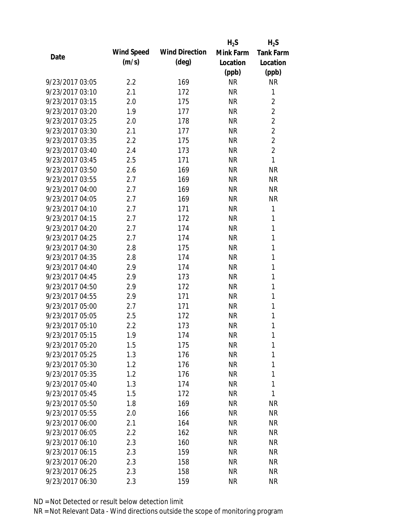|                 |            |                       | $H_2S$    | $H_2S$           |
|-----------------|------------|-----------------------|-----------|------------------|
| Date            | Wind Speed | <b>Wind Direction</b> | Mink Farm | <b>Tank Farm</b> |
|                 | (m/s)      | $(\text{deg})$        | Location  | Location         |
|                 |            |                       | (ppb)     | (ppb)            |
| 9/23/2017 03:05 | 2.2        | 169                   | <b>NR</b> | <b>NR</b>        |
| 9/23/2017 03:10 | 2.1        | 172                   | <b>NR</b> | 1                |
| 9/23/2017 03:15 | 2.0        | 175                   | <b>NR</b> | $\overline{2}$   |
| 9/23/2017 03:20 | 1.9        | 177                   | <b>NR</b> | $\overline{2}$   |
| 9/23/2017 03:25 | 2.0        | 178                   | <b>NR</b> | $\overline{2}$   |
| 9/23/2017 03:30 | 2.1        | 177                   | <b>NR</b> | $\overline{2}$   |
| 9/23/2017 03:35 | 2.2        | 175                   | <b>NR</b> | $\overline{2}$   |
| 9/23/2017 03:40 | 2.4        | 173                   | <b>NR</b> | $\overline{2}$   |
| 9/23/2017 03:45 | 2.5        | 171                   | <b>NR</b> | 1                |
| 9/23/2017 03:50 | 2.6        | 169                   | <b>NR</b> | <b>NR</b>        |
| 9/23/2017 03:55 | 2.7        | 169                   | <b>NR</b> | <b>NR</b>        |
| 9/23/2017 04:00 | 2.7        | 169                   | <b>NR</b> | <b>NR</b>        |
| 9/23/2017 04:05 | 2.7        | 169                   | <b>NR</b> | <b>NR</b>        |
| 9/23/2017 04:10 | 2.7        | 171                   | <b>NR</b> | 1                |
| 9/23/2017 04:15 | 2.7        | 172                   | <b>NR</b> | 1                |
| 9/23/2017 04:20 | 2.7        | 174                   | <b>NR</b> | 1                |
| 9/23/2017 04:25 | 2.7        | 174                   | <b>NR</b> | 1                |
| 9/23/2017 04:30 | 2.8        | 175                   | <b>NR</b> | 1                |
| 9/23/2017 04:35 | 2.8        | 174                   | <b>NR</b> | 1                |
| 9/23/2017 04:40 | 2.9        | 174                   | <b>NR</b> | 1                |
| 9/23/2017 04:45 | 2.9        | 173                   | <b>NR</b> | 1                |
| 9/23/2017 04:50 | 2.9        | 172                   | <b>NR</b> | 1                |
| 9/23/2017 04:55 | 2.9        | 171                   | <b>NR</b> | 1                |
| 9/23/2017 05:00 | 2.7        | 171                   | <b>NR</b> | 1                |
| 9/23/2017 05:05 | 2.5        | 172                   | <b>NR</b> | 1                |
| 9/23/2017 05:10 | 2.2        | 173                   | <b>NR</b> | 1                |
| 9/23/2017 05:15 | 1.9        | 174                   | <b>NR</b> | 1                |
| 9/23/2017 05:20 | 1.5        | 175                   | <b>NR</b> | 1                |
| 9/23/2017 05:25 | 1.3        | 176                   | <b>NR</b> | 1                |
| 9/23/2017 05:30 | 1.2        | 176                   | <b>NR</b> | 1                |
| 9/23/2017 05:35 | 1.2        | 176                   | <b>NR</b> | 1                |
| 9/23/2017 05:40 | 1.3        | 174                   | <b>NR</b> | 1                |
| 9/23/2017 05:45 | 1.5        | 172                   | <b>NR</b> | 1                |
| 9/23/2017 05:50 | 1.8        | 169                   | <b>NR</b> | <b>NR</b>        |
| 9/23/2017 05:55 | 2.0        | 166                   | <b>NR</b> | <b>NR</b>        |
| 9/23/2017 06:00 | 2.1        | 164                   | <b>NR</b> | <b>NR</b>        |
| 9/23/2017 06:05 | $2.2\,$    | 162                   | <b>NR</b> | <b>NR</b>        |
| 9/23/2017 06:10 | 2.3        | 160                   | NR        | <b>NR</b>        |
| 9/23/2017 06:15 | 2.3        | 159                   | <b>NR</b> | <b>NR</b>        |
| 9/23/2017 06:20 | 2.3        | 158                   | <b>NR</b> | <b>NR</b>        |
| 9/23/2017 06:25 | 2.3        | 158                   | <b>NR</b> | NR               |
| 9/23/2017 06:30 | 2.3        | 159                   | <b>NR</b> | <b>NR</b>        |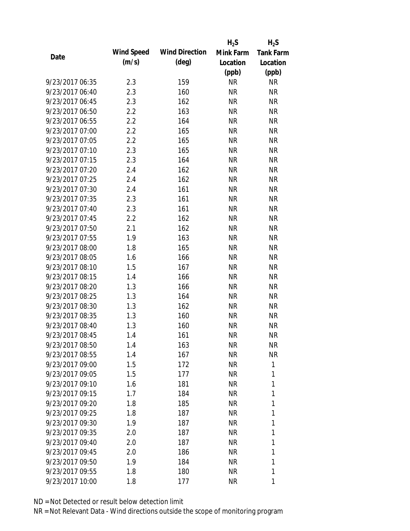|                 |            |                       | $H_2S$    | $H_2S$           |
|-----------------|------------|-----------------------|-----------|------------------|
|                 | Wind Speed | <b>Wind Direction</b> | Mink Farm | <b>Tank Farm</b> |
| Date            | (m/s)      | (deg)                 | Location  | Location         |
|                 |            |                       | (ppb)     | (ppb)            |
| 9/23/2017 06:35 | 2.3        | 159                   | <b>NR</b> | <b>NR</b>        |
| 9/23/2017 06:40 | 2.3        | 160                   | <b>NR</b> | <b>NR</b>        |
| 9/23/2017 06:45 | 2.3        | 162                   | <b>NR</b> | <b>NR</b>        |
| 9/23/2017 06:50 | 2.2        | 163                   | <b>NR</b> | <b>NR</b>        |
| 9/23/2017 06:55 | 2.2        | 164                   | <b>NR</b> | <b>NR</b>        |
| 9/23/2017 07:00 | 2.2        | 165                   | <b>NR</b> | <b>NR</b>        |
| 9/23/2017 07:05 | 2.2        | 165                   | NR        | <b>NR</b>        |
| 9/23/2017 07:10 | 2.3        | 165                   | <b>NR</b> | <b>NR</b>        |
| 9/23/2017 07:15 | 2.3        | 164                   | <b>NR</b> | <b>NR</b>        |
| 9/23/2017 07:20 | 2.4        | 162                   | <b>NR</b> | <b>NR</b>        |
| 9/23/2017 07:25 | 2.4        | 162                   | <b>NR</b> | <b>NR</b>        |
| 9/23/2017 07:30 | 2.4        | 161                   | NR        | <b>NR</b>        |
| 9/23/2017 07:35 | 2.3        | 161                   | <b>NR</b> | <b>NR</b>        |
| 9/23/2017 07:40 | 2.3        | 161                   | <b>NR</b> | <b>NR</b>        |
| 9/23/2017 07:45 | 2.2        | 162                   | <b>NR</b> | <b>NR</b>        |
| 9/23/2017 07:50 | 2.1        | 162                   | <b>NR</b> | <b>NR</b>        |
| 9/23/2017 07:55 | 1.9        | 163                   | NR        | <b>NR</b>        |
| 9/23/2017 08:00 | 1.8        | 165                   | <b>NR</b> | <b>NR</b>        |
| 9/23/2017 08:05 | 1.6        | 166                   | <b>NR</b> | <b>NR</b>        |
| 9/23/2017 08:10 | 1.5        | 167                   | <b>NR</b> | <b>NR</b>        |
| 9/23/2017 08:15 | 1.4        | 166                   | <b>NR</b> | <b>NR</b>        |
| 9/23/2017 08:20 | 1.3        | 166                   | NR        | <b>NR</b>        |
| 9/23/2017 08:25 | 1.3        | 164                   | <b>NR</b> | <b>NR</b>        |
| 9/23/2017 08:30 | 1.3        | 162                   | <b>NR</b> | <b>NR</b>        |
| 9/23/2017 08:35 | 1.3        | 160                   | <b>NR</b> | <b>NR</b>        |
| 9/23/2017 08:40 | 1.3        | 160                   | <b>NR</b> | <b>NR</b>        |
| 9/23/2017 08:45 | 1.4        | 161                   | <b>NR</b> | <b>NR</b>        |
| 9/23/2017 08:50 | 1.4        | 163                   | NR        | <b>NR</b>        |
| 9/23/2017 08:55 | 1.4        | 167                   | NR        | <b>NR</b>        |
| 9/23/2017 09:00 | 1.5        | 172                   | NR        | 1                |
| 9/23/2017 09:05 | 1.5        | 177                   | NR        | 1                |
| 9/23/2017 09:10 | 1.6        | 181                   | NR        | 1                |
| 9/23/2017 09:15 | 1.7        | 184                   | NR        | 1                |
| 9/23/2017 09:20 | 1.8        | 185                   | NR        | 1                |
| 9/23/2017 09:25 | 1.8        | 187                   | NR        | 1                |
| 9/23/2017 09:30 | 1.9        | 187                   | NR        | 1                |
| 9/23/2017 09:35 | 2.0        | 187                   | NR        | 1                |
| 9/23/2017 09:40 | 2.0        | 187                   | NR        | 1                |
| 9/23/2017 09:45 | 2.0        | 186                   | NR        | 1                |
| 9/23/2017 09:50 | 1.9        | 184                   | NR        | 1                |
| 9/23/2017 09:55 | 1.8        | 180                   | <b>NR</b> | 1                |
| 9/23/2017 10:00 | 1.8        | 177                   | <b>NR</b> | 1                |
|                 |            |                       |           |                  |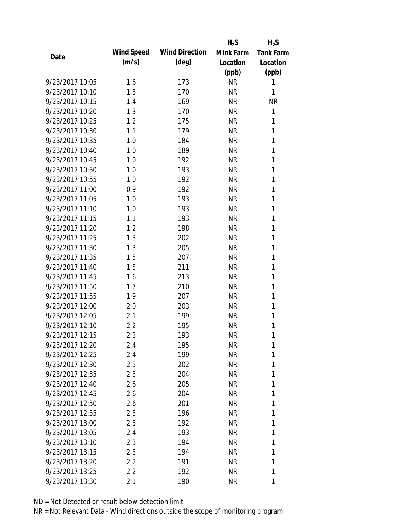|                 |            |                       | $H_2S$    | $H_2S$           |
|-----------------|------------|-----------------------|-----------|------------------|
| Date            | Wind Speed | <b>Wind Direction</b> | Mink Farm | <b>Tank Farm</b> |
|                 | (m/s)      | $(\text{deg})$        | Location  | Location         |
|                 |            |                       | (ppb)     | (ppb)            |
| 9/23/2017 10:05 | 1.6        | 173                   | <b>NR</b> | 1                |
| 9/23/2017 10:10 | 1.5        | 170                   | <b>NR</b> | 1                |
| 9/23/2017 10:15 | 1.4        | 169                   | <b>NR</b> | <b>NR</b>        |
| 9/23/2017 10:20 | 1.3        | 170                   | <b>NR</b> | 1                |
| 9/23/2017 10:25 | 1.2        | 175                   | <b>NR</b> | 1                |
| 9/23/2017 10:30 | 1.1        | 179                   | <b>NR</b> | 1                |
| 9/23/2017 10:35 | 1.0        | 184                   | <b>NR</b> | 1                |
| 9/23/2017 10:40 | 1.0        | 189                   | <b>NR</b> | 1                |
| 9/23/2017 10:45 | 1.0        | 192                   | <b>NR</b> | 1                |
| 9/23/2017 10:50 | 1.0        | 193                   | <b>NR</b> | 1                |
| 9/23/2017 10:55 | 1.0        | 192                   | <b>NR</b> | 1                |
| 9/23/2017 11:00 | 0.9        | 192                   | <b>NR</b> | 1                |
| 9/23/2017 11:05 | 1.0        | 193                   | <b>NR</b> | 1                |
| 9/23/2017 11:10 | 1.0        | 193                   | <b>NR</b> | 1                |
| 9/23/2017 11:15 | 1.1        | 193                   | <b>NR</b> | 1                |
| 9/23/2017 11:20 | 1.2        | 198                   | <b>NR</b> | 1                |
| 9/23/2017 11:25 | 1.3        | 202                   | <b>NR</b> | 1                |
| 9/23/2017 11:30 | 1.3        | 205                   | <b>NR</b> | 1                |
| 9/23/2017 11:35 | 1.5        | 207                   | <b>NR</b> | 1                |
| 9/23/2017 11:40 | 1.5        | 211                   | <b>NR</b> | 1                |
| 9/23/2017 11:45 | 1.6        | 213                   | <b>NR</b> | 1                |
| 9/23/2017 11:50 | 1.7        | 210                   | <b>NR</b> | 1                |
| 9/23/2017 11:55 | 1.9        | 207                   | <b>NR</b> | 1                |
| 9/23/2017 12:00 | 2.0        | 203                   | <b>NR</b> | 1                |
| 9/23/2017 12:05 | 2.1        | 199                   | <b>NR</b> | 1                |
| 9/23/2017 12:10 | 2.2        | 195                   | <b>NR</b> | 1                |
| 9/23/2017 12:15 | 2.3        | 193                   | <b>NR</b> | 1                |
| 9/23/2017 12:20 | 2.4        | 195                   | NR        | 1                |
| 9/23/2017 12:25 | 2.4        | 199                   | <b>NR</b> | 1                |
| 9/23/2017 12:30 | 2.5        | 202                   | <b>NR</b> | 1                |
| 9/23/2017 12:35 | 2.5        | 204                   | NR        | 1                |
| 9/23/2017 12:40 | 2.6        | 205                   | <b>NR</b> | 1                |
| 9/23/2017 12:45 | 2.6        | 204                   | NR        | 1                |
| 9/23/2017 12:50 | 2.6        | 201                   | <b>NR</b> | 1                |
| 9/23/2017 12:55 | 2.5        | 196                   | NR        | 1                |
| 9/23/2017 13:00 | 2.5        | 192                   | NR        | 1                |
| 9/23/2017 13:05 | 2.4        | 193                   | NR        | 1                |
| 9/23/2017 13:10 | 2.3        | 194                   | NR        | 1                |
| 9/23/2017 13:15 | 2.3        | 194                   | <b>NR</b> | 1                |
| 9/23/2017 13:20 | 2.2        | 191                   | <b>NR</b> | 1                |
| 9/23/2017 13:25 | 2.2        | 192                   | <b>NR</b> | 1                |
| 9/23/2017 13:30 | 2.1        | 190                   | <b>NR</b> | 1                |
|                 |            |                       |           |                  |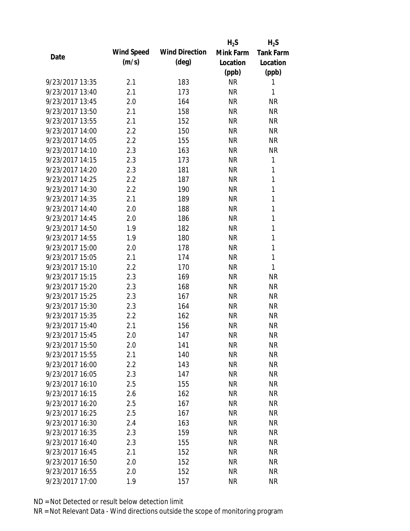|                 |            |                       | $H_2S$    | $H_2S$           |
|-----------------|------------|-----------------------|-----------|------------------|
| Date            | Wind Speed | <b>Wind Direction</b> | Mink Farm | <b>Tank Farm</b> |
|                 | (m/s)      | $(\text{deg})$        | Location  | Location         |
|                 |            |                       | (ppb)     | (ppb)            |
| 9/23/2017 13:35 | 2.1        | 183                   | <b>NR</b> | 1                |
| 9/23/2017 13:40 | 2.1        | 173                   | <b>NR</b> | 1                |
| 9/23/2017 13:45 | 2.0        | 164                   | <b>NR</b> | <b>NR</b>        |
| 9/23/2017 13:50 | 2.1        | 158                   | <b>NR</b> | <b>NR</b>        |
| 9/23/2017 13:55 | 2.1        | 152                   | <b>NR</b> | <b>NR</b>        |
| 9/23/2017 14:00 | 2.2        | 150                   | <b>NR</b> | <b>NR</b>        |
| 9/23/2017 14:05 | 2.2        | 155                   | <b>NR</b> | <b>NR</b>        |
| 9/23/2017 14:10 | 2.3        | 163                   | <b>NR</b> | <b>NR</b>        |
| 9/23/2017 14:15 | 2.3        | 173                   | <b>NR</b> | 1                |
| 9/23/2017 14:20 | 2.3        | 181                   | <b>NR</b> | 1                |
| 9/23/2017 14:25 | 2.2        | 187                   | <b>NR</b> | 1                |
| 9/23/2017 14:30 | 2.2        | 190                   | <b>NR</b> | 1                |
| 9/23/2017 14:35 | 2.1        | 189                   | <b>NR</b> | 1                |
| 9/23/2017 14:40 | 2.0        | 188                   | <b>NR</b> | 1                |
| 9/23/2017 14:45 | 2.0        | 186                   | <b>NR</b> | 1                |
| 9/23/2017 14:50 | 1.9        | 182                   | <b>NR</b> | 1                |
| 9/23/2017 14:55 | 1.9        | 180                   | <b>NR</b> | 1                |
| 9/23/2017 15:00 | 2.0        | 178                   | <b>NR</b> | 1                |
| 9/23/2017 15:05 | 2.1        | 174                   | <b>NR</b> | 1                |
| 9/23/2017 15:10 | 2.2        | 170                   | <b>NR</b> | 1                |
| 9/23/2017 15:15 | 2.3        | 169                   | <b>NR</b> | <b>NR</b>        |
| 9/23/2017 15:20 | 2.3        | 168                   | <b>NR</b> | <b>NR</b>        |
| 9/23/2017 15:25 | 2.3        | 167                   | <b>NR</b> | <b>NR</b>        |
| 9/23/2017 15:30 | 2.3        | 164                   | <b>NR</b> | <b>NR</b>        |
| 9/23/2017 15:35 | 2.2        | 162                   | <b>NR</b> | <b>NR</b>        |
| 9/23/2017 15:40 | 2.1        | 156                   | <b>NR</b> | <b>NR</b>        |
| 9/23/2017 15:45 | 2.0        | 147                   | <b>NR</b> | <b>NR</b>        |
| 9/23/2017 15:50 | 2.0        | 141                   | <b>NR</b> | NR               |
| 9/23/2017 15:55 | 2.1        | 140                   | <b>NR</b> | <b>NR</b>        |
| 9/23/2017 16:00 | $2.2\,$    | 143                   | <b>NR</b> | <b>NR</b>        |
| 9/23/2017 16:05 | 2.3        | 147                   | <b>NR</b> | <b>NR</b>        |
| 9/23/2017 16:10 | 2.5        | 155                   | <b>NR</b> | NR               |
| 9/23/2017 16:15 | 2.6        | 162                   | <b>NR</b> | <b>NR</b>        |
| 9/23/2017 16:20 | 2.5        | 167                   | <b>NR</b> | <b>NR</b>        |
| 9/23/2017 16:25 | 2.5        | 167                   | <b>NR</b> | <b>NR</b>        |
| 9/23/2017 16:30 | 2.4        | 163                   | <b>NR</b> | <b>NR</b>        |
| 9/23/2017 16:35 | 2.3        | 159                   | <b>NR</b> | <b>NR</b>        |
| 9/23/2017 16:40 | 2.3        | 155                   | NR        | <b>NR</b>        |
| 9/23/2017 16:45 | 2.1        | 152                   | <b>NR</b> | <b>NR</b>        |
| 9/23/2017 16:50 | 2.0        | 152                   | NR        | <b>NR</b>        |
| 9/23/2017 16:55 | 2.0        | 152                   | <b>NR</b> | <b>NR</b>        |
| 9/23/2017 17:00 | 1.9        | 157                   | <b>NR</b> | <b>NR</b>        |
|                 |            |                       |           |                  |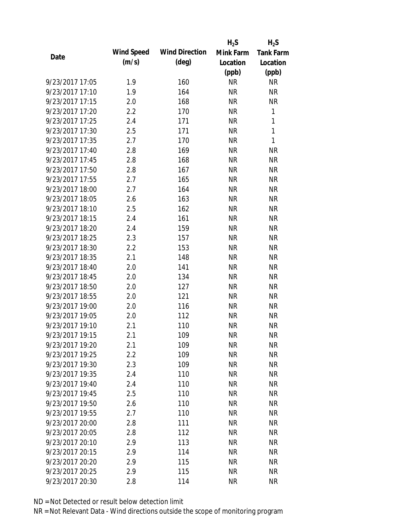|      |                 |            |                       | $H_2S$    | $H_2S$           |
|------|-----------------|------------|-----------------------|-----------|------------------|
|      |                 | Wind Speed | <b>Wind Direction</b> | Mink Farm | <b>Tank Farm</b> |
| Date |                 | (m/s)      | $(\text{deg})$        | Location  | Location         |
|      |                 |            |                       | (ppb)     | (ppb)            |
|      | 9/23/2017 17:05 | 1.9        | 160                   | <b>NR</b> | <b>NR</b>        |
|      | 9/23/2017 17:10 | 1.9        | 164                   | <b>NR</b> | <b>NR</b>        |
|      | 9/23/2017 17:15 | 2.0        | 168                   | <b>NR</b> | <b>NR</b>        |
|      | 9/23/2017 17:20 | 2.2        | 170                   | <b>NR</b> | 1                |
|      | 9/23/2017 17:25 | 2.4        | 171                   | <b>NR</b> | 1                |
|      | 9/23/2017 17:30 | 2.5        | 171                   | <b>NR</b> | 1                |
|      | 9/23/2017 17:35 | 2.7        | 170                   | <b>NR</b> | 1                |
|      | 9/23/2017 17:40 | 2.8        | 169                   | <b>NR</b> | <b>NR</b>        |
|      | 9/23/2017 17:45 | 2.8        | 168                   | <b>NR</b> | <b>NR</b>        |
|      | 9/23/2017 17:50 | 2.8        | 167                   | <b>NR</b> | <b>NR</b>        |
|      | 9/23/2017 17:55 | 2.7        | 165                   | <b>NR</b> | <b>NR</b>        |
|      | 9/23/2017 18:00 | 2.7        | 164                   | <b>NR</b> | <b>NR</b>        |
|      | 9/23/2017 18:05 | 2.6        | 163                   | <b>NR</b> | <b>NR</b>        |
|      | 9/23/2017 18:10 | 2.5        | 162                   | <b>NR</b> | <b>NR</b>        |
|      | 9/23/2017 18:15 | 2.4        | 161                   | <b>NR</b> | <b>NR</b>        |
|      | 9/23/2017 18:20 | 2.4        | 159                   | <b>NR</b> | <b>NR</b>        |
|      | 9/23/2017 18:25 | 2.3        | 157                   | <b>NR</b> | <b>NR</b>        |
|      | 9/23/2017 18:30 | 2.2        | 153                   | <b>NR</b> | <b>NR</b>        |
|      | 9/23/2017 18:35 | 2.1        | 148                   | <b>NR</b> | <b>NR</b>        |
|      | 9/23/2017 18:40 | 2.0        | 141                   | <b>NR</b> | <b>NR</b>        |
|      | 9/23/2017 18:45 | 2.0        | 134                   | <b>NR</b> | <b>NR</b>        |
|      | 9/23/2017 18:50 | 2.0        | 127                   | <b>NR</b> | <b>NR</b>        |
|      | 9/23/2017 18:55 | 2.0        | 121                   | <b>NR</b> | <b>NR</b>        |
|      | 9/23/2017 19:00 | 2.0        | 116                   | <b>NR</b> | <b>NR</b>        |
|      | 9/23/2017 19:05 | 2.0        | 112                   | <b>NR</b> | <b>NR</b>        |
|      | 9/23/2017 19:10 | 2.1        | 110                   | <b>NR</b> | <b>NR</b>        |
|      | 9/23/2017 19:15 | 2.1        | 109                   | <b>NR</b> | <b>NR</b>        |
|      | 9/23/2017 19:20 | 2.1        | 109                   | <b>NR</b> | <b>NR</b>        |
|      | 9/23/2017 19:25 | 2.2        | 109                   | <b>NR</b> | <b>NR</b>        |
|      | 9/23/2017 19:30 | 2.3        | 109                   | <b>NR</b> | <b>NR</b>        |
|      | 9/23/2017 19:35 | 2.4        | 110                   | <b>NR</b> | <b>NR</b>        |
|      | 9/23/2017 19:40 | 2.4        | 110                   | <b>NR</b> | <b>NR</b>        |
|      | 9/23/2017 19:45 | 2.5        | 110                   | <b>NR</b> | <b>NR</b>        |
|      | 9/23/2017 19:50 | 2.6        | 110                   | <b>NR</b> | <b>NR</b>        |
|      | 9/23/2017 19:55 | 2.7        | 110                   | <b>NR</b> | <b>NR</b>        |
|      | 9/23/2017 20:00 | 2.8        | 111                   | <b>NR</b> | <b>NR</b>        |
|      | 9/23/2017 20:05 | 2.8        | 112                   | <b>NR</b> | <b>NR</b>        |
|      | 9/23/2017 20:10 | 2.9        | 113                   | <b>NR</b> | <b>NR</b>        |
|      | 9/23/2017 20:15 | 2.9        | 114                   | <b>NR</b> | <b>NR</b>        |
|      | 9/23/2017 20:20 | 2.9        | 115                   | <b>NR</b> | <b>NR</b>        |
|      | 9/23/2017 20:25 | 2.9        | 115                   | <b>NR</b> | <b>NR</b>        |
|      | 9/23/2017 20:30 | 2.8        | 114                   | <b>NR</b> | <b>NR</b>        |
|      |                 |            |                       |           |                  |